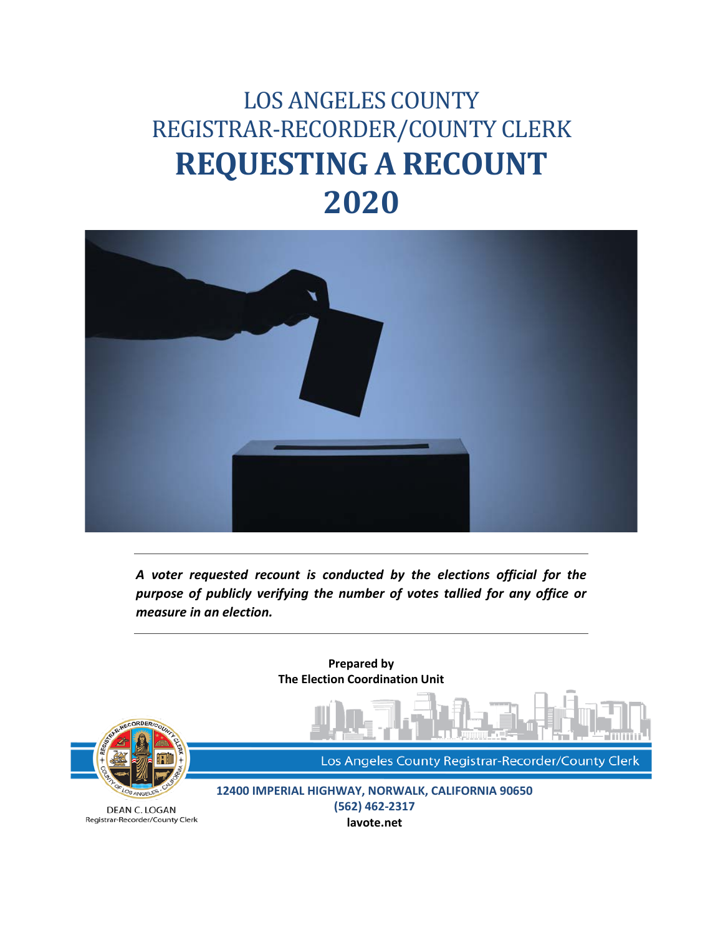# LOS ANGELES COUNTY REGISTRAR-RECORDER/COUNTY CLERK **REQUESTING A RECOUNT 2020**



*A voter requested recount is conducted by the elections official for the purpose of publicly verifying the number of votes tallied for any office or measure in an election.* 

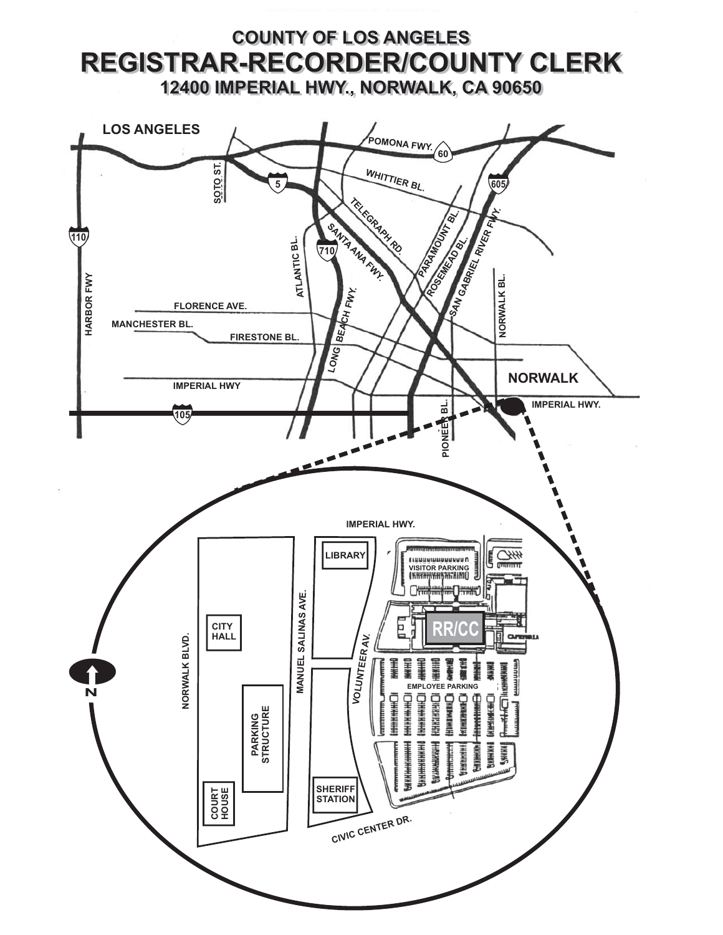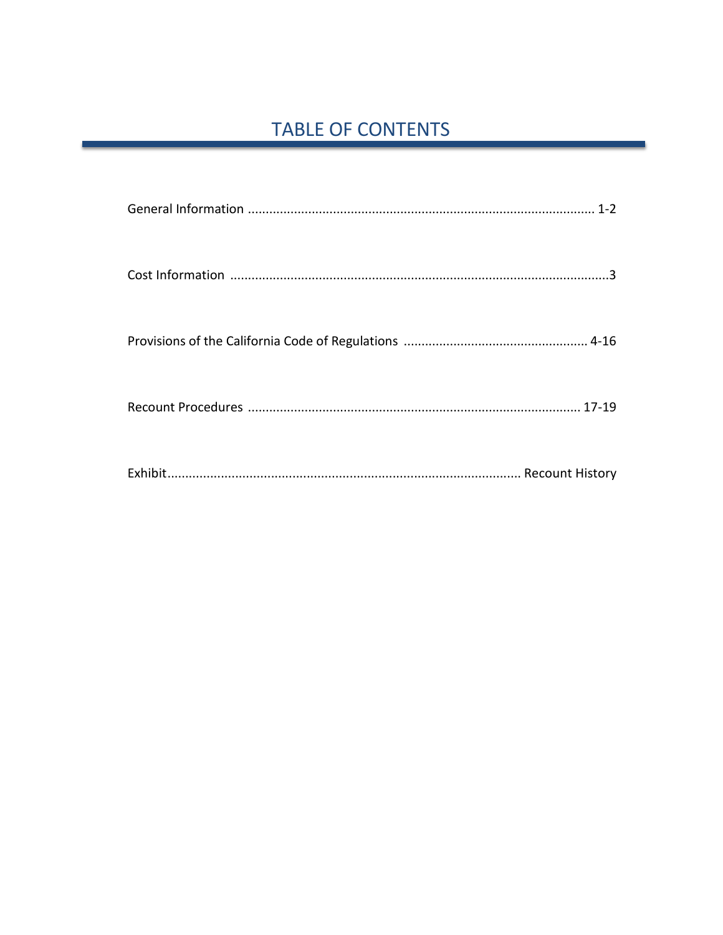## **TABLE OF CONTENTS**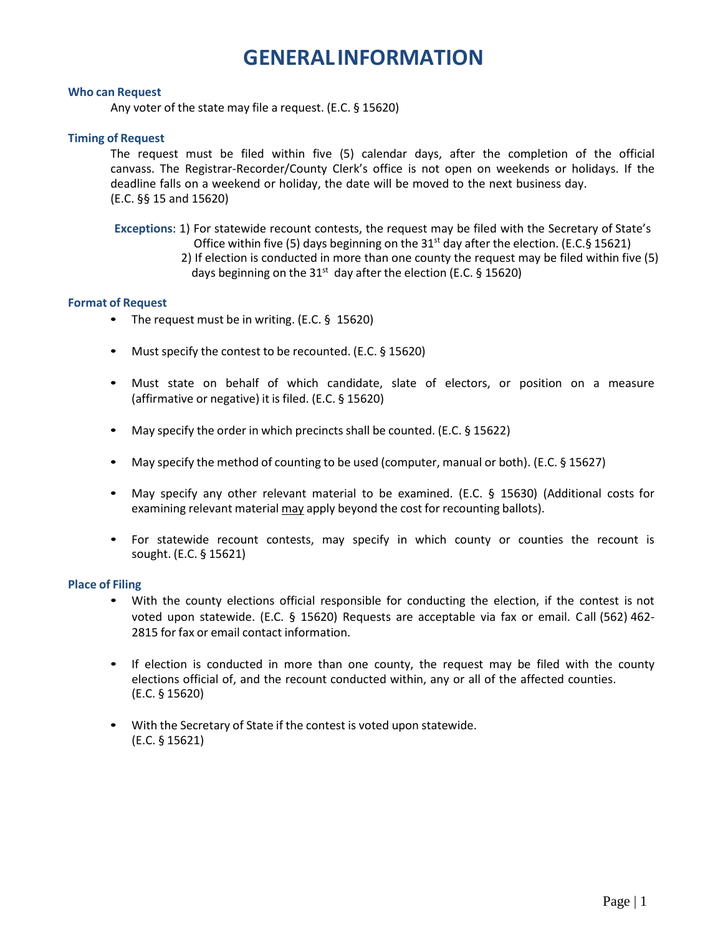## **GENERAL INFORMATION**

#### <span id="page-3-0"></span>**Who can Request**

Any voter of the state may file a request. (E.C. § 15620)

#### **Timing of Request**

The request must be filed within five (5) calendar days, after the completion of the official canvass. The Registrar-Recorder/County Clerk's office is not open on weekends or holidays. If the deadline falls on a weekend or holiday, the date will be moved to the next business day. (E.C. §§ 15 and 15620)

**Exceptions**: 1) For statewide recount contests, the request may be filed with the Secretary of State's Office within five (5) days beginning on the 31st day after the election. (E.C.§ 15621) 2) If election is conducted in more than one county the request may be filed within five (5)

days beginning on the  $31<sup>st</sup>$  day after the election (E.C. § 15620)

#### **Format of Request**

- The request must be in writing. (E.C. § 15620)
- Must specify the contest to be recounted. (E.C. § 15620)
- Must state on behalf of which candidate, slate of electors, or position on a measure (affirmative or negative) it is filed. (E.C. § 15620)
- May specify the order in which precincts shall be counted. (E.C. § 15622)
- May specify the method of counting to be used (computer, manual or both). (E.C. § 15627)
- May specify any other relevant material to be examined. (E.C. § 15630) (Additional costs for examining relevant material may apply beyond the cost for recounting ballots).
- For statewide recount contests, may specify in which county or counties the recount is sought. (E.C. § 15621)

#### **Place of Filing**

- With the county elections official responsible for conducting the election, if the contest is not voted upon statewide. (E.C. § 15620) Requests are acceptable via fax or email. C all (562) 462- 2815 for fax or email contact information.
- If election is conducted in more than one county, the request may be filed with the county elections official of, and the recount conducted within, any or all of the affected counties. (E.C. § 15620)
- With the Secretary of State if the contest is voted upon statewide. (E.C. § 15621)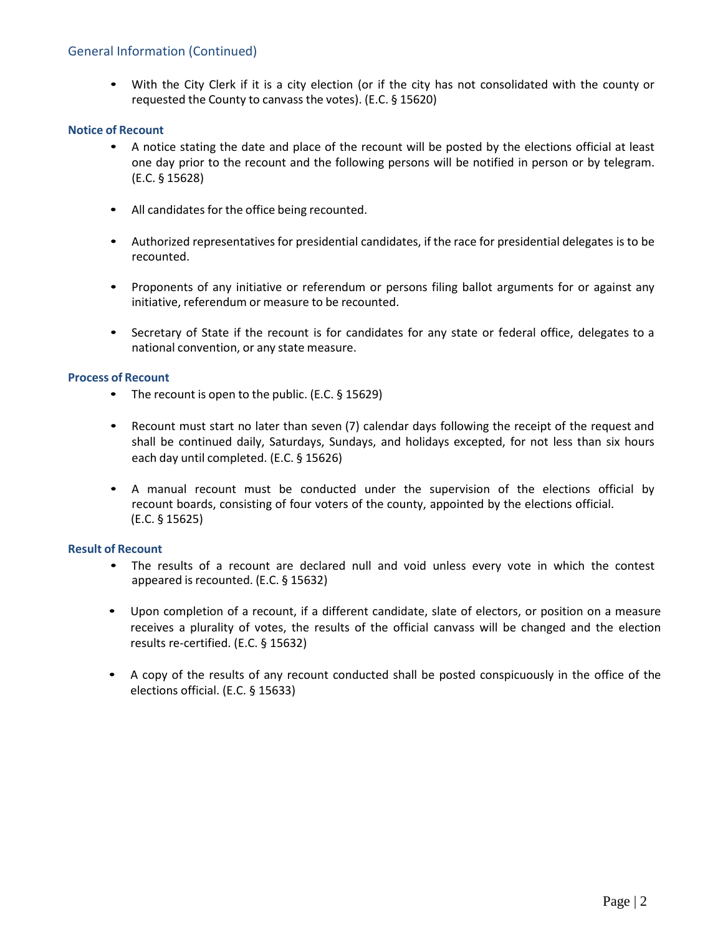#### General Information (Continued)

• With the City Clerk if it is a city election (or if the city has not consolidated with the county or requested the County to canvass the votes). (E.C. § 15620)

#### **Notice of Recount**

- A notice stating the date and place of the recount will be posted by the elections official at least one day prior to the recount and the following persons will be notified in person or by telegram. (E.C. § 15628)
- All candidates for the office being recounted.
- Authorized representatives for presidential candidates, if the race for presidential delegates is to be recounted.
- Proponents of any initiative or referendum or persons filing ballot arguments for or against any initiative, referendum or measure to be recounted.
- Secretary of State if the recount is for candidates for any state or federal office, delegates to a national convention, or any state measure.

#### **Process of Recount**

- The recount is open to the public. (E.C. § 15629)
- Recount must start no later than seven (7) calendar days following the receipt of the request and shall be continued daily, Saturdays, Sundays, and holidays excepted, for not less than six hours each day until completed. (E.C. § 15626)
- A manual recount must be conducted under the supervision of the elections official by recount boards, consisting of four voters of the county, appointed by the elections official. (E.C. § 15625)

#### **Result of Recount**

- The results of a recount are declared null and void unless every vote in which the contest appeared is recounted. (E.C. § 15632)
- Upon completion of a recount, if a different candidate, slate of electors, or position on a measure receives a plurality of votes, the results of the official canvass will be changed and the election results re-certified. (E.C. § 15632)
- A copy of the results of any recount conducted shall be posted conspicuously in the office of the elections official. (E.C. § 15633)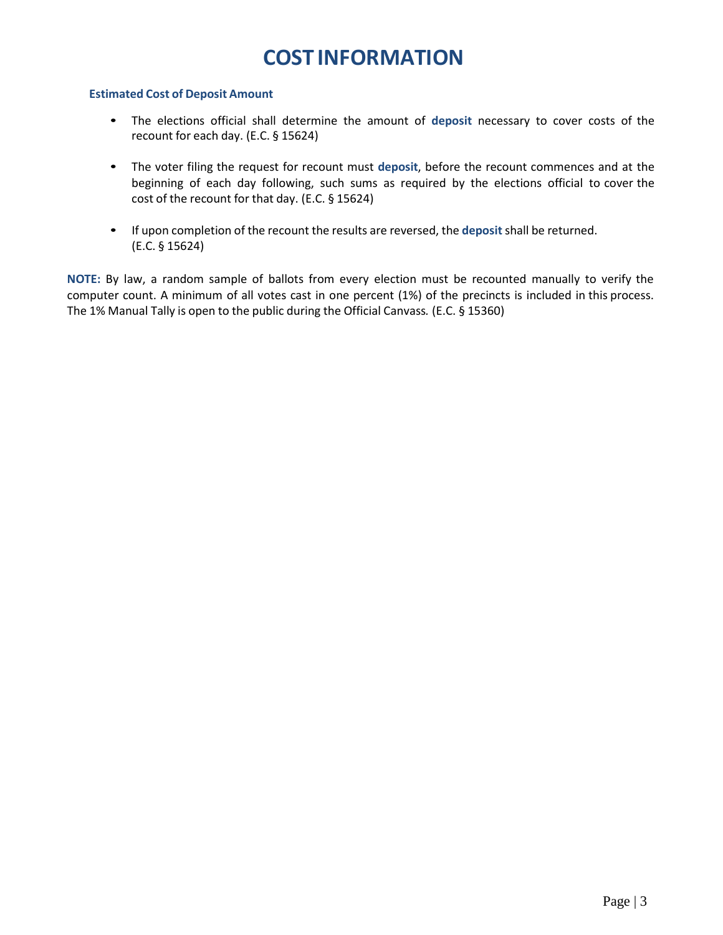## **COST INFORMATION**

#### <span id="page-5-0"></span>**Estimated Cost of Deposit Amount**

- The elections official shall determine the amount of **deposit** necessary to cover costs of the recount for each day. (E.C. § 15624)
- The voter filing the request for recount must **deposit**, before the recount commences and at the beginning of each day following, such sums as required by the elections official to cover the cost of the recount for that day. (E.C. § 15624)
- If upon completion of the recount the results are reversed, the **deposit** shall be returned. (E.C. § 15624)

**NOTE:** By law, a random sample of ballots from every election must be recounted manually to verify the computer count. A minimum of all votes cast in one percent (1%) of the precincts is included in this process. The 1% Manual Tally is open to the public during the Official Canvass*.* (E.C. § 15360)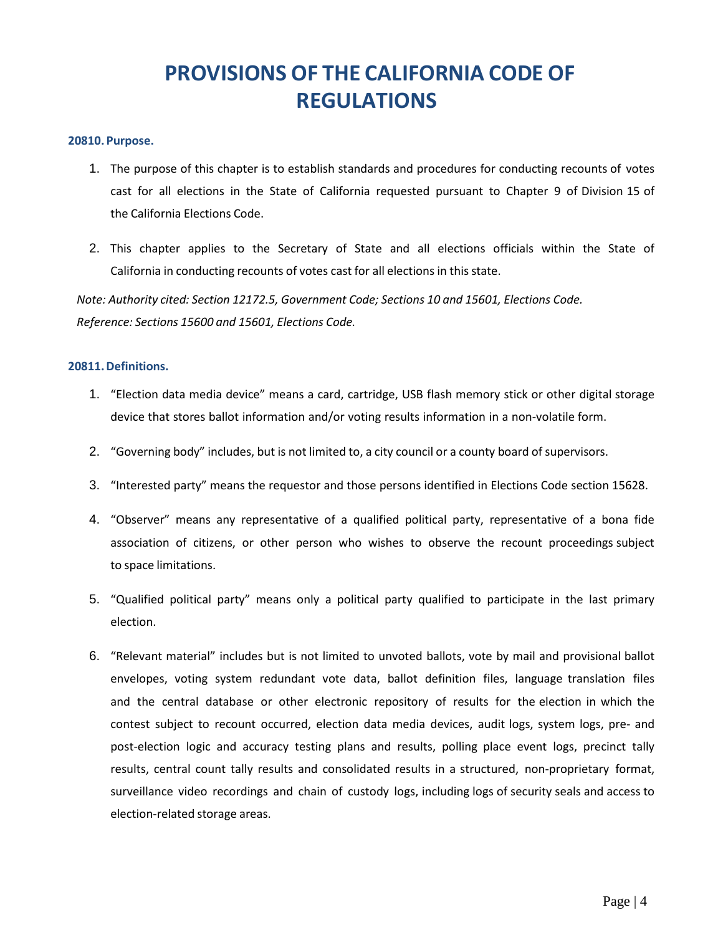# **PROVISIONS OF THE CALIFORNIA CODE OF REGULATIONS**

#### <span id="page-6-0"></span>**20810. Purpose.**

- 1. The purpose of this chapter is to establish standards and procedures for conducting recounts of votes cast for all elections in the State of California requested pursuant to Chapter 9 of Division 15 of the California Elections Code.
- 2. This chapter applies to the Secretary of State and all elections officials within the State of California in conducting recounts of votes cast for all elections in this state.

*Note: Authority cited: Section 12172.5, Government Code; Sections 10 and 15601, Elections Code. Reference: Sections 15600 and 15601, Elections Code.*

#### **20811.Definitions.**

- 1. "Election data media device" means a card, cartridge, USB flash memory stick or other digital storage device that stores ballot information and/or voting results information in a non-volatile form.
- 2. "Governing body" includes, but is not limited to, a city council or a county board of supervisors.
- 3. "Interested party" means the requestor and those persons identified in Elections Code section 15628.
- 4. "Observer" means any representative of a qualified political party, representative of a bona fide association of citizens, or other person who wishes to observe the recount proceedings subject to space limitations.
- 5. "Qualified political party" means only a political party qualified to participate in the last primary election.
- 6. "Relevant material" includes but is not limited to unvoted ballots, vote by mail and provisional ballot envelopes, voting system redundant vote data, ballot definition files, language translation files and the central database or other electronic repository of results for the election in which the contest subject to recount occurred, election data media devices, audit logs, system logs, pre- and post-election logic and accuracy testing plans and results, polling place event logs, precinct tally results, central count tally results and consolidated results in a structured, non-proprietary format, surveillance video recordings and chain of custody logs, including logs of security seals and access to election-related storage areas.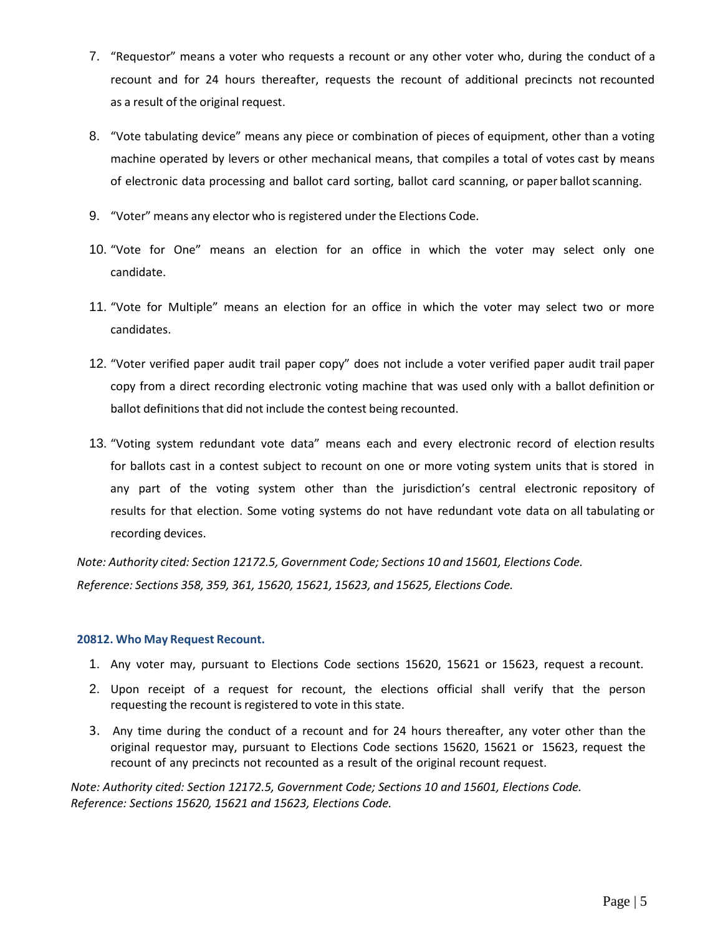- 7. "Requestor" means a voter who requests a recount or any other voter who, during the conduct of a recount and for 24 hours thereafter, requests the recount of additional precincts not recounted as a result of the original request.
- 8. "Vote tabulating device" means any piece or combination of pieces of equipment, other than a voting machine operated by levers or other mechanical means, that compiles a total of votes cast by means of electronic data processing and ballot card sorting, ballot card scanning, or paper ballotscanning.
- 9. "Voter" means any elector who is registered under the Elections Code.
- 10. "Vote for One" means an election for an office in which the voter may select only one candidate.
- 11. "Vote for Multiple" means an election for an office in which the voter may select two or more candidates.
- 12. "Voter verified paper audit trail paper copy" does not include a voter verified paper audit trail paper copy from a direct recording electronic voting machine that was used only with a ballot definition or ballot definitions that did not include the contest being recounted.
- 13. "Voting system redundant vote data" means each and every electronic record of election results for ballots cast in a contest subject to recount on one or more voting system units that is stored in any part of the voting system other than the jurisdiction's central electronic repository of results for that election. Some voting systems do not have redundant vote data on all tabulating or recording devices.

*Note: Authority cited: Section 12172.5, Government Code; Sections 10 and 15601, Elections Code. Reference: Sections 358, 359, 361, 15620, 15621, 15623, and 15625, Elections Code.*

#### **20812. Who May Request Recount.**

- 1. Any voter may, pursuant to Elections Code sections 15620, 15621 or 15623, request a recount.
- 2. Upon receipt of a request for recount, the elections official shall verify that the person requesting the recount is registered to vote in this state.
- 3. Any time during the conduct of a recount and for 24 hours thereafter, any voter other than the original requestor may, pursuant to Elections Code sections 15620, 15621 or 15623, request the recount of any precincts not recounted as a result of the original recount request.

*Note: Authority cited: Section 12172.5, Government Code; Sections 10 and 15601, Elections Code. Reference: Sections 15620, 15621 and 15623, Elections Code.*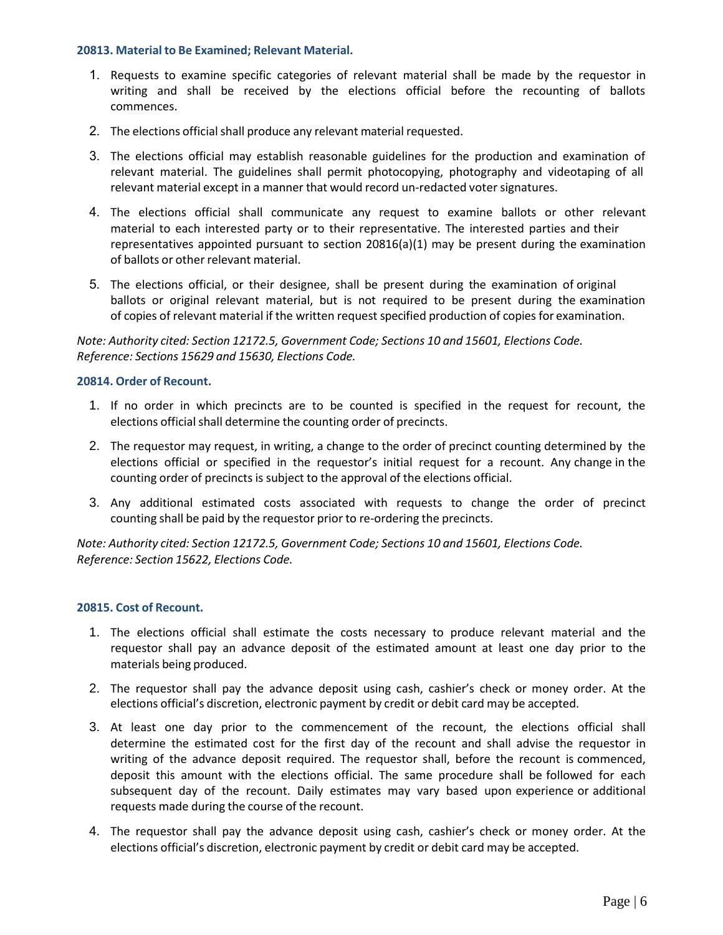#### **20813. Material to Be Examined; Relevant Material.**

- 1. Requests to examine specific categories of relevant material shall be made by the requestor in writing and shall be received by the elections official before the recounting of ballots commences.
- 2. The elections official shall produce any relevant material requested.
- 3. The elections official may establish reasonable guidelines for the production and examination of relevant material. The guidelines shall permit photocopying, photography and videotaping of all relevant material except in a manner that would record un-redacted voter signatures.
- 4. The elections official shall communicate any request to examine ballots or other relevant material to each interested party or to their representative. The interested parties and their representatives appointed pursuant to section 20816(a)(1) may be present during the examination of ballots or other relevant material.
- 5. The elections official, or their designee, shall be present during the examination of original ballots or original relevant material, but is not required to be present during the examination of copies of relevant material if the written request specified production of copies for examination.

*Note: Authority cited: Section 12172.5, Government Code; Sections 10 and 15601, Elections Code. Reference: Sections 15629 and 15630, Elections Code.*

#### **20814. Order of Recount.**

- 1. If no order in which precincts are to be counted is specified in the request for recount, the elections official shall determine the counting order of precincts.
- 2. The requestor may request, in writing, a change to the order of precinct counting determined by the elections official or specified in the requestor's initial request for a recount. Any change in the counting order of precincts is subject to the approval of the elections official.
- 3. Any additional estimated costs associated with requests to change the order of precinct counting shall be paid by the requestor prior to re-ordering the precincts.

*Note: Authority cited: Section 12172.5, Government Code; Sections 10 and 15601, Elections Code. Reference: Section 15622, Elections Code.*

#### **20815. Cost of Recount.**

- 1. The elections official shall estimate the costs necessary to produce relevant material and the requestor shall pay an advance deposit of the estimated amount at least one day prior to the materials being produced.
- 2. The requestor shall pay the advance deposit using cash, cashier's check or money order. At the elections official's discretion, electronic payment by credit or debit card may be accepted.
- 3. At least one day prior to the commencement of the recount, the elections official shall determine the estimated cost for the first day of the recount and shall advise the requestor in writing of the advance deposit required. The requestor shall, before the recount is commenced, deposit this amount with the elections official. The same procedure shall be followed for each subsequent day of the recount. Daily estimates may vary based upon experience or additional requests made during the course of the recount.
- 4. The requestor shall pay the advance deposit using cash, cashier's check or money order. At the elections official's discretion, electronic payment by credit or debit card may be accepted.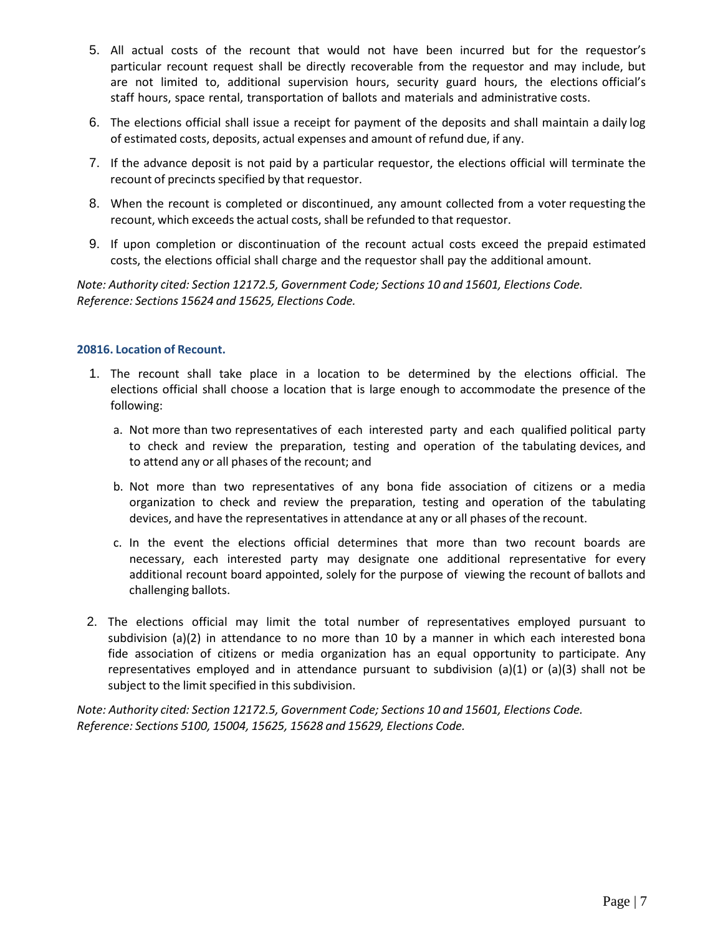- 5. All actual costs of the recount that would not have been incurred but for the requestor's particular recount request shall be directly recoverable from the requestor and may include, but are not limited to, additional supervision hours, security guard hours, the elections official's staff hours, space rental, transportation of ballots and materials and administrative costs.
- 6. The elections official shall issue a receipt for payment of the deposits and shall maintain a daily log of estimated costs, deposits, actual expenses and amount of refund due, if any.
- 7. If the advance deposit is not paid by a particular requestor, the elections official will terminate the recount of precincts specified by that requestor.
- 8. When the recount is completed or discontinued, any amount collected from a voter requesting the recount, which exceeds the actual costs, shall be refunded to that requestor.
- 9. If upon completion or discontinuation of the recount actual costs exceed the prepaid estimated costs, the elections official shall charge and the requestor shall pay the additional amount.

*Note: Authority cited: Section 12172.5, Government Code; Sections 10 and 15601, Elections Code. Reference: Sections 15624 and 15625, Elections Code.*

#### **20816. Location of Recount.**

- 1. The recount shall take place in a location to be determined by the elections official. The elections official shall choose a location that is large enough to accommodate the presence of the following:
	- a. Not more than two representatives of each interested party and each qualified political party to check and review the preparation, testing and operation of the tabulating devices, and to attend any or all phases of the recount; and
	- b. Not more than two representatives of any bona fide association of citizens or a media organization to check and review the preparation, testing and operation of the tabulating devices, and have the representatives in attendance at any or all phases of the recount.
	- c. In the event the elections official determines that more than two recount boards are necessary, each interested party may designate one additional representative for every additional recount board appointed, solely for the purpose of viewing the recount of ballots and challenging ballots.
- 2. The elections official may limit the total number of representatives employed pursuant to subdivision (a)(2) in attendance to no more than 10 by a manner in which each interested bona fide association of citizens or media organization has an equal opportunity to participate. Any representatives employed and in attendance pursuant to subdivision (a)(1) or (a)(3) shall not be subject to the limit specified in this subdivision.

*Note: Authority cited: Section 12172.5, Government Code; Sections 10 and 15601, Elections Code. Reference: Sections 5100, 15004, 15625, 15628 and 15629, Elections Code.*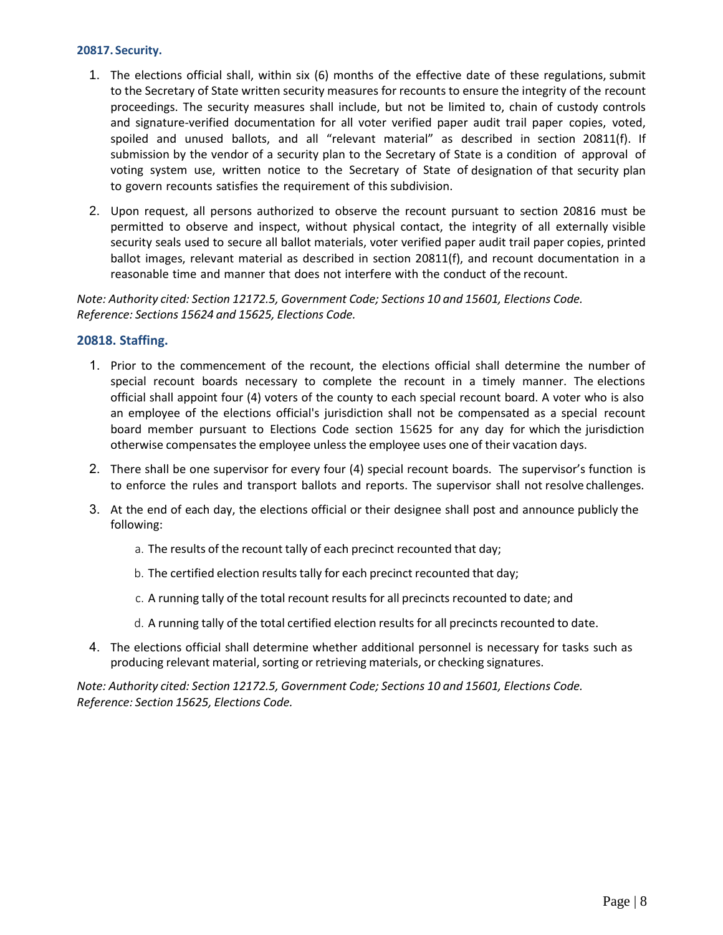#### **20817. Security.**

- 1. The elections official shall, within six (6) months of the effective date of these regulations, submit to the Secretary of State written security measures for recounts to ensure the integrity of the recount proceedings. The security measures shall include, but not be limited to, chain of custody controls and signature-verified documentation for all voter verified paper audit trail paper copies, voted, spoiled and unused ballots, and all "relevant material" as described in section 20811(f). If submission by the vendor of a security plan to the Secretary of State is a condition of approval of voting system use, written notice to the Secretary of State of designation of that security plan to govern recounts satisfies the requirement of this subdivision.
- 2. Upon request, all persons authorized to observe the recount pursuant to section 20816 must be permitted to observe and inspect, without physical contact, the integrity of all externally visible security seals used to secure all ballot materials, voter verified paper audit trail paper copies, printed ballot images, relevant material as described in section 20811(f), and recount documentation in a reasonable time and manner that does not interfere with the conduct of the recount.

*Note: Authority cited: Section 12172.5, Government Code; Sections 10 and 15601, Elections Code. Reference: Sections 15624 and 15625, Elections Code.*

#### **20818. Staffing.**

- 1. Prior to the commencement of the recount, the elections official shall determine the number of special recount boards necessary to complete the recount in a timely manner. The elections official shall appoint four (4) voters of the county to each special recount board. A voter who is also an employee of the elections official's jurisdiction shall not be compensated as a special recount board member pursuant to Elections Code section 15625 for any day for which the jurisdiction otherwise compensates the employee unless the employee uses one of their vacation days.
- 2. There shall be one supervisor for every four (4) special recount boards. The supervisor's function is to enforce the rules and transport ballots and reports. The supervisor shall not resolve challenges.
- 3. At the end of each day, the elections official or their designee shall post and announce publicly the following:
	- a. The results of the recount tally of each precinct recounted that day;
	- b. The certified election results tally for each precinct recounted that day;
	- c. A running tally of the total recount results for all precincts recounted to date; and
	- d. A running tally of the total certified election results for all precincts recounted to date.
- 4. The elections official shall determine whether additional personnel is necessary for tasks such as producing relevant material, sorting or retrieving materials, or checking signatures.

*Note: Authority cited: Section 12172.5, Government Code; Sections 10 and 15601, Elections Code. Reference: Section 15625, Elections Code.*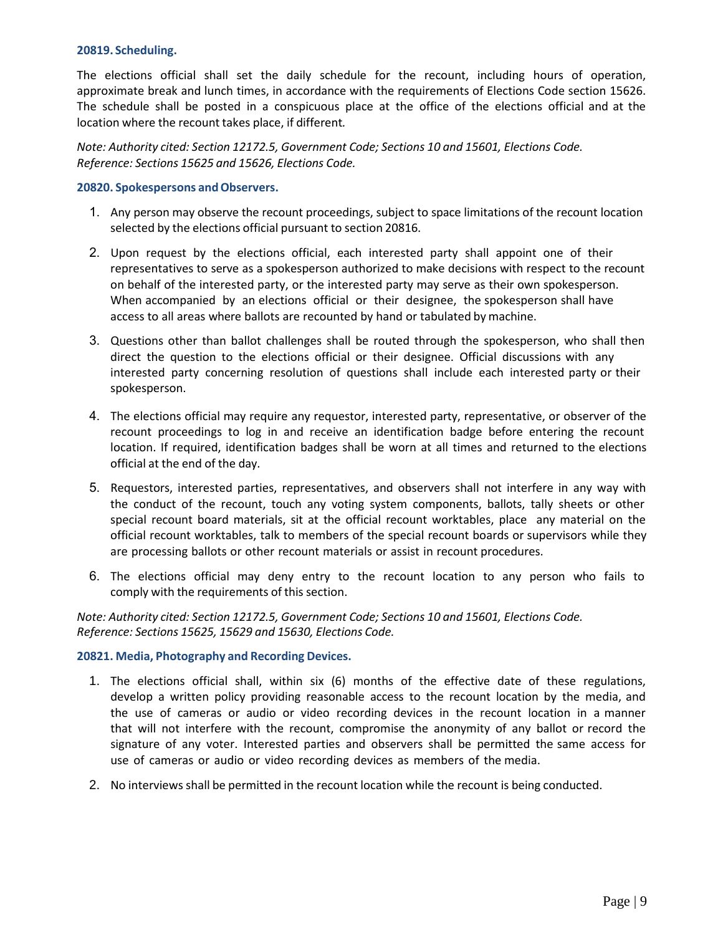#### **20819. Scheduling.**

The elections official shall set the daily schedule for the recount, including hours of operation, approximate break and lunch times, in accordance with the requirements of Elections Code section 15626. The schedule shall be posted in a conspicuous place at the office of the elections official and at the location where the recount takes place, if different*.*

*Note: Authority cited: Section 12172.5, Government Code; Sections 10 and 15601, Elections Code. Reference: Sections 15625 and 15626, Elections Code.*

#### **20820. Spokespersons andObservers.**

- 1. Any person may observe the recount proceedings, subject to space limitations of the recount location selected by the elections official pursuant to section 20816.
- 2. Upon request by the elections official, each interested party shall appoint one of their representatives to serve as a spokesperson authorized to make decisions with respect to the recount on behalf of the interested party, or the interested party may serve as their own spokesperson. When accompanied by an elections official or their designee, the spokesperson shall have access to all areas where ballots are recounted by hand or tabulated by machine.
- 3. Questions other than ballot challenges shall be routed through the spokesperson, who shall then direct the question to the elections official or their designee. Official discussions with any interested party concerning resolution of questions shall include each interested party or their spokesperson.
- 4. The elections official may require any requestor, interested party, representative, or observer of the recount proceedings to log in and receive an identification badge before entering the recount location. If required, identification badges shall be worn at all times and returned to the elections official at the end of the day.
- 5. Requestors, interested parties, representatives, and observers shall not interfere in any way with the conduct of the recount, touch any voting system components, ballots, tally sheets or other special recount board materials, sit at the official recount worktables, place any material on the official recount worktables, talk to members of the special recount boards or supervisors while they are processing ballots or other recount materials or assist in recount procedures.
- 6. The elections official may deny entry to the recount location to any person who fails to comply with the requirements of this section.

*Note: Authority cited: Section 12172.5, Government Code; Sections 10 and 15601, Elections Code. Reference: Sections 15625, 15629 and 15630, Elections Code.*

#### **20821. Media, Photography and Recording Devices.**

- 1. The elections official shall, within six (6) months of the effective date of these regulations, develop a written policy providing reasonable access to the recount location by the media, and the use of cameras or audio or video recording devices in the recount location in a manner that will not interfere with the recount, compromise the anonymity of any ballot or record the signature of any voter. Interested parties and observers shall be permitted the same access for use of cameras or audio or video recording devices as members of the media.
- 2. No interviews shall be permitted in the recount location while the recount is being conducted.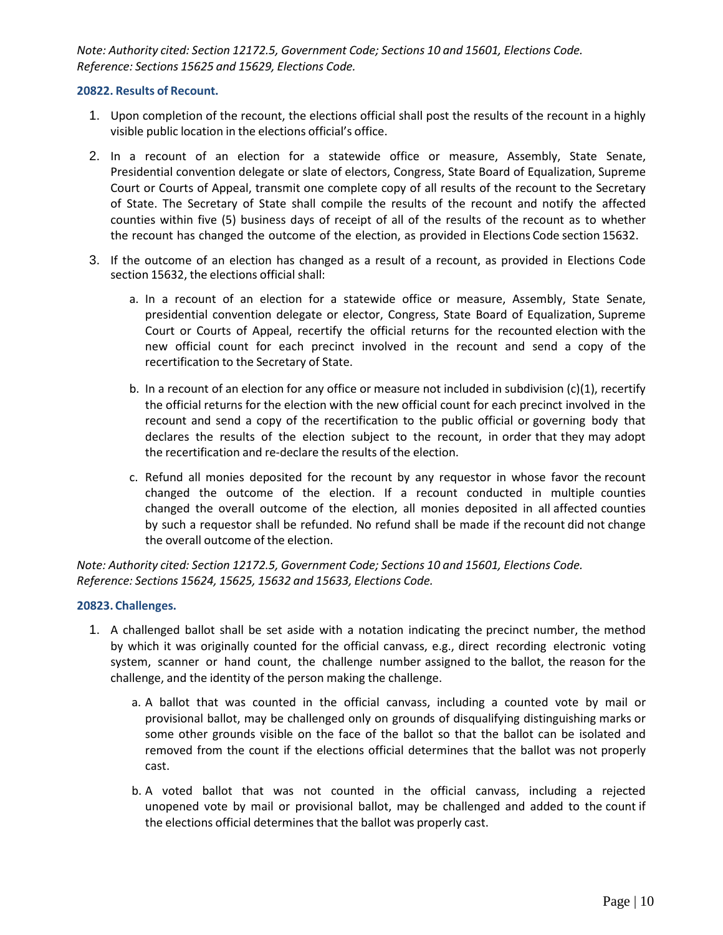*Note: Authority cited: Section 12172.5, Government Code; Sections 10 and 15601, Elections Code. Reference: Sections 15625 and 15629, Elections Code.*

#### **20822. Results of Recount.**

- 1. Upon completion of the recount, the elections official shall post the results of the recount in a highly visible public location in the elections official's office.
- 2. In a recount of an election for a statewide office or measure, Assembly, State Senate, Presidential convention delegate or slate of electors, Congress, State Board of Equalization, Supreme Court or Courts of Appeal, transmit one complete copy of all results of the recount to the Secretary of State. The Secretary of State shall compile the results of the recount and notify the affected counties within five (5) business days of receipt of all of the results of the recount as to whether the recount has changed the outcome of the election, as provided in Elections Code section 15632.
- 3. If the outcome of an election has changed as a result of a recount, as provided in Elections Code section 15632, the elections official shall:
	- a. In a recount of an election for a statewide office or measure, Assembly, State Senate, presidential convention delegate or elector, Congress, State Board of Equalization, Supreme Court or Courts of Appeal, recertify the official returns for the recounted election with the new official count for each precinct involved in the recount and send a copy of the recertification to the Secretary of State.
	- b. In a recount of an election for any office or measure not included in subdivision  $(c)(1)$ , recertify the official returns for the election with the new official count for each precinct involved in the recount and send a copy of the recertification to the public official or governing body that declares the results of the election subject to the recount, in order that they may adopt the recertification and re-declare the results of the election.
	- c. Refund all monies deposited for the recount by any requestor in whose favor the recount changed the outcome of the election. If a recount conducted in multiple counties changed the overall outcome of the election, all monies deposited in all affected counties by such a requestor shall be refunded. No refund shall be made if the recount did not change the overall outcome of the election.

*Note: Authority cited: Section 12172.5, Government Code; Sections 10 and 15601, Elections Code. Reference: Sections 15624, 15625, 15632 and 15633, Elections Code.*

#### **20823. Challenges.**

- 1. A challenged ballot shall be set aside with a notation indicating the precinct number, the method by which it was originally counted for the official canvass, e.g., direct recording electronic voting system, scanner or hand count, the challenge number assigned to the ballot, the reason for the challenge, and the identity of the person making the challenge.
	- a. A ballot that was counted in the official canvass, including a counted vote by mail or provisional ballot, may be challenged only on grounds of disqualifying distinguishing marks or some other grounds visible on the face of the ballot so that the ballot can be isolated and removed from the count if the elections official determines that the ballot was not properly cast.
	- b. A voted ballot that was not counted in the official canvass, including a rejected unopened vote by mail or provisional ballot, may be challenged and added to the count if the elections official determines that the ballot was properly cast.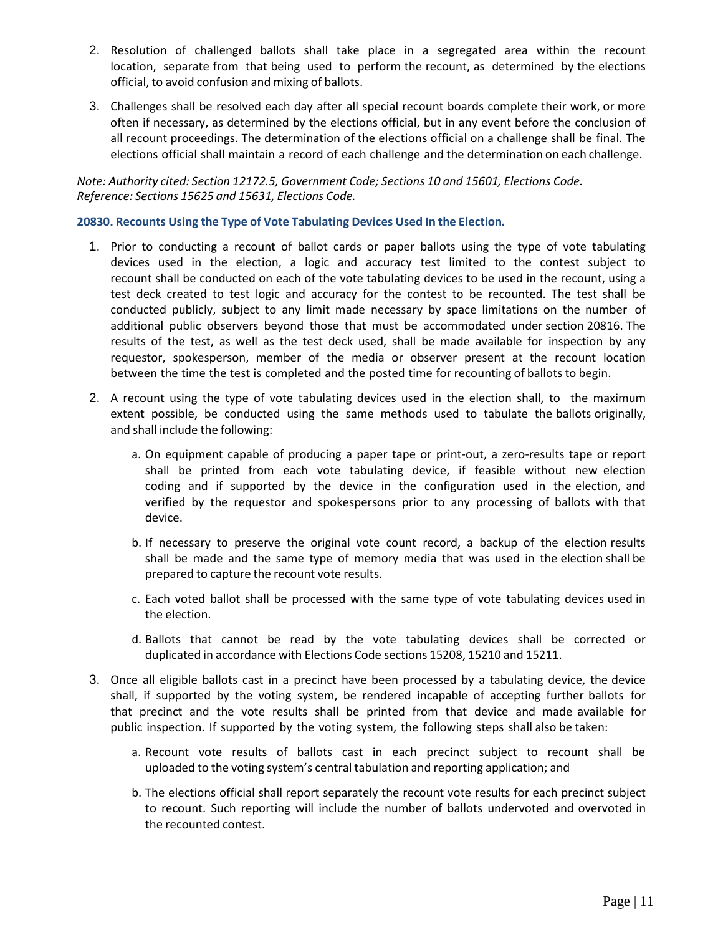- 2. Resolution of challenged ballots shall take place in a segregated area within the recount location, separate from that being used to perform the recount, as determined by the elections official, to avoid confusion and mixing of ballots.
- 3. Challenges shall be resolved each day after all special recount boards complete their work, or more often if necessary, as determined by the elections official, but in any event before the conclusion of all recount proceedings. The determination of the elections official on a challenge shall be final. The elections official shall maintain a record of each challenge and the determination on each challenge.

*Note: Authority cited: Section 12172.5, Government Code; Sections 10 and 15601, Elections Code. Reference: Sections 15625 and 15631, Elections Code.*

#### **20830. Recounts Using the Type of Vote Tabulating Devices Used In the Election***.*

- 1. Prior to conducting a recount of ballot cards or paper ballots using the type of vote tabulating devices used in the election, a logic and accuracy test limited to the contest subject to recount shall be conducted on each of the vote tabulating devices to be used in the recount, using a test deck created to test logic and accuracy for the contest to be recounted. The test shall be conducted publicly, subject to any limit made necessary by space limitations on the number of additional public observers beyond those that must be accommodated under section 20816. The results of the test, as well as the test deck used, shall be made available for inspection by any requestor, spokesperson, member of the media or observer present at the recount location between the time the test is completed and the posted time for recounting of ballots to begin.
- 2. A recount using the type of vote tabulating devices used in the election shall, to the maximum extent possible, be conducted using the same methods used to tabulate the ballots originally, and shall include the following:
	- a. On equipment capable of producing a paper tape or print-out, a zero-results tape or report shall be printed from each vote tabulating device, if feasible without new election coding and if supported by the device in the configuration used in the election, and verified by the requestor and spokespersons prior to any processing of ballots with that device.
	- b. If necessary to preserve the original vote count record, a backup of the election results shall be made and the same type of memory media that was used in the election shall be prepared to capture the recount vote results.
	- c. Each voted ballot shall be processed with the same type of vote tabulating devices used in the election.
	- d. Ballots that cannot be read by the vote tabulating devices shall be corrected or duplicated in accordance with Elections Code sections 15208, 15210 and 15211.
- 3. Once all eligible ballots cast in a precinct have been processed by a tabulating device, the device shall, if supported by the voting system, be rendered incapable of accepting further ballots for that precinct and the vote results shall be printed from that device and made available for public inspection. If supported by the voting system, the following steps shall also be taken:
	- a. Recount vote results of ballots cast in each precinct subject to recount shall be uploaded to the voting system's central tabulation and reporting application; and
	- b. The elections official shall report separately the recount vote results for each precinct subject to recount. Such reporting will include the number of ballots undervoted and overvoted in the recounted contest.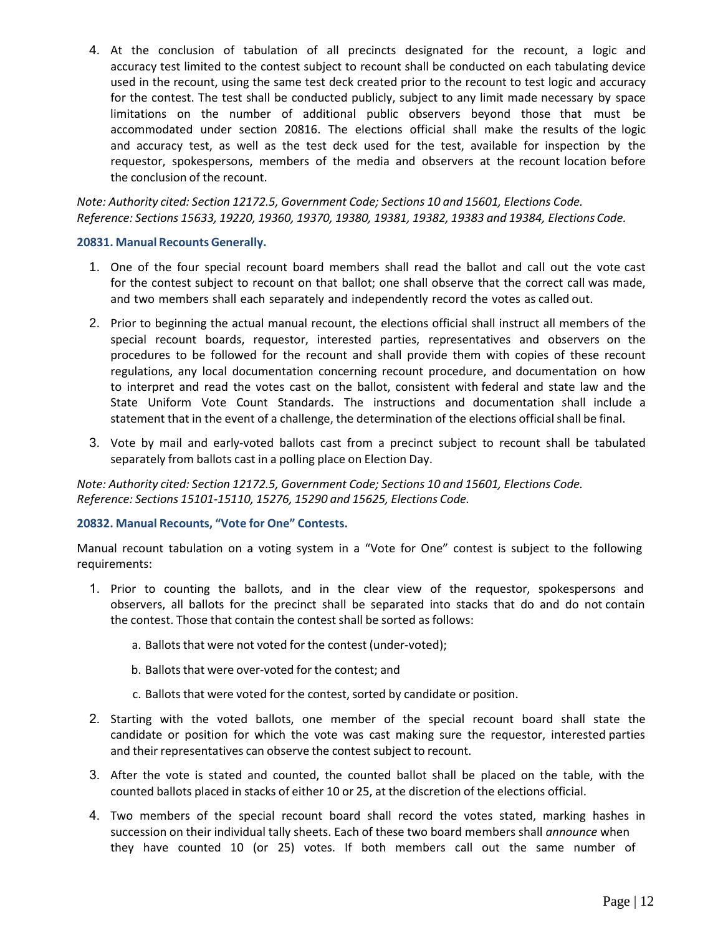4. At the conclusion of tabulation of all precincts designated for the recount, a logic and accuracy test limited to the contest subject to recount shall be conducted on each tabulating device used in the recount, using the same test deck created prior to the recount to test logic and accuracy for the contest. The test shall be conducted publicly, subject to any limit made necessary by space limitations on the number of additional public observers beyond those that must be accommodated under section 20816. The elections official shall make the results of the logic and accuracy test, as well as the test deck used for the test, available for inspection by the requestor, spokespersons, members of the media and observers at the recount location before the conclusion of the recount.

*Note: Authority cited: Section 12172.5, Government Code; Sections 10 and 15601, Elections Code. Reference: Sections 15633, 19220, 19360, 19370, 19380, 19381, 19382, 19383 and 19384, Elections Code.*

#### **20831. Manual Recounts Generally.**

- 1. One of the four special recount board members shall read the ballot and call out the vote cast for the contest subject to recount on that ballot; one shall observe that the correct call was made, and two members shall each separately and independently record the votes as called out.
- 2. Prior to beginning the actual manual recount, the elections official shall instruct all members of the special recount boards, requestor, interested parties, representatives and observers on the procedures to be followed for the recount and shall provide them with copies of these recount regulations, any local documentation concerning recount procedure, and documentation on how to interpret and read the votes cast on the ballot, consistent with federal and state law and the State Uniform Vote Count Standards. The instructions and documentation shall include a statement that in the event of a challenge, the determination of the elections official shall be final.
- 3. Vote by mail and early-voted ballots cast from a precinct subject to recount shall be tabulated separately from ballots cast in a polling place on Election Day.

*Note: Authority cited: Section 12172.5, Government Code; Sections 10 and 15601, Elections Code. Reference: Sections 15101-15110, 15276, 15290 and 15625, Elections Code.*

#### **20832. Manual Recounts, "Vote for One" Contests.**

Manual recount tabulation on a voting system in a "Vote for One" contest is subject to the following requirements:

- 1. Prior to counting the ballots, and in the clear view of the requestor, spokespersons and observers, all ballots for the precinct shall be separated into stacks that do and do not contain the contest. Those that contain the contest shall be sorted as follows:
	- a. Ballots that were not voted for the contest (under-voted);
	- b. Ballots that were over-voted for the contest; and
	- c. Ballots that were voted for the contest, sorted by candidate or position.
- 2. Starting with the voted ballots, one member of the special recount board shall state the candidate or position for which the vote was cast making sure the requestor, interested parties and their representatives can observe the contest subject to recount.
- 3. After the vote is stated and counted, the counted ballot shall be placed on the table, with the counted ballots placed in stacks of either 10 or 25, at the discretion of the elections official.
- 4. Two members of the special recount board shall record the votes stated, marking hashes in succession on their individual tally sheets. Each of these two board members shall *announce* when they have counted 10 (or 25) votes. If both members call out the same number of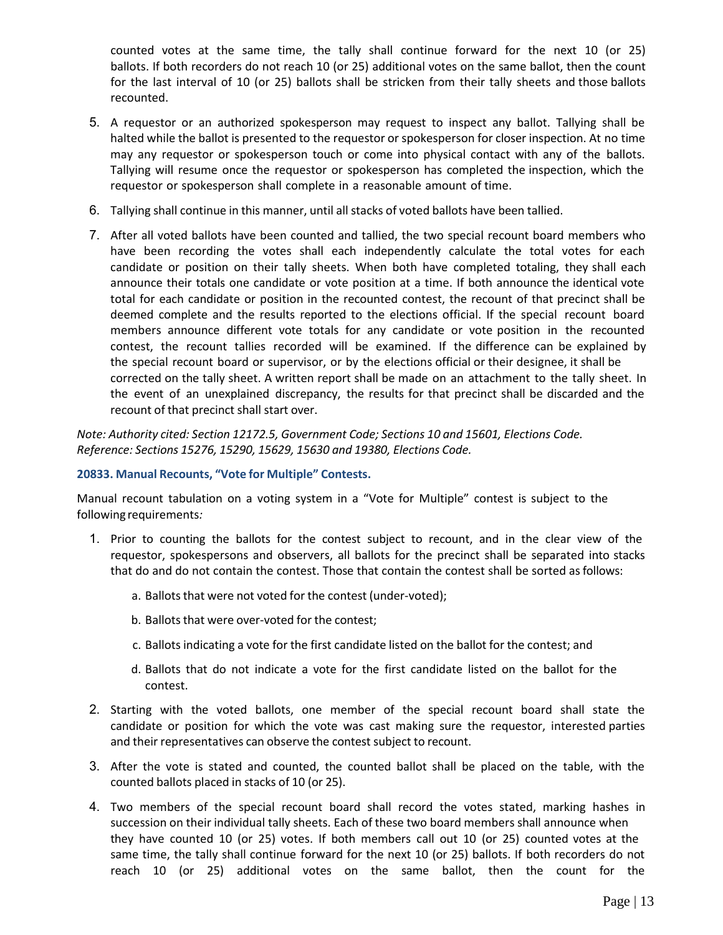counted votes at the same time, the tally shall continue forward for the next 10 (or 25) ballots. If both recorders do not reach 10 (or 25) additional votes on the same ballot, then the count for the last interval of 10 (or 25) ballots shall be stricken from their tally sheets and those ballots recounted.

- 5. A requestor or an authorized spokesperson may request to inspect any ballot. Tallying shall be halted while the ballot is presented to the requestor or spokesperson for closer inspection. At no time may any requestor or spokesperson touch or come into physical contact with any of the ballots. Tallying will resume once the requestor or spokesperson has completed the inspection, which the requestor or spokesperson shall complete in a reasonable amount of time.
- 6. Tallying shall continue in this manner, until allstacks of voted ballots have been tallied.
- 7. After all voted ballots have been counted and tallied, the two special recount board members who have been recording the votes shall each independently calculate the total votes for each candidate or position on their tally sheets. When both have completed totaling, they shall each announce their totals one candidate or vote position at a time. If both announce the identical vote total for each candidate or position in the recounted contest, the recount of that precinct shall be deemed complete and the results reported to the elections official. If the special recount board members announce different vote totals for any candidate or vote position in the recounted contest, the recount tallies recorded will be examined. If the difference can be explained by the special recount board or supervisor, or by the elections official or their designee, it shall be corrected on the tally sheet. A written report shall be made on an attachment to the tally sheet. In the event of an unexplained discrepancy, the results for that precinct shall be discarded and the recount of that precinct shall start over.

*Note: Authority cited: Section 12172.5, Government Code; Sections 10 and 15601, Elections Code. Reference: Sections 15276, 15290, 15629, 15630 and 19380, Elections Code.*

#### **20833. Manual Recounts, "Vote for Multiple" Contests.**

Manual recount tabulation on a voting system in a "Vote for Multiple" contest is subject to the following requirements*:*

- 1. Prior to counting the ballots for the contest subject to recount, and in the clear view of the requestor, spokespersons and observers, all ballots for the precinct shall be separated into stacks that do and do not contain the contest. Those that contain the contest shall be sorted asfollows:
	- a. Ballots that were not voted for the contest (under-voted);
	- b. Ballots that were over-voted for the contest;
	- c. Ballots indicating a vote for the first candidate listed on the ballot for the contest; and
	- d. Ballots that do not indicate a vote for the first candidate listed on the ballot for the contest.
- 2. Starting with the voted ballots, one member of the special recount board shall state the candidate or position for which the vote was cast making sure the requestor, interested parties and their representatives can observe the contest subject to recount.
- 3. After the vote is stated and counted, the counted ballot shall be placed on the table, with the counted ballots placed in stacks of 10 (or 25).
- 4. Two members of the special recount board shall record the votes stated, marking hashes in succession on their individual tally sheets. Each of these two board members shall announce when they have counted 10 (or 25) votes. If both members call out 10 (or 25) counted votes at the same time, the tally shall continue forward for the next 10 (or 25) ballots. If both recorders do not reach 10 (or 25) additional votes on the same ballot, then the count for the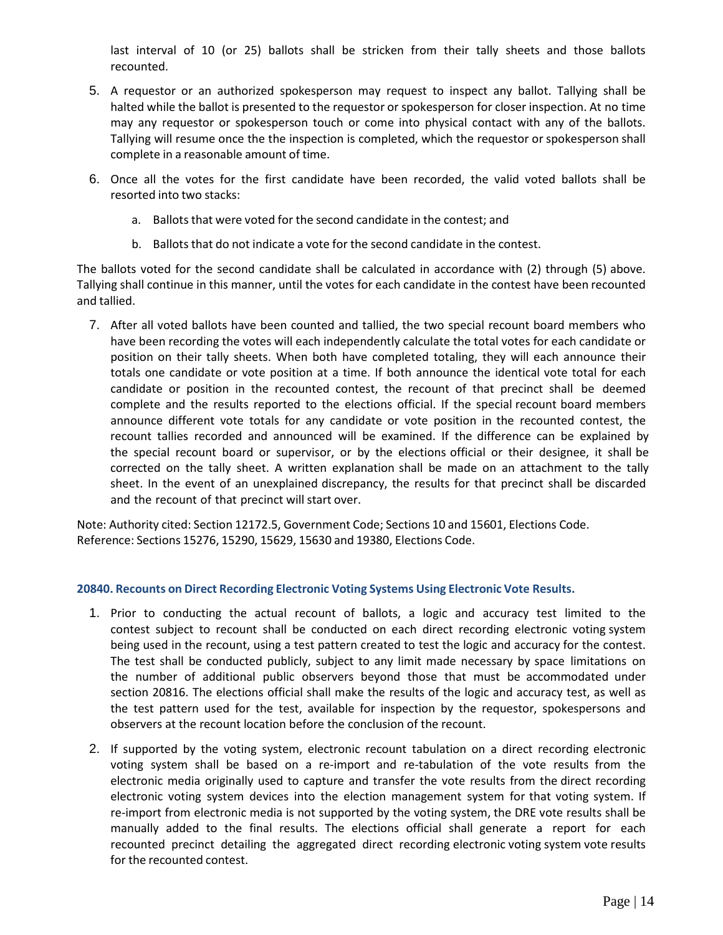last interval of 10 (or 25) ballots shall be stricken from their tally sheets and those ballots recounted.

- 5. A requestor or an authorized spokesperson may request to inspect any ballot. Tallying shall be halted while the ballot is presented to the requestor or spokesperson for closer inspection. At no time may any requestor or spokesperson touch or come into physical contact with any of the ballots. Tallying will resume once the the inspection is completed, which the requestor or spokesperson shall complete in a reasonable amount of time.
- 6. Once all the votes for the first candidate have been recorded, the valid voted ballots shall be resorted into two stacks:
	- a. Ballots that were voted for the second candidate in the contest; and
	- b. Ballots that do not indicate a vote for the second candidate in the contest.

The ballots voted for the second candidate shall be calculated in accordance with (2) through (5) above. Tallying shall continue in this manner, until the votes for each candidate in the contest have been recounted and tallied.

7. After all voted ballots have been counted and tallied, the two special recount board members who have been recording the votes will each independently calculate the total votes for each candidate or position on their tally sheets. When both have completed totaling, they will each announce their totals one candidate or vote position at a time. If both announce the identical vote total for each candidate or position in the recounted contest, the recount of that precinct shall be deemed complete and the results reported to the elections official. If the special recount board members announce different vote totals for any candidate or vote position in the recounted contest, the recount tallies recorded and announced will be examined. If the difference can be explained by the special recount board or supervisor, or by the elections official or their designee, it shall be corrected on the tally sheet. A written explanation shall be made on an attachment to the tally sheet. In the event of an unexplained discrepancy, the results for that precinct shall be discarded and the recount of that precinct will start over.

Note: Authority cited: Section 12172.5, Government Code; Sections 10 and 15601, Elections Code. Reference: Sections 15276, 15290, 15629, 15630 and 19380, Elections Code.

#### **20840. Recounts on Direct Recording Electronic Voting Systems Using Electronic Vote Results.**

- 1. Prior to conducting the actual recount of ballots, a logic and accuracy test limited to the contest subject to recount shall be conducted on each direct recording electronic voting system being used in the recount, using a test pattern created to test the logic and accuracy for the contest. The test shall be conducted publicly, subject to any limit made necessary by space limitations on the number of additional public observers beyond those that must be accommodated under section 20816. The elections official shall make the results of the logic and accuracy test, as well as the test pattern used for the test, available for inspection by the requestor, spokespersons and observers at the recount location before the conclusion of the recount.
- 2. If supported by the voting system, electronic recount tabulation on a direct recording electronic voting system shall be based on a re-import and re-tabulation of the vote results from the electronic media originally used to capture and transfer the vote results from the direct recording electronic voting system devices into the election management system for that voting system. If re-import from electronic media is not supported by the voting system, the DRE vote results shall be manually added to the final results. The elections official shall generate a report for each recounted precinct detailing the aggregated direct recording electronic voting system vote results for the recounted contest.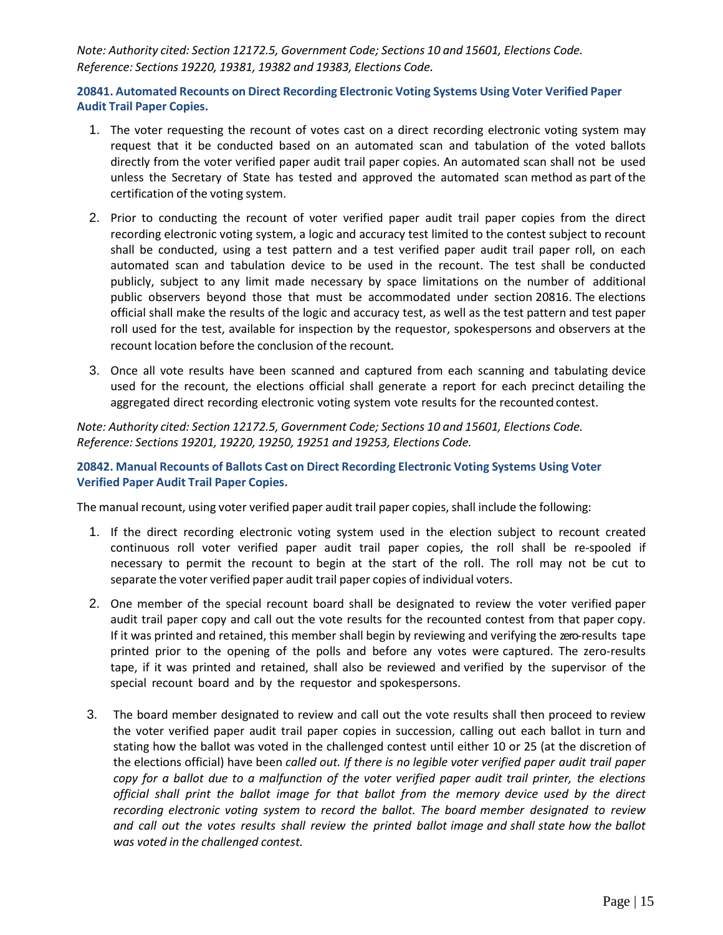*Note: Authority cited: Section 12172.5, Government Code; Sections 10 and 15601, Elections Code. Reference: Sections 19220, 19381, 19382 and 19383, Elections Code.*

**20841. Automated Recounts on Direct Recording Electronic Voting Systems Using Voter Verified Paper Audit Trail Paper Copies.**

- 1. The voter requesting the recount of votes cast on a direct recording electronic voting system may request that it be conducted based on an automated scan and tabulation of the voted ballots directly from the voter verified paper audit trail paper copies. An automated scan shall not be used unless the Secretary of State has tested and approved the automated scan method as part of the certification of the voting system.
- 2. Prior to conducting the recount of voter verified paper audit trail paper copies from the direct recording electronic voting system, a logic and accuracy test limited to the contest subject to recount shall be conducted, using a test pattern and a test verified paper audit trail paper roll, on each automated scan and tabulation device to be used in the recount. The test shall be conducted publicly, subject to any limit made necessary by space limitations on the number of additional public observers beyond those that must be accommodated under section 20816. The elections official shall make the results of the logic and accuracy test, as well as the test pattern and test paper roll used for the test, available for inspection by the requestor, spokespersons and observers at the recount location before the conclusion of the recount*.*
- 3. Once all vote results have been scanned and captured from each scanning and tabulating device used for the recount, the elections official shall generate a report for each precinct detailing the aggregated direct recording electronic voting system vote results for the recounted contest.

*Note: Authority cited: Section 12172.5, Government Code; Sections 10 and 15601, Elections Code. Reference: Sections 19201, 19220, 19250, 19251 and 19253, Elections Code.*

**20842. Manual Recounts of Ballots Cast on Direct Recording Electronic Voting Systems Using Voter Verified Paper Audit Trail Paper Copies.**

The manual recount, using voter verified paper audit trail paper copies, shall include the following:

- 1. If the direct recording electronic voting system used in the election subject to recount created continuous roll voter verified paper audit trail paper copies, the roll shall be re-spooled if necessary to permit the recount to begin at the start of the roll. The roll may not be cut to separate the voter verified paper audit trail paper copies of individual voters.
- 2. One member of the special recount board shall be designated to review the voter verified paper audit trail paper copy and call out the vote results for the recounted contest from that paper copy. If it was printed and retained, this member shall begin by reviewing and verifying the zero-results tape printed prior to the opening of the polls and before any votes were captured. The zero-results tape, if it was printed and retained, shall also be reviewed and verified by the supervisor of the special recount board and by the requestor and spokespersons.
- 3. The board member designated to review and call out the vote results shall then proceed to review the voter verified paper audit trail paper copies in succession, calling out each ballot in turn and stating how the ballot was voted in the challenged contest until either 10 or 25 (at the discretion of the elections official) have been *called out. If there is no legible voter verified paper audit trail paper* copy for a ballot due to a malfunction of the voter verified paper audit trail printer, the elections *official shall print the ballot image for that ballot from the memory device used by the direct recording electronic voting system to record the ballot. The board member designated to review* and call out the votes results shall review the printed ballot image and shall state how the ballot *was voted in the challenged contest.*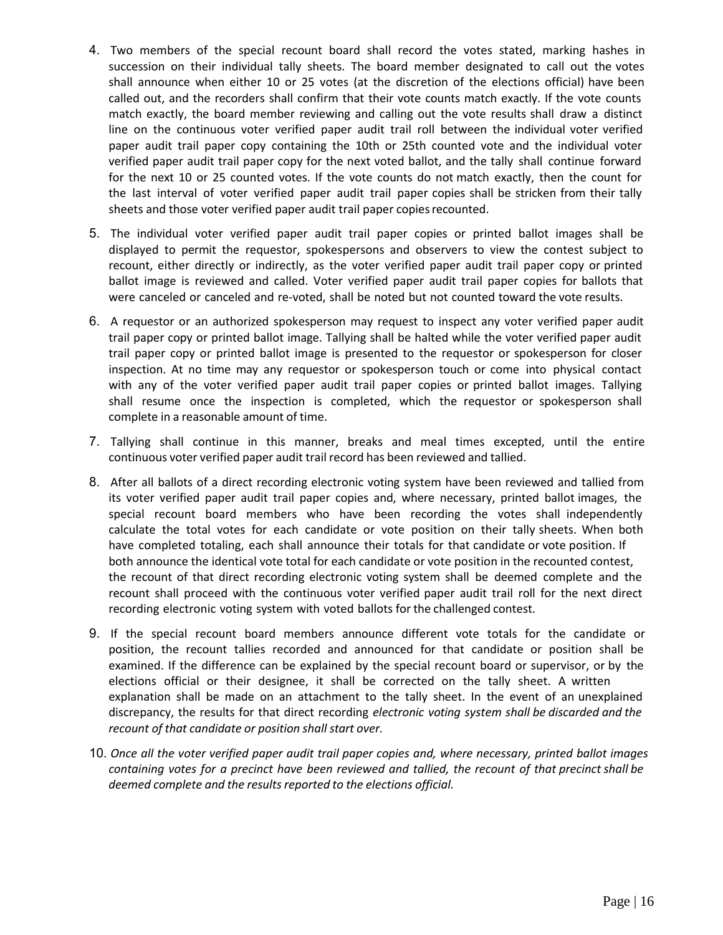- 4. Two members of the special recount board shall record the votes stated, marking hashes in succession on their individual tally sheets. The board member designated to call out the votes shall announce when either 10 or 25 votes (at the discretion of the elections official) have been called out, and the recorders shall confirm that their vote counts match exactly. If the vote counts match exactly, the board member reviewing and calling out the vote results shall draw a distinct line on the continuous voter verified paper audit trail roll between the individual voter verified paper audit trail paper copy containing the 10th or 25th counted vote and the individual voter verified paper audit trail paper copy for the next voted ballot, and the tally shall continue forward for the next 10 or 25 counted votes. If the vote counts do not match exactly, then the count for the last interval of voter verified paper audit trail paper copies shall be stricken from their tally sheets and those voter verified paper audit trail paper copies recounted.
- 5. The individual voter verified paper audit trail paper copies or printed ballot images shall be displayed to permit the requestor, spokespersons and observers to view the contest subject to recount, either directly or indirectly, as the voter verified paper audit trail paper copy or printed ballot image is reviewed and called. Voter verified paper audit trail paper copies for ballots that were canceled or canceled and re-voted, shall be noted but not counted toward the vote results.
- 6. A requestor or an authorized spokesperson may request to inspect any voter verified paper audit trail paper copy or printed ballot image. Tallying shall be halted while the voter verified paper audit trail paper copy or printed ballot image is presented to the requestor or spokesperson for closer inspection. At no time may any requestor or spokesperson touch or come into physical contact with any of the voter verified paper audit trail paper copies or printed ballot images. Tallying shall resume once the inspection is completed, which the requestor or spokesperson shall complete in a reasonable amount of time.
- 7. Tallying shall continue in this manner, breaks and meal times excepted, until the entire continuous voter verified paper audit trail record has been reviewed and tallied.
- 8. After all ballots of a direct recording electronic voting system have been reviewed and tallied from its voter verified paper audit trail paper copies and, where necessary, printed ballot images, the special recount board members who have been recording the votes shall independently calculate the total votes for each candidate or vote position on their tally sheets. When both have completed totaling, each shall announce their totals for that candidate or vote position. If both announce the identical vote total for each candidate or vote position in the recounted contest, the recount of that direct recording electronic voting system shall be deemed complete and the recount shall proceed with the continuous voter verified paper audit trail roll for the next direct recording electronic voting system with voted ballots for the challenged contest.
- 9. If the special recount board members announce different vote totals for the candidate or position, the recount tallies recorded and announced for that candidate or position shall be examined. If the difference can be explained by the special recount board or supervisor, or by the elections official or their designee, it shall be corrected on the tally sheet. A written explanation shall be made on an attachment to the tally sheet. In the event of an unexplained discrepancy, the results for that direct recording *electronic voting system shall be discarded and the recount of that candidate or position shall start over.*
- 10. *Once all the voter verified paper audit trail paper copies and, where necessary, printed ballot images containing votes for a precinct have been reviewed and tallied, the recount of that precinct shall be deemed complete and the resultsreported to the elections official.*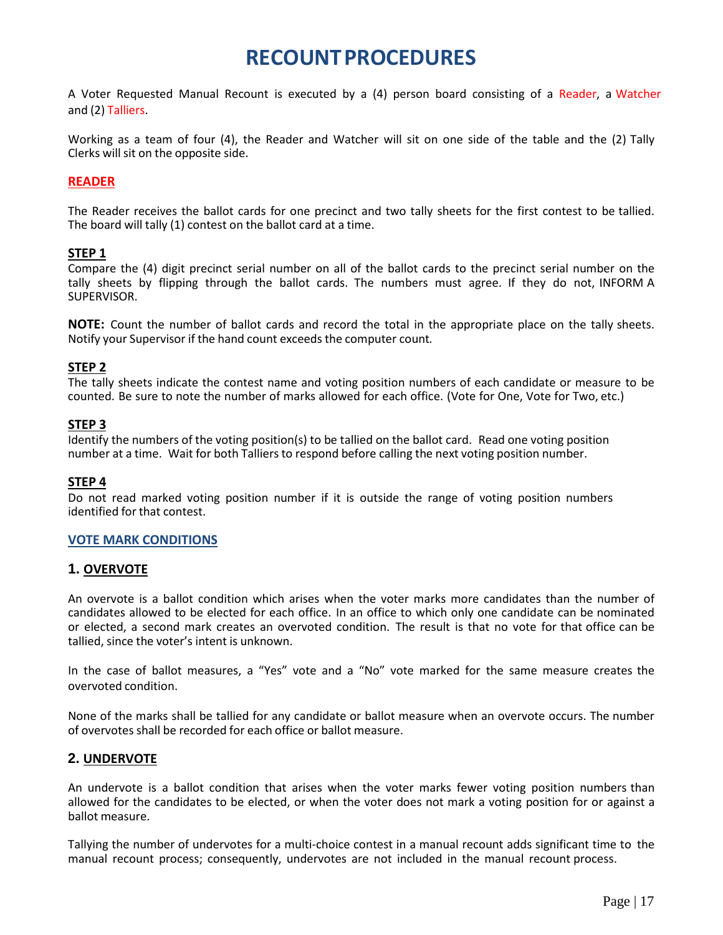### **RECOUNT PROCEDURES**

<span id="page-19-0"></span>A Voter Requested Manual Recount is executed by a (4) person board consisting of a Reader, a Watcher and (2) Talliers.

Working as a team of four (4), the Reader and Watcher will sit on one side of the table and the (2) Tally Clerks will sit on the opposite side.

#### **READER**

The Reader receives the ballot cards for one precinct and two tally sheets for the first contest to be tallied. The board will tally (1) contest on the ballot card at a time.

#### **STEP 1**

Compare the (4) digit precinct serial number on all of the ballot cards to the precinct serial number on the tally sheets by flipping through the ballot cards. The numbers must agree. If they do not, INFORM A SUPERVISOR.

**NOTE:** Count the number of ballot cards and record the total in the appropriate place on the tally sheets. Notify your Supervisor if the hand count exceeds the computer count*.*

#### **STEP 2**

The tally sheets indicate the contest name and voting position numbers of each candidate or measure to be counted. Be sure to note the number of marks allowed for each office. (Vote for One, Vote for Two, etc.)

#### **STEP 3**

Identify the numbers of the voting position(s) to be tallied on the ballot card. Read one voting position number at a time. Wait for both Talliers to respond before calling the next voting position number.

#### **STEP 4**

Do not read marked voting position number if it is outside the range of voting position numbers identified for that contest.

#### **VOTE MARK CONDITIONS**

#### **1. OVERVOTE**

An overvote is a ballot condition which arises when the voter marks more candidates than the number of candidates allowed to be elected for each office. In an office to which only one candidate can be nominated or elected, a second mark creates an overvoted condition. The result is that no vote for that office can be tallied, since the voter's intent is unknown.

In the case of ballot measures, a "Yes" vote and a "No" vote marked for the same measure creates the overvoted condition.

None of the marks shall be tallied for any candidate or ballot measure when an overvote occurs. The number of overvotes shall be recorded for each office or ballot measure.

#### **2. UNDERVOTE**

An undervote is a ballot condition that arises when the voter marks fewer voting position numbers than allowed for the candidates to be elected, or when the voter does not mark a voting position for or against a ballot measure.

Tallying the number of undervotes for a multi-choice contest in a manual recount adds significant time to the manual recount process; consequently, undervotes are not included in the manual recount process.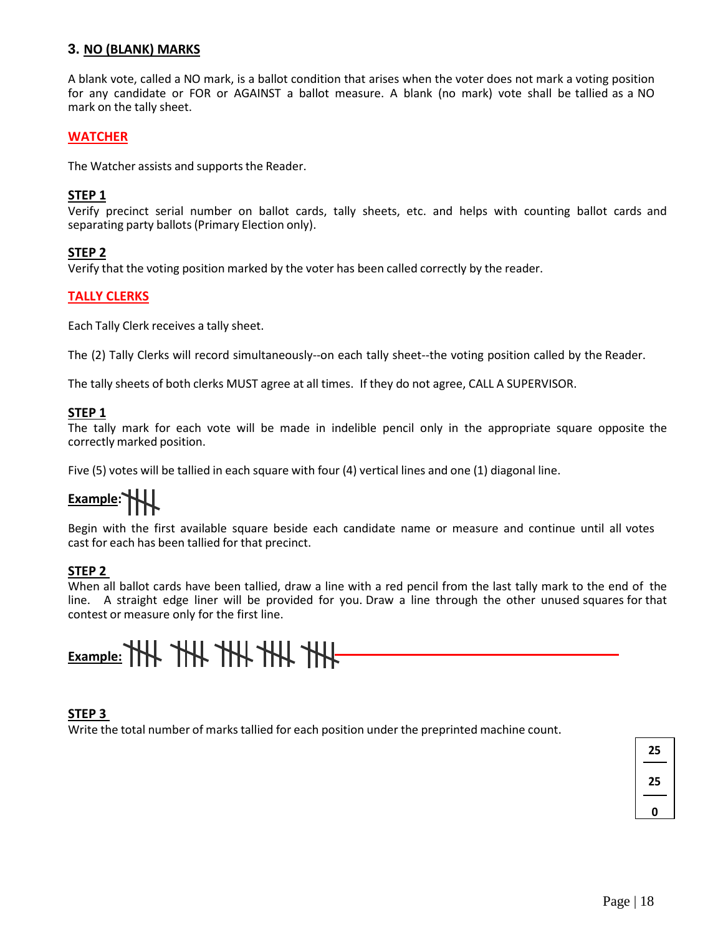#### **3. NO (BLANK) MARKS**

A blank vote, called a NO mark, is a ballot condition that arises when the voter does not mark a voting position for any candidate or FOR or AGAINST a ballot measure. A blank (no mark) vote shall be tallied as a NO mark on the tally sheet.

#### **WATCHER**

The Watcher assists and supports the Reader.

#### **STEP 1**

Verify precinct serial number on ballot cards, tally sheets, etc. and helps with counting ballot cards and separating party ballots(Primary Election only).

#### **STEP 2**

Verify that the voting position marked by the voter has been called correctly by the reader.

#### **TALLY CLERKS**

Each Tally Clerk receives a tally sheet.

The (2) Tally Clerks will record simultaneously--on each tally sheet--the voting position called by the Reader.

The tally sheets of both clerks MUST agree at all times. If they do not agree, CALL A SUPERVISOR.

#### **STEP 1**

The tally mark for each vote will be made in indelible pencil only in the appropriate square opposite the correctly marked position.

Five (5) votes will be tallied in each square with four (4) vertical lines and one (1) diagonal line.

# **Example:**

Begin with the first available square beside each candidate name or measure and continue until all votes cast for each has been tallied for that precinct.

#### **STEP 2**

When all ballot cards have been tallied, draw a line with a red pencil from the last tally mark to the end of the line. A straight edge liner will be provided for you. Draw a line through the other unused squares for that contest or measure only for the first line.

# **Example: THL THL THL THL THL THL**

#### **STEP 3**

Write the total number of marks tallied for each position under the preprinted machine count.

**25 25 0**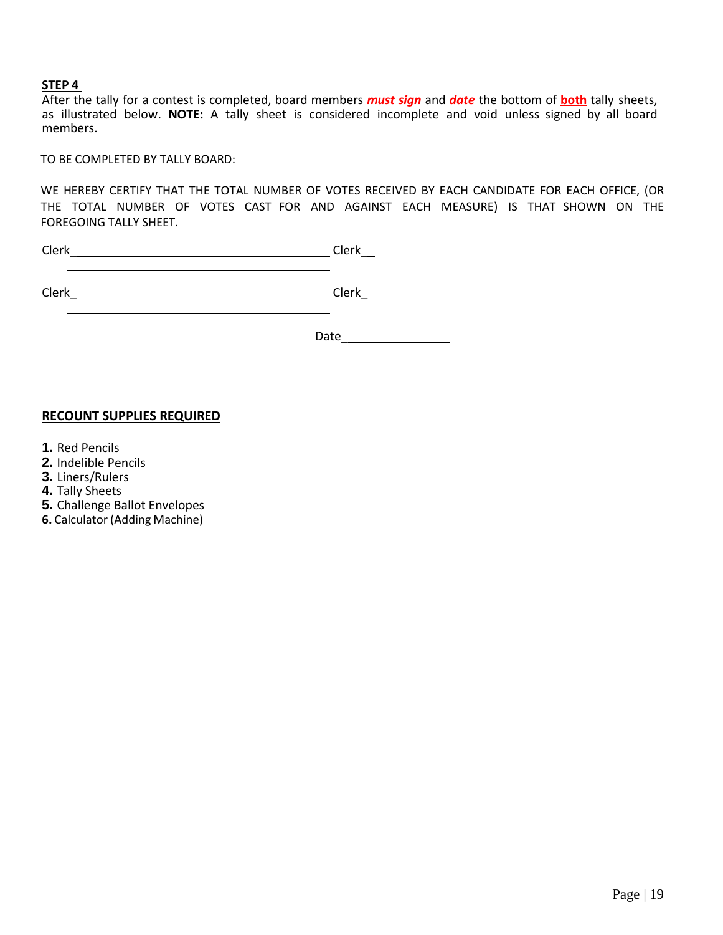#### **STEP 4**

After the tally for a contest is completed, board members *must sign* and *date* the bottom of **both** tally sheets, as illustrated below. **NOTE:** A tally sheet is considered incomplete and void unless signed by all board members.

TO BE COMPLETED BY TALLY BOARD:

WE HEREBY CERTIFY THAT THE TOTAL NUMBER OF VOTES RECEIVED BY EACH CANDIDATE FOR EACH OFFICE, (OR THE TOTAL NUMBER OF VOTES CAST FOR AND AGAINST EACH MEASURE) IS THAT SHOWN ON THE FOREGOING TALLY SHEET.

Clerk\_ Clerk\_

Date\_

#### **RECOUNT SUPPLIES REQUIRED**

- **1.** Red Pencils
- **2.** Indelible Pencils
- **3.** Liners/Rulers
- **4.** Tally Sheets
- **5.** Challenge Ballot Envelopes
- **6.** Calculator (Adding Machine)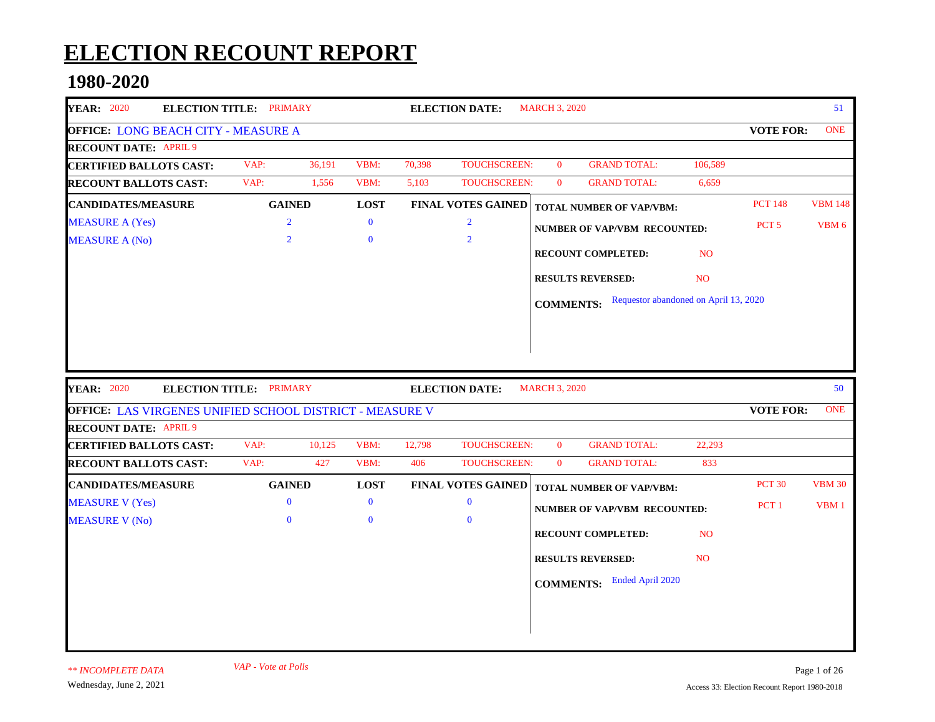# **ELECTION RECOUNT REPORT**

### **1980-2020**

| <b>YEAR: 2020</b>                                                                        | <b>ELECTION TITLE: PRIMARY</b> |        |              |        | <b>ELECTION DATE:</b>     | <b>MARCH 3, 2020</b> |                                       |                 |                  | 51             |
|------------------------------------------------------------------------------------------|--------------------------------|--------|--------------|--------|---------------------------|----------------------|---------------------------------------|-----------------|------------------|----------------|
| <b>OFFICE: LONG BEACH CITY - MEASURE A</b>                                               |                                |        |              |        |                           |                      |                                       |                 | <b>VOTE FOR:</b> | <b>ONE</b>     |
| <b>RECOUNT DATE: APRIL 9</b>                                                             |                                |        |              |        |                           |                      |                                       |                 |                  |                |
| <b>CERTIFIED BALLOTS CAST:</b>                                                           | VAP:                           | 36,191 | VBM:         | 70,398 | TOUCHSCREEN:              | $\overline{0}$       | <b>GRAND TOTAL:</b>                   | 106,589         |                  |                |
| <b>RECOUNT BALLOTS CAST:</b>                                                             | VAP:                           | 1,556  | VBM:         | 5,103  | TOUCHSCREEN:              | $\mathbf{0}$         | <b>GRAND TOTAL:</b>                   | 6,659           |                  |                |
| <b>CANDIDATES/MEASURE</b>                                                                | <b>GAINED</b>                  |        | <b>LOST</b>  |        | <b>FINAL VOTES GAINED</b> |                      | <b>TOTAL NUMBER OF VAP/VBM:</b>       |                 | <b>PCT 148</b>   | <b>VBM 148</b> |
| <b>MEASURE A (Yes)</b>                                                                   | $\overline{2}$                 |        | $\bf{0}$     |        | $\overline{2}$            |                      | NUMBER OF VAP/VBM RECOUNTED:          |                 | PCT <sub>5</sub> | VBM 6          |
| <b>MEASURE A (No)</b>                                                                    | $\overline{2}$                 |        | $\mathbf{0}$ |        | $\overline{2}$            |                      |                                       |                 |                  |                |
|                                                                                          |                                |        |              |        |                           |                      | RECOUNT COMPLETED:                    | N <sub>O</sub>  |                  |                |
|                                                                                          |                                |        |              |        |                           |                      | <b>RESULTS REVERSED:</b>              | N <sub>O</sub>  |                  |                |
|                                                                                          |                                |        |              |        |                           | <b>COMMENTS:</b>     | Requestor abandoned on April 13, 2020 |                 |                  |                |
|                                                                                          |                                |        |              |        |                           |                      |                                       |                 |                  |                |
|                                                                                          |                                |        |              |        |                           |                      |                                       |                 |                  |                |
| <b>YEAR: 2020</b>                                                                        | ELECTION TITLE: PRIMARY        |        |              |        | <b>ELECTION DATE:</b>     | <b>MARCH 3, 2020</b> |                                       |                 |                  | 50             |
| OFFICE: LAS VIRGENES UNIFIED SCHOOL DISTRICT - MEASURE V<br><b>RECOUNT DATE: APRIL 9</b> |                                |        |              |        |                           |                      |                                       |                 | <b>VOTE FOR:</b> | <b>ONE</b>     |
| <b>CERTIFIED BALLOTS CAST:</b>                                                           | VAP:                           | 10,125 | VBM:         | 12,798 | <b>TOUCHSCREEN:</b>       | $\overline{0}$       | <b>GRAND TOTAL:</b>                   | 22,293          |                  |                |
| <b>RECOUNT BALLOTS CAST:</b>                                                             | VAP:                           | 427    | VBM:         | 406    | <b>TOUCHSCREEN:</b>       | $\mathbf{0}$         | <b>GRAND TOTAL:</b>                   | 833             |                  |                |
| <b>CANDIDATES/MEASURE</b>                                                                | <b>GAINED</b>                  |        | <b>LOST</b>  |        | <b>FINAL VOTES GAINED</b> |                      | <b>TOTAL NUMBER OF VAP/VBM:</b>       |                 | <b>PCT 30</b>    | <b>VBM 30</b>  |
| <b>MEASURE V (Yes)</b>                                                                   | $\bf{0}$                       |        | $\bf{0}$     |        | $\bf{0}$                  |                      |                                       |                 |                  |                |
| <b>MEASURE V (No)</b>                                                                    | $\theta$                       |        | $\mathbf{0}$ |        | $\mathbf{0}$              |                      | <b>NUMBER OF VAP/VBM RECOUNTED:</b>   |                 | PCT <sub>1</sub> | VBM 1          |
|                                                                                          |                                |        |              |        |                           |                      | <b>RECOUNT COMPLETED:</b>             | N <sub>O</sub>  |                  |                |
|                                                                                          |                                |        |              |        |                           |                      | <b>RESULTS REVERSED:</b>              | NO <sub>1</sub> |                  |                |
|                                                                                          |                                |        |              |        |                           |                      |                                       |                 |                  |                |
|                                                                                          |                                |        |              |        |                           |                      | <b>COMMENTS:</b> Ended April 2020     |                 |                  |                |
|                                                                                          |                                |        |              |        |                           |                      |                                       |                 |                  |                |
|                                                                                          |                                |        |              |        |                           |                      |                                       |                 |                  |                |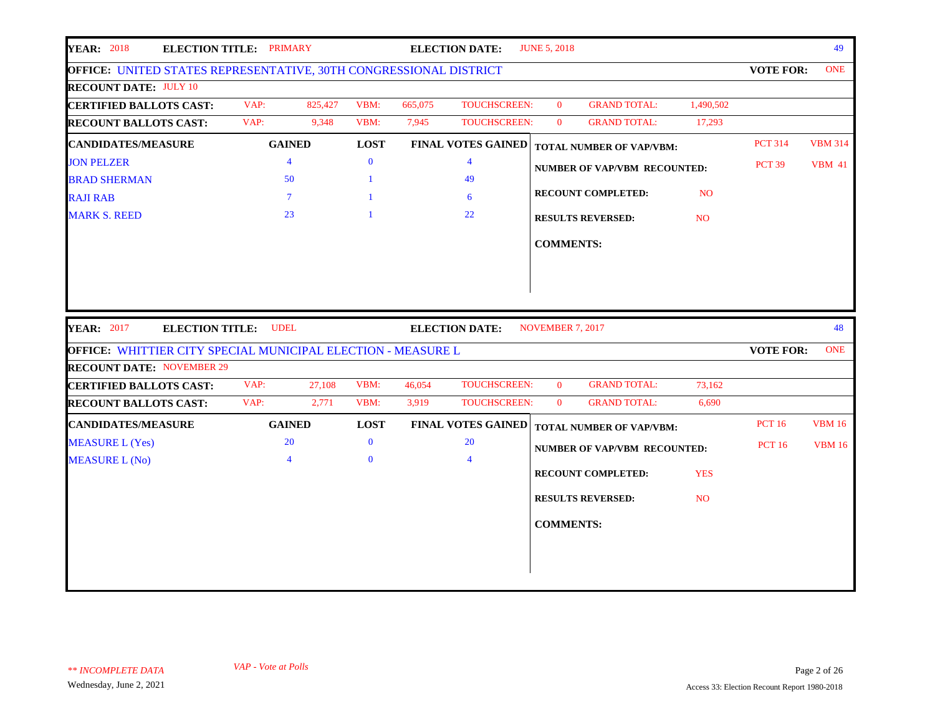| <b>YEAR: 2018</b><br><b>ELECTION TITLE: PRIMARY</b>                                                     |                 |         |              |         | <b>ELECTION DATE:</b>     | <b>JUNE 5, 2018</b> |                                     |                |                  | 49             |
|---------------------------------------------------------------------------------------------------------|-----------------|---------|--------------|---------|---------------------------|---------------------|-------------------------------------|----------------|------------------|----------------|
| OFFICE: UNITED STATES REPRESENTATIVE, 30TH CONGRESSIONAL DISTRICT                                       |                 |         |              |         |                           |                     |                                     |                | <b>VOTE FOR:</b> | <b>ONE</b>     |
| <b>RECOUNT DATE: JULY 10</b>                                                                            |                 |         |              |         |                           |                     |                                     |                |                  |                |
| <b>CERTIFIED BALLOTS CAST:</b>                                                                          | VAP:            | 825,427 | VBM:         | 665,075 | <b>TOUCHSCREEN:</b>       | $\mathbf{0}$        | <b>GRAND TOTAL:</b>                 | 1,490,502      |                  |                |
| <b>RECOUNT BALLOTS CAST:</b>                                                                            | VAP:            | 9,348   | VBM:         | 7,945   | TOUCHSCREEN:              | $\bf{0}$            | <b>GRAND TOTAL:</b>                 | 17,293         |                  |                |
| <b>CANDIDATES/MEASURE</b>                                                                               | <b>GAINED</b>   |         | <b>LOST</b>  |         | <b>FINAL VOTES GAINED</b> |                     | <b>TOTAL NUMBER OF VAP/VBM:</b>     |                | <b>PCT 314</b>   | <b>VBM 314</b> |
| <b>JON PELZER</b>                                                                                       | $\overline{4}$  |         | $\bf{0}$     |         | $\overline{4}$            |                     | <b>NUMBER OF VAP/VBM RECOUNTED:</b> |                | <b>PCT 39</b>    | <b>VBM 41</b>  |
| <b>BRAD SHERMAN</b>                                                                                     | 50              |         | 1            |         | 49                        |                     |                                     |                |                  |                |
| <b>RAJI RAB</b>                                                                                         | $7\phantom{.0}$ |         |              |         | 6                         |                     | <b>RECOUNT COMPLETED:</b>           | N <sub>O</sub> |                  |                |
| <b>MARK S. REED</b>                                                                                     | 23              |         | $\mathbf{1}$ |         | 22                        |                     | <b>RESULTS REVERSED:</b>            | N <sub>O</sub> |                  |                |
|                                                                                                         |                 |         |              |         |                           | <b>COMMENTS:</b>    |                                     |                |                  |                |
|                                                                                                         |                 |         |              |         |                           |                     |                                     |                |                  |                |
|                                                                                                         |                 |         |              |         |                           |                     |                                     |                |                  |                |
|                                                                                                         |                 |         |              |         |                           |                     |                                     |                |                  |                |
|                                                                                                         |                 |         |              |         |                           | NOVEMBER 7, 2017    |                                     |                |                  | 48             |
| <b>YEAR: 2017</b><br><b>ELECTION TITLE: UDEL</b>                                                        |                 |         |              |         | <b>ELECTION DATE:</b>     |                     |                                     |                |                  | <b>ONE</b>     |
| <b>OFFICE: WHITTIER CITY SPECIAL MUNICIPAL ELECTION - MEASURE L</b><br><b>RECOUNT DATE: NOVEMBER 29</b> |                 |         |              |         |                           |                     |                                     |                | <b>VOTE FOR:</b> |                |
| <b>CERTIFIED BALLOTS CAST:</b>                                                                          | VAP:            | 27,108  | VBM:         | 46,054  | TOUCHSCREEN:              | $\bf{0}$            | <b>GRAND TOTAL:</b>                 | 73,162         |                  |                |
| <b>RECOUNT BALLOTS CAST:</b>                                                                            | VAP:            | 2,771   | VBM:         | 3,919   | TOUCHSCREEN:              | $\bf{0}$            | <b>GRAND TOTAL:</b>                 | 6,690          |                  |                |
| <b>CANDIDATES/MEASURE</b>                                                                               | <b>GAINED</b>   |         | <b>LOST</b>  |         | <b>FINAL VOTES GAINED</b> |                     | <b>TOTAL NUMBER OF VAP/VBM:</b>     |                | <b>PCT 16</b>    | <b>VBM 16</b>  |
| <b>MEASURE L (Yes)</b>                                                                                  | 20              |         | $\bf{0}$     |         | 20                        |                     |                                     |                | <b>PCT 16</b>    | <b>VBM 16</b>  |
| <b>MEASURE L (No)</b>                                                                                   | $\overline{4}$  |         | $\Omega$     |         | $\overline{4}$            |                     | <b>NUMBER OF VAP/VBM RECOUNTED:</b> |                |                  |                |
|                                                                                                         |                 |         |              |         |                           |                     | RECOUNT COMPLETED:                  | <b>YES</b>     |                  |                |
|                                                                                                         |                 |         |              |         |                           |                     | <b>RESULTS REVERSED:</b>            | <b>NO</b>      |                  |                |
|                                                                                                         |                 |         |              |         |                           |                     |                                     |                |                  |                |
|                                                                                                         |                 |         |              |         |                           | <b>COMMENTS:</b>    |                                     |                |                  |                |
|                                                                                                         |                 |         |              |         |                           |                     |                                     |                |                  |                |
|                                                                                                         |                 |         |              |         |                           |                     |                                     |                |                  |                |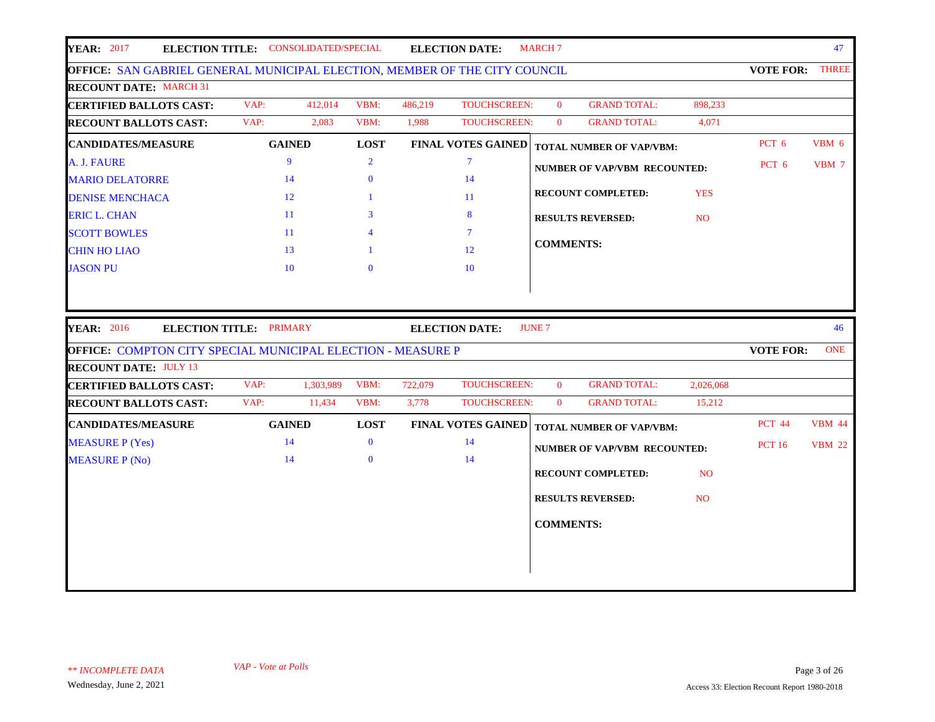| <b>YEAR</b> : 2017<br>ELECTION TITLE: CONSOLIDATED/SPECIAL                                                  |      |               |                         |         | <b>ELECTION DATE:</b>     | <b>MARCH 7</b>   |                                     |                |                        | 47            |
|-------------------------------------------------------------------------------------------------------------|------|---------------|-------------------------|---------|---------------------------|------------------|-------------------------------------|----------------|------------------------|---------------|
| OFFICE: SAN GABRIEL GENERAL MUNICIPAL ELECTION, MEMBER OF THE CITY COUNCIL                                  |      |               |                         |         |                           |                  |                                     |                | <b>VOTE FOR: THREE</b> |               |
| <b>RECOUNT DATE: MARCH 31</b>                                                                               |      |               |                         |         |                           |                  |                                     |                |                        |               |
| <b>CERTIFIED BALLOTS CAST:</b>                                                                              | VAP: | 412,014       | VBM:                    | 486,219 | <b>TOUCHSCREEN:</b>       | $\mathbf{0}$     | <b>GRAND TOTAL:</b>                 | 898,233        |                        |               |
| <b>RECOUNT BALLOTS CAST:</b>                                                                                | VAP: | 2,083         | VBM:                    | 1,988   | TOUCHSCREEN:              | $\mathbf{0}$     | <b>GRAND TOTAL:</b>                 | 4,071          |                        |               |
| <b>CANDIDATES/MEASURE</b>                                                                                   |      | <b>GAINED</b> | <b>LOST</b>             |         | <b>FINAL VOTES GAINED</b> |                  | <b>TOTAL NUMBER OF VAP/VBM:</b>     |                | PCT 6                  | VBM 6         |
| A. J. FAURE                                                                                                 |      | 9             | $\overline{2}$          |         | $\overline{7}$            |                  | NUMBER OF VAP/VBM RECOUNTED:        |                | PCT 6                  | VBM 7         |
| <b>MARIO DELATORRE</b>                                                                                      |      | 14            | $\mathbf{0}$            |         | 14                        |                  |                                     |                |                        |               |
| <b>DENISE MENCHACA</b>                                                                                      |      | 12            | 1                       |         | -11                       |                  | <b>RECOUNT COMPLETED:</b>           | <b>YES</b>     |                        |               |
| <b>ERIC L. CHAN</b>                                                                                         |      | 11            | 3                       |         | 8                         |                  | <b>RESULTS REVERSED:</b>            | <b>NO</b>      |                        |               |
| <b>SCOTT BOWLES</b>                                                                                         |      | 11            | $\overline{\mathbf{4}}$ |         | $\tau$                    |                  |                                     |                |                        |               |
| <b>CHIN HO LIAO</b>                                                                                         |      | 13            |                         |         | 12                        | <b>COMMENTS:</b> |                                     |                |                        |               |
| <b>JASON PU</b>                                                                                             |      | 10            | $\Omega$                |         | 10                        |                  |                                     |                |                        |               |
|                                                                                                             |      |               |                         |         |                           | <b>JUNE 7</b>    |                                     |                |                        | 46            |
| <b>YEAR: 2016</b><br>ELECTION TITLE: PRIMARY<br>OFFICE: COMPTON CITY SPECIAL MUNICIPAL ELECTION - MEASURE P |      |               |                         |         | <b>ELECTION DATE:</b>     |                  |                                     |                | <b>VOTE FOR:</b>       | <b>ONE</b>    |
| <b>RECOUNT DATE: JULY 13</b>                                                                                |      |               |                         |         |                           |                  |                                     |                |                        |               |
| <b>CERTIFIED BALLOTS CAST:</b>                                                                              | VAP: | 1,303,989     | VBM:                    | 722,079 | <b>TOUCHSCREEN:</b>       | $\mathbf{0}$     | <b>GRAND TOTAL:</b>                 | 2,026,068      |                        |               |
| <b>RECOUNT BALLOTS CAST:</b>                                                                                | VAP: | 11,434        | VBM:                    | 3,778   | <b>TOUCHSCREEN:</b>       | $\mathbf{0}$     | <b>GRAND TOTAL:</b>                 | 15,212         |                        |               |
| <b>CANDIDATES/MEASURE</b>                                                                                   |      | <b>GAINED</b> | <b>LOST</b>             |         | <b>FINAL VOTES GAINED</b> |                  | <b>TOTAL NUMBER OF VAP/VBM:</b>     |                | <b>PCT 44</b>          | <b>VBM 44</b> |
| <b>MEASURE P (Yes)</b>                                                                                      |      | 14            | $\bf{0}$                |         | 14                        |                  |                                     |                | <b>PCT 16</b>          | <b>VBM 22</b> |
| <b>MEASURE P (No)</b>                                                                                       |      | 14            | $\mathbf{0}$            |         | 14                        |                  | <b>NUMBER OF VAP/VBM RECOUNTED:</b> |                |                        |               |
|                                                                                                             |      |               |                         |         |                           |                  | <b>RECOUNT COMPLETED:</b>           | N <sub>O</sub> |                        |               |
|                                                                                                             |      |               |                         |         |                           |                  | <b>RESULTS REVERSED:</b>            | N <sub>O</sub> |                        |               |
|                                                                                                             |      |               |                         |         |                           |                  |                                     |                |                        |               |
|                                                                                                             |      |               |                         |         |                           | <b>COMMENTS:</b> |                                     |                |                        |               |
|                                                                                                             |      |               |                         |         |                           |                  |                                     |                |                        |               |
|                                                                                                             |      |               |                         |         |                           |                  |                                     |                |                        |               |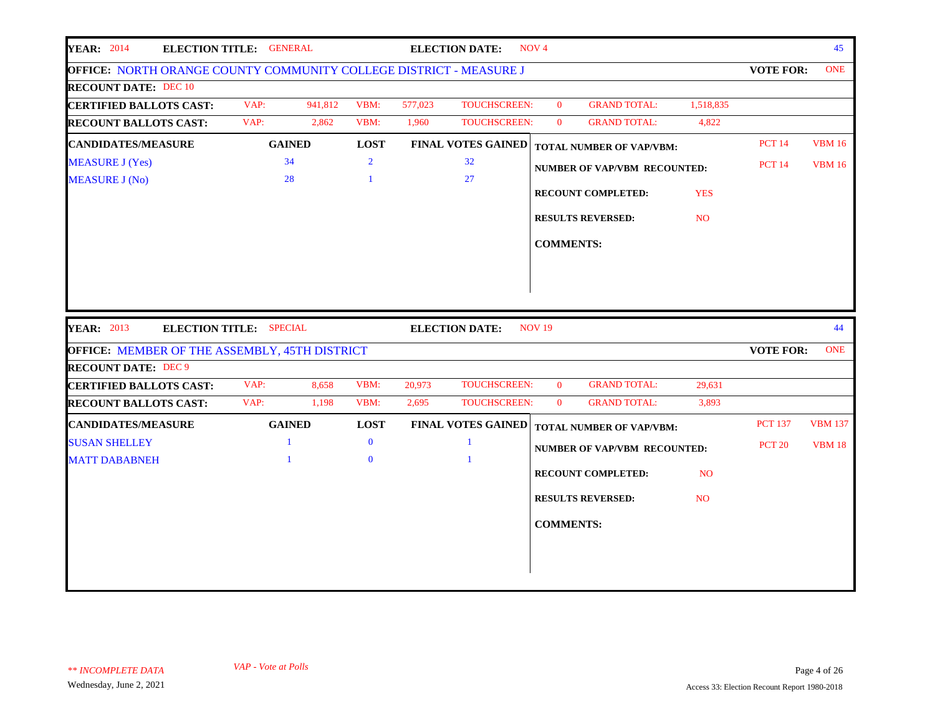| <b>YEAR: 2014</b><br>ELECTION TITLE: GENERAL                              |              |               |                |         | <b>ELECTION DATE:</b>     | NOV <sub>4</sub> |                                     |                 |                  | 45             |
|---------------------------------------------------------------------------|--------------|---------------|----------------|---------|---------------------------|------------------|-------------------------------------|-----------------|------------------|----------------|
| <b>OFFICE: NORTH ORANGE COUNTY COMMUNITY COLLEGE DISTRICT - MEASURE J</b> |              |               |                |         |                           |                  |                                     |                 | <b>VOTE FOR:</b> | <b>ONE</b>     |
| <b>RECOUNT DATE: DEC 10</b>                                               |              |               |                |         |                           |                  |                                     |                 |                  |                |
| <b>CERTIFIED BALLOTS CAST:</b>                                            | VAP:         | 941,812       | VBM:           | 577,023 | TOUCHSCREEN:              | $\mathbf{0}$     | <b>GRAND TOTAL:</b>                 | 1,518,835       |                  |                |
| <b>RECOUNT BALLOTS CAST:</b>                                              | VAP:         | 2,862         | VBM:           | 1,960   | <b>TOUCHSCREEN:</b>       | $\mathbf{0}$     | <b>GRAND TOTAL:</b>                 | 4,822           |                  |                |
| <b>CANDIDATES/MEASURE</b>                                                 |              | <b>GAINED</b> | <b>LOST</b>    |         | <b>FINAL VOTES GAINED</b> |                  | <b>TOTAL NUMBER OF VAP/VBM:</b>     |                 | <b>PCT 14</b>    | <b>VBM 16</b>  |
| <b>MEASURE J (Yes)</b>                                                    |              | 34            | $\overline{2}$ |         | 32                        |                  | <b>NUMBER OF VAP/VBM RECOUNTED:</b> |                 | <b>PCT 14</b>    | <b>VBM 16</b>  |
| <b>MEASURE J (No)</b>                                                     |              | 28            | $\mathbf{1}$   |         | 27                        |                  |                                     |                 |                  |                |
|                                                                           |              |               |                |         |                           |                  | <b>RECOUNT COMPLETED:</b>           | <b>YES</b>      |                  |                |
|                                                                           |              |               |                |         |                           |                  | <b>RESULTS REVERSED:</b>            | NO <sub>1</sub> |                  |                |
|                                                                           |              |               |                |         |                           | <b>COMMENTS:</b> |                                     |                 |                  |                |
|                                                                           |              |               |                |         |                           |                  |                                     |                 |                  |                |
|                                                                           |              |               |                |         |                           |                  |                                     |                 |                  |                |
| <b>YEAR: 2013</b><br>ELECTION TITLE: SPECIAL                              |              |               |                |         | <b>ELECTION DATE:</b>     | <b>NOV 19</b>    |                                     |                 |                  | 44             |
| OFFICE: MEMBER OF THE ASSEMBLY, 45TH DISTRICT                             |              |               |                |         |                           |                  |                                     |                 | <b>VOTE FOR:</b> | <b>ONE</b>     |
| <b>RECOUNT DATE: DEC 9</b><br><b>CERTIFIED BALLOTS CAST:</b>              | VAP:         | 8,658         | VBM:           | 20,973  | <b>TOUCHSCREEN:</b>       | $\mathbf{0}$     | <b>GRAND TOTAL:</b>                 | 29,631          |                  |                |
| <b>RECOUNT BALLOTS CAST:</b>                                              | VAP:         | 1,198         | VBM:           | 2,695   | <b>TOUCHSCREEN:</b>       | $\mathbf{0}$     | <b>GRAND TOTAL:</b>                 | 3,893           |                  |                |
| <b>CANDIDATES/MEASURE</b>                                                 |              | <b>GAINED</b> | <b>LOST</b>    |         | <b>FINAL VOTES GAINED</b> |                  | <b>TOTAL NUMBER OF VAP/VBM:</b>     |                 | <b>PCT 137</b>   | <b>VBM 137</b> |
| <b>SUSAN SHELLEY</b>                                                      | $\mathbf{1}$ |               | $\bf{0}$       |         | $\mathbf{1}$              |                  |                                     |                 | <b>PCT 20</b>    | <b>VBM 18</b>  |
| <b>MATT DABABNEH</b>                                                      |              |               | $\bf{0}$       |         |                           |                  | <b>NUMBER OF VAP/VBM RECOUNTED:</b> |                 |                  |                |
|                                                                           |              |               |                |         |                           |                  | <b>RECOUNT COMPLETED:</b>           | N <sub>O</sub>  |                  |                |
|                                                                           |              |               |                |         |                           |                  | <b>RESULTS REVERSED:</b>            | N <sub>O</sub>  |                  |                |
|                                                                           |              |               |                |         |                           |                  |                                     |                 |                  |                |
|                                                                           |              |               |                |         |                           | <b>COMMENTS:</b> |                                     |                 |                  |                |
|                                                                           |              |               |                |         |                           |                  |                                     |                 |                  |                |
|                                                                           |              |               |                |         |                           |                  |                                     |                 |                  |                |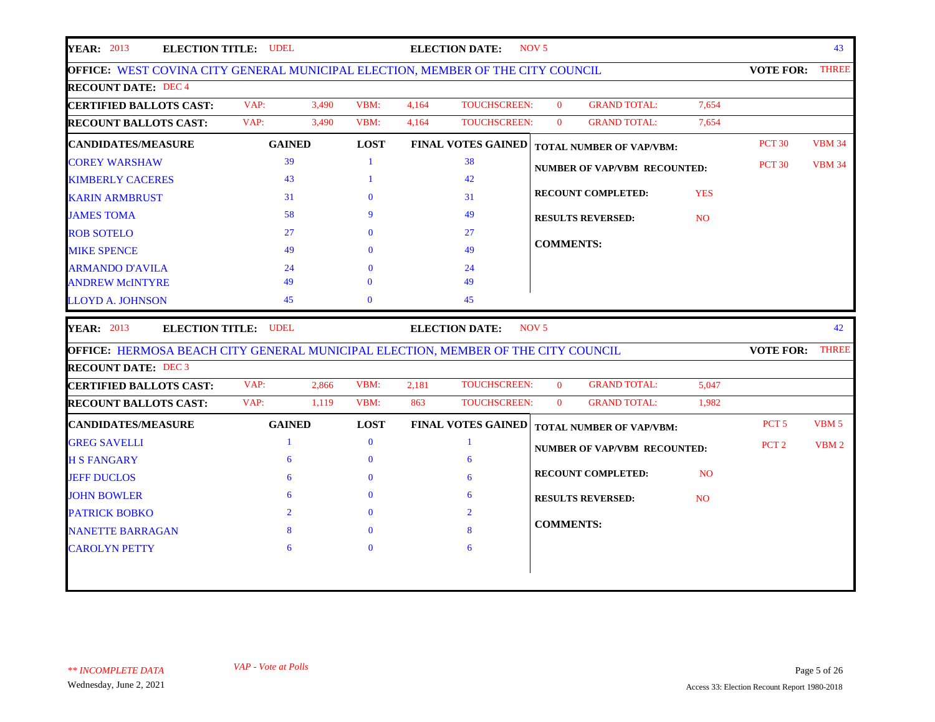| <b>YEAR: 2013</b>                                                                                                                                                                                                                   | <b>ELECTION TITLE: UDEL</b> |       |              |       | <b>ELECTION DATE:</b>     | NOV <sub>5</sub> |                                     |                |                  | 43            |
|-------------------------------------------------------------------------------------------------------------------------------------------------------------------------------------------------------------------------------------|-----------------------------|-------|--------------|-------|---------------------------|------------------|-------------------------------------|----------------|------------------|---------------|
| OFFICE: WEST COVINA CITY GENERAL MUNICIPAL ELECTION, MEMBER OF THE CITY COUNCIL                                                                                                                                                     |                             |       |              |       |                           |                  |                                     |                | <b>VOTE FOR:</b> | <b>THREE</b>  |
| <b>RECOUNT DATE: DEC 4</b>                                                                                                                                                                                                          |                             |       |              |       |                           |                  |                                     |                |                  |               |
| <b>CERTIFIED BALLOTS CAST:</b>                                                                                                                                                                                                      | VAP:                        | 3,490 | VBM:         | 4.164 | <b>TOUCHSCREEN:</b>       | $\Omega$         | <b>GRAND TOTAL:</b>                 | 7.654          |                  |               |
| <b>RECOUNT BALLOTS CAST:</b>                                                                                                                                                                                                        | VAP:                        | 3,490 | VBM:         | 4,164 | <b>TOUCHSCREEN:</b>       | $\mathbf{0}$     | <b>GRAND TOTAL:</b>                 | 7,654          |                  |               |
| <b>CANDIDATES/MEASURE</b>                                                                                                                                                                                                           | <b>GAINED</b>               |       | <b>LOST</b>  |       | <b>FINAL VOTES GAINED</b> |                  | TOTAL NUMBER OF VAP/VBM:            |                | <b>PCT 30</b>    | <b>VBM 34</b> |
| <b>COREY WARSHAW</b>                                                                                                                                                                                                                | 39                          |       | $\mathbf{1}$ |       | 38                        |                  | <b>NUMBER OF VAP/VBM RECOUNTED:</b> |                | <b>PCT 30</b>    | <b>VBM 34</b> |
| <b>KIMBERLY CACERES</b>                                                                                                                                                                                                             | 43                          |       | $\mathbf{1}$ |       | 42                        |                  |                                     |                |                  |               |
| <b>KARIN ARMBRUST</b>                                                                                                                                                                                                               | 31                          |       | $\mathbf{0}$ |       | 31                        |                  | <b>RECOUNT COMPLETED:</b>           | <b>YES</b>     |                  |               |
| <b>JAMES TOMA</b>                                                                                                                                                                                                                   | 58                          |       | 9            |       | 49                        |                  | <b>RESULTS REVERSED:</b>            | <b>NO</b>      |                  |               |
| <b>ROB SOTELO</b>                                                                                                                                                                                                                   | 27                          |       | $\bf{0}$     |       | 27                        |                  |                                     |                |                  |               |
| <b>MIKE SPENCE</b>                                                                                                                                                                                                                  | 49                          |       | $\mathbf{0}$ |       | 49                        | <b>COMMENTS:</b> |                                     |                |                  |               |
|                                                                                                                                                                                                                                     |                             |       | $\Omega$     |       | 24                        |                  |                                     |                |                  |               |
| <b>ARMANDO D'AVILA</b>                                                                                                                                                                                                              | 24                          |       |              |       |                           |                  |                                     |                |                  |               |
| <b>ANDREW McINTYRE</b>                                                                                                                                                                                                              | 49                          |       | $\Omega$     |       | 49                        |                  |                                     |                |                  |               |
| <b>LLOYD A. JOHNSON</b>                                                                                                                                                                                                             | 45                          |       | $\mathbf{0}$ |       | 45                        |                  |                                     |                |                  |               |
|                                                                                                                                                                                                                                     | <b>ELECTION TITLE: UDEL</b> |       |              |       | <b>ELECTION DATE:</b>     | NOV <sub>5</sub> |                                     |                |                  | 42            |
|                                                                                                                                                                                                                                     |                             |       |              |       |                           |                  |                                     |                | <b>VOTE FOR:</b> | <b>THREE</b>  |
|                                                                                                                                                                                                                                     |                             |       |              |       |                           |                  |                                     |                |                  |               |
|                                                                                                                                                                                                                                     | VAP:                        | 2,866 | VBM:         | 2,181 | <b>TOUCHSCREEN:</b>       | $\mathbf{0}$     | <b>GRAND TOTAL:</b>                 | 5,047          |                  |               |
|                                                                                                                                                                                                                                     | VAP:                        | 1,119 | VBM:         | 863   | <b>TOUCHSCREEN:</b>       | $\mathbf{0}$     | <b>GRAND TOTAL:</b>                 | 1,982          |                  |               |
| <b>YEAR: 2013</b><br>OFFICE: HERMOSA BEACH CITY GENERAL MUNICIPAL ELECTION, MEMBER OF THE CITY COUNCIL<br><b>RECOUNT DATE: DEC 3</b><br><b>CERTIFIED BALLOTS CAST:</b><br><b>RECOUNT BALLOTS CAST:</b><br><b>CANDIDATES/MEASURE</b> | <b>GAINED</b>               |       | <b>LOST</b>  |       | <b>FINAL VOTES GAINED</b> |                  | <b>TOTAL NUMBER OF VAP/VBM:</b>     |                | PCT <sub>5</sub> | VBM 5         |
| <b>GREG SAVELLI</b>                                                                                                                                                                                                                 | $\mathbf{1}$                |       | $\mathbf{0}$ |       | $\mathbf{1}$              |                  |                                     |                | PCT <sub>2</sub> | VBM 2         |
| <b>H S FANGARY</b>                                                                                                                                                                                                                  | 6                           |       | $\mathbf{0}$ |       | 6                         |                  | <b>NUMBER OF VAP/VBM RECOUNTED:</b> |                |                  |               |
| <b>JEFF DUCLOS</b>                                                                                                                                                                                                                  | 6                           |       | $\mathbf{0}$ |       | 6                         |                  | <b>RECOUNT COMPLETED:</b>           | <b>NO</b>      |                  |               |
| <b>JOHN BOWLER</b>                                                                                                                                                                                                                  | 6                           |       | $\mathbf{0}$ |       | 6                         |                  | <b>RESULTS REVERSED:</b>            | N <sub>O</sub> |                  |               |
| <b>PATRICK BOBKO</b>                                                                                                                                                                                                                | $\overline{2}$              |       | $\mathbf{0}$ |       | $\overline{2}$            |                  |                                     |                |                  |               |
| <b>NANETTE BARRAGAN</b>                                                                                                                                                                                                             | 8                           |       | $\Omega$     |       | 8                         | <b>COMMENTS:</b> |                                     |                |                  |               |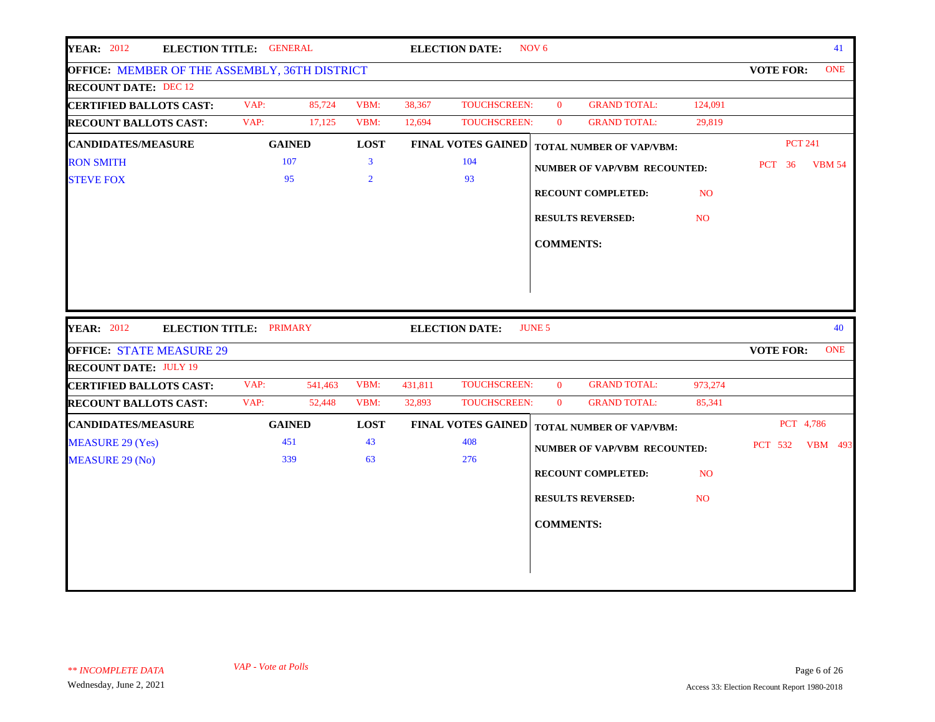|                                                                | <b>ELECTION TITLE: GENERAL</b> |         |                |         | <b>ELECTION DATE:</b>     | NOV <sub>6</sub> |                                     |                |                  | 41            |
|----------------------------------------------------------------|--------------------------------|---------|----------------|---------|---------------------------|------------------|-------------------------------------|----------------|------------------|---------------|
| OFFICE: MEMBER OF THE ASSEMBLY, 36TH DISTRICT                  |                                |         |                |         |                           |                  |                                     |                | <b>VOTE FOR:</b> | <b>ONE</b>    |
| <b>RECOUNT DATE: DEC 12</b>                                    |                                |         |                |         |                           |                  |                                     |                |                  |               |
| <b>CERTIFIED BALLOTS CAST:</b>                                 | VAP:                           | 85,724  | VBM:           | 38,367  | TOUCHSCREEN:              | $\overline{0}$   | <b>GRAND TOTAL:</b>                 | 124,091        |                  |               |
| <b>RECOUNT BALLOTS CAST:</b>                                   | VAP:                           | 17,125  | VBM:           | 12,694  | TOUCHSCREEN:              | $\overline{0}$   | <b>GRAND TOTAL:</b>                 | 29,819         |                  |               |
| <b>CANDIDATES/MEASURE</b>                                      | <b>GAINED</b>                  |         | <b>LOST</b>    |         | <b>FINAL VOTES GAINED</b> |                  | <b>TOTAL NUMBER OF VAP/VBM:</b>     |                | <b>PCT 241</b>   |               |
| <b>RON SMITH</b>                                               | 107                            |         | $\overline{3}$ |         | 104                       |                  | <b>NUMBER OF VAP/VBM RECOUNTED:</b> |                | <b>PCT</b> 36    | <b>VBM 54</b> |
| <b>STEVE FOX</b>                                               | 95                             |         | $\overline{2}$ |         | 93                        |                  |                                     |                |                  |               |
|                                                                |                                |         |                |         |                           |                  | <b>RECOUNT COMPLETED:</b>           | N <sub>O</sub> |                  |               |
|                                                                |                                |         |                |         |                           |                  | <b>RESULTS REVERSED:</b>            | N <sub>O</sub> |                  |               |
|                                                                |                                |         |                |         |                           |                  |                                     |                |                  |               |
|                                                                |                                |         |                |         |                           | <b>COMMENTS:</b> |                                     |                |                  |               |
|                                                                |                                |         |                |         |                           |                  |                                     |                |                  |               |
| <b>YEAR: 2012</b><br>ELECTION TITLE: PRIMARY                   |                                |         |                |         |                           |                  |                                     |                |                  |               |
|                                                                |                                |         |                |         |                           | <b>JUNE 5</b>    |                                     |                |                  | 40            |
|                                                                |                                |         |                |         | <b>ELECTION DATE:</b>     |                  |                                     |                |                  |               |
| <b>OFFICE: STATE MEASURE 29</b>                                |                                |         |                |         |                           |                  |                                     |                | <b>VOTE FOR:</b> | <b>ONE</b>    |
| <b>RECOUNT DATE: JULY 19</b><br><b>CERTIFIED BALLOTS CAST:</b> | VAP:                           | 541,463 | VBM:           | 431,811 | <b>TOUCHSCREEN:</b>       | $\mathbf{0}$     | <b>GRAND TOTAL:</b>                 | 973,274        |                  |               |
|                                                                | VAP:                           | 52,448  | VBM:           | 32,893  | <b>TOUCHSCREEN:</b>       | $\mathbf{0}$     | <b>GRAND TOTAL:</b>                 | 85,341         |                  |               |
| <b>RECOUNT BALLOTS CAST:</b><br><b>CANDIDATES/MEASURE</b>      | <b>GAINED</b>                  |         | <b>LOST</b>    |         | <b>FINAL VOTES GAINED</b> |                  |                                     |                | PCT 4,786        |               |
| <b>MEASURE 29 (Yes)</b>                                        | 451                            |         | 43             |         | 408                       |                  | <b>TOTAL NUMBER OF VAP/VBM:</b>     |                |                  |               |
| <b>MEASURE 29 (No)</b>                                         | 339                            |         | 63             |         | 276                       |                  | <b>NUMBER OF VAP/VBM RECOUNTED:</b> |                | <b>PCT 532</b>   |               |
|                                                                |                                |         |                |         |                           |                  | <b>RECOUNT COMPLETED:</b>           | N <sub>O</sub> |                  |               |
|                                                                |                                |         |                |         |                           |                  | <b>RESULTS REVERSED:</b>            | N <sub>O</sub> |                  |               |
|                                                                |                                |         |                |         |                           |                  |                                     |                |                  |               |
|                                                                |                                |         |                |         |                           | <b>COMMENTS:</b> |                                     |                |                  |               |
|                                                                |                                |         |                |         |                           |                  |                                     |                |                  |               |
|                                                                |                                |         |                |         |                           |                  |                                     |                |                  | VBM 493       |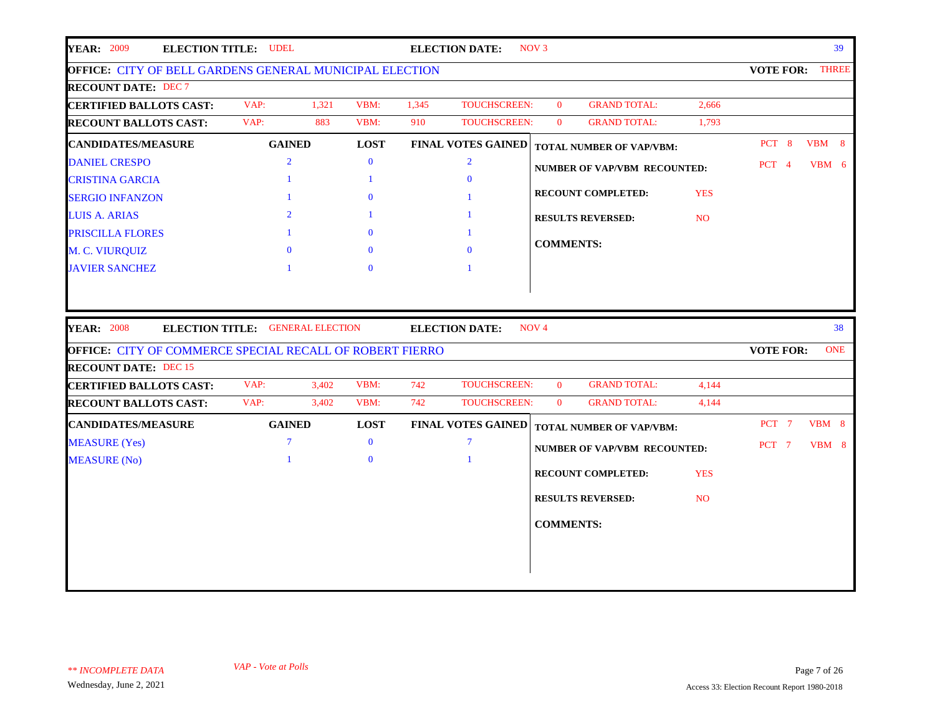| <b>YEAR: 2009</b><br><b>ELECTION TITLE: UDEL</b>                |                                         |       |              |       | <b>ELECTION DATE:</b>     | NOV <sub>3</sub> |                                     |                |                  | 39           |
|-----------------------------------------------------------------|-----------------------------------------|-------|--------------|-------|---------------------------|------------------|-------------------------------------|----------------|------------------|--------------|
| <b>OFFICE: CITY OF BELL GARDENS GENERAL MUNICIPAL ELECTION</b>  |                                         |       |              |       |                           |                  |                                     |                | <b>VOTE FOR:</b> | <b>THREE</b> |
| <b>RECOUNT DATE: DEC 7</b>                                      |                                         |       |              |       |                           |                  |                                     |                |                  |              |
| <b>CERTIFIED BALLOTS CAST:</b>                                  | VAP:                                    | 1,321 | VBM:         | 1,345 | <b>TOUCHSCREEN:</b>       | $\mathbf{0}$     | <b>GRAND TOTAL:</b>                 | 2,666          |                  |              |
| <b>RECOUNT BALLOTS CAST:</b>                                    | VAP:                                    | 883   | VBM:         | 910   | <b>TOUCHSCREEN:</b>       | $\mathbf{0}$     | <b>GRAND TOTAL:</b>                 | 1,793          |                  |              |
| <b>CANDIDATES/MEASURE</b>                                       | <b>GAINED</b>                           |       | <b>LOST</b>  |       | <b>FINAL VOTES GAINED</b> |                  | <b>TOTAL NUMBER OF VAP/VBM:</b>     |                | PCT 8            | $VBM$ 8      |
| <b>DANIEL CRESPO</b>                                            | $\overline{2}$                          |       | $\mathbf{0}$ |       | $\overline{2}$            |                  | <b>NUMBER OF VAP/VBM RECOUNTED:</b> |                | PCT 4            | VBM 6        |
| <b>CRISTINA GARCIA</b>                                          | -1                                      |       | -1           |       | $\Omega$                  |                  |                                     |                |                  |              |
| <b>SERGIO INFANZON</b>                                          | $\mathbf{1}$                            |       | $\mathbf{0}$ |       | $\mathbf{1}$              |                  | <b>RECOUNT COMPLETED:</b>           | <b>YES</b>     |                  |              |
| <b>LUIS A. ARIAS</b>                                            | $\overline{2}$                          |       |              |       | $\mathbf{1}$              |                  | <b>RESULTS REVERSED:</b>            | <b>NO</b>      |                  |              |
| PRISCILLA FLORES                                                |                                         |       | $\mathbf{0}$ |       | $\mathbf{1}$              |                  |                                     |                |                  |              |
| M. C. VIURQUIZ                                                  | $\Omega$                                |       | $\Omega$     |       | $\theta$                  | <b>COMMENTS:</b> |                                     |                |                  |              |
| <b>JAVIER SANCHEZ</b>                                           |                                         |       | $\mathbf{0}$ |       |                           |                  |                                     |                |                  |              |
|                                                                 |                                         |       |              |       |                           |                  |                                     |                |                  |              |
| <b>YEAR: 2008</b>                                               | <b>ELECTION TITLE: GENERAL ELECTION</b> |       |              |       | <b>ELECTION DATE:</b>     | NOV <sub>4</sub> |                                     |                |                  | 38           |
| <b>OFFICE: CITY OF COMMERCE SPECIAL RECALL OF ROBERT FIERRO</b> |                                         |       |              |       |                           |                  |                                     |                | <b>VOTE FOR:</b> | <b>ONE</b>   |
| <b>RECOUNT DATE: DEC 15</b>                                     | VAP:                                    | 3,402 | VBM:         | 742   | TOUCHSCREEN:              | $\mathbf{0}$     | <b>GRAND TOTAL:</b>                 | 4,144          |                  |              |
| <b>CERTIFIED BALLOTS CAST:</b><br><b>RECOUNT BALLOTS CAST:</b>  | VAP:                                    | 3,402 | VBM:         | 742   | <b>TOUCHSCREEN:</b>       | $\mathbf{0}$     | <b>GRAND TOTAL:</b>                 | 4,144          |                  |              |
| <b>CANDIDATES/MEASURE</b>                                       | <b>GAINED</b>                           |       | <b>LOST</b>  |       | <b>FINAL VOTES GAINED</b> |                  |                                     |                | PCT 7            | VBM 8        |
| <b>MEASURE</b> (Yes)                                            | $\overline{7}$                          |       | $\mathbf{0}$ |       | $\overline{7}$            |                  | <b>TOTAL NUMBER OF VAP/VBM:</b>     |                |                  | VBM 8        |
| <b>MEASURE</b> (No)                                             | $\mathbf{1}$                            |       | $\mathbf{0}$ |       | $\overline{1}$            |                  | <b>NUMBER OF VAP/VBM RECOUNTED:</b> |                | PCT 7            |              |
|                                                                 |                                         |       |              |       |                           |                  | <b>RECOUNT COMPLETED:</b>           | <b>YES</b>     |                  |              |
|                                                                 |                                         |       |              |       |                           |                  | <b>RESULTS REVERSED:</b>            | N <sub>O</sub> |                  |              |
|                                                                 |                                         |       |              |       |                           |                  |                                     |                |                  |              |
|                                                                 |                                         |       |              |       |                           | <b>COMMENTS:</b> |                                     |                |                  |              |
|                                                                 |                                         |       |              |       |                           |                  |                                     |                |                  |              |
|                                                                 |                                         |       |              |       |                           |                  |                                     |                |                  |              |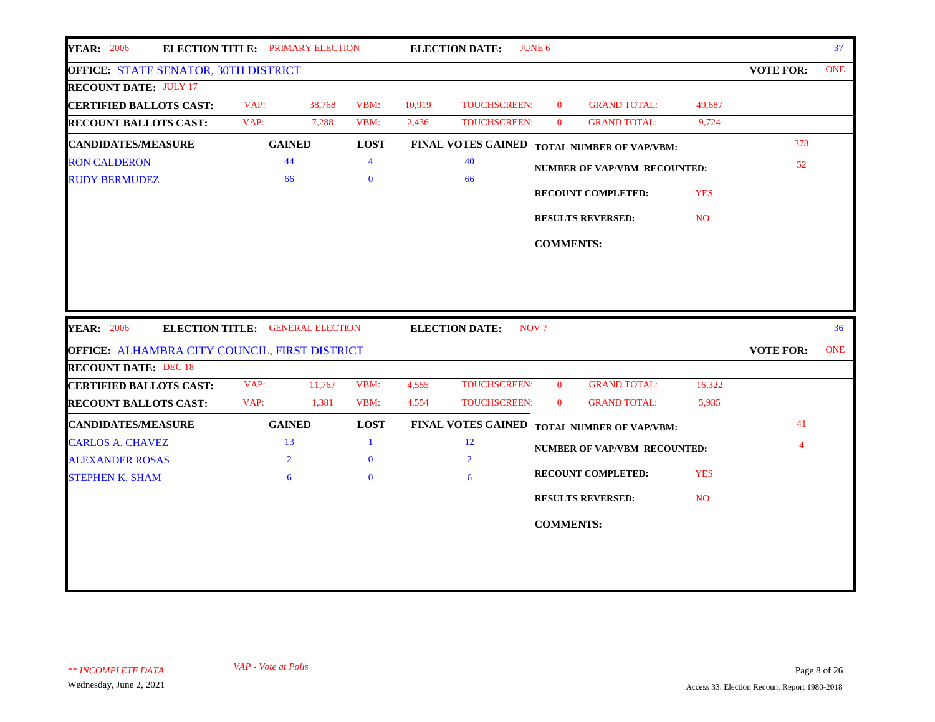| <b>YEAR: 2006</b>                             | <b>ELECTION TITLE: PRIMARY ELECTION</b> |                |        | <b>ELECTION DATE:</b>     | JUNE 6           |                                     |            |                  | 37              |
|-----------------------------------------------|-----------------------------------------|----------------|--------|---------------------------|------------------|-------------------------------------|------------|------------------|-----------------|
| <b>OFFICE: STATE SENATOR, 30TH DISTRICT</b>   |                                         |                |        |                           |                  |                                     |            | <b>VOTE FOR:</b> | <b>ONE</b>      |
| <b>RECOUNT DATE: JULY 17</b>                  |                                         |                |        |                           |                  |                                     |            |                  |                 |
| <b>CERTIFIED BALLOTS CAST:</b>                | VAP:<br>38,768                          | VBM:           | 10,919 | TOUCHSCREEN:              | $\mathbf{0}$     | <b>GRAND TOTAL:</b>                 | 49,687     |                  |                 |
| <b>RECOUNT BALLOTS CAST:</b>                  | VAP:<br>7,288                           | VBM:           | 2,436  | TOUCHSCREEN:              | $\mathbf{0}$     | <b>GRAND TOTAL:</b>                 | 9,724      |                  |                 |
| <b>CANDIDATES/MEASURE</b>                     | <b>GAINED</b>                           | <b>LOST</b>    |        | <b>FINAL VOTES GAINED</b> |                  | TOTAL NUMBER OF VAP/VBM:            |            | 378              |                 |
| <b>RON CALDERON</b>                           | 44                                      | $\overline{4}$ |        | 40                        |                  | <b>NUMBER OF VAP/VBM RECOUNTED:</b> |            | 52               |                 |
| <b>RUDY BERMUDEZ</b>                          | 66                                      | $\mathbf{0}$   |        | 66                        |                  |                                     |            |                  |                 |
|                                               |                                         |                |        |                           |                  | <b>RECOUNT COMPLETED:</b>           | <b>YES</b> |                  |                 |
|                                               |                                         |                |        |                           |                  | <b>RESULTS REVERSED:</b>            | <b>NO</b>  |                  |                 |
|                                               |                                         |                |        |                           | <b>COMMENTS:</b> |                                     |            |                  |                 |
|                                               |                                         |                |        |                           |                  |                                     |            |                  |                 |
|                                               |                                         |                |        |                           |                  |                                     |            |                  |                 |
|                                               |                                         |                |        |                           |                  |                                     |            |                  |                 |
|                                               |                                         |                |        |                           |                  |                                     |            |                  |                 |
| <b>YEAR: 2006</b>                             | ELECTION TITLE: GENERAL ELECTION        |                |        | <b>ELECTION DATE:</b>     | NOV <sub>7</sub> |                                     |            |                  | 36 <sup>°</sup> |
| OFFICE: ALHAMBRA CITY COUNCIL, FIRST DISTRICT |                                         |                |        |                           |                  |                                     |            | <b>VOTE FOR:</b> | <b>ONE</b>      |
| <b>RECOUNT DATE: DEC 18</b>                   |                                         |                |        |                           |                  |                                     |            |                  |                 |
| <b>CERTIFIED BALLOTS CAST:</b>                | VAP:<br>11,767                          | VBM:           | 4,555  | TOUCHSCREEN:              | $\mathbf{0}$     | <b>GRAND TOTAL:</b>                 | 16,322     |                  |                 |
| <b>RECOUNT BALLOTS CAST:</b>                  | VAP:<br>1,381                           | VBM:           | 4,554  | TOUCHSCREEN:              | $\mathbf{0}$     | <b>GRAND TOTAL:</b>                 | 5,935      |                  |                 |
| <b>CANDIDATES/MEASURE</b>                     | <b>GAINED</b>                           | <b>LOST</b>    |        | <b>FINAL VOTES GAINED</b> |                  | <b>TOTAL NUMBER OF VAP/VBM:</b>     |            | 41               |                 |
| <b>CARLOS A. CHAVEZ</b>                       | 13                                      | 1              |        | 12                        |                  | <b>NUMBER OF VAP/VBM RECOUNTED:</b> |            | 4                |                 |
| <b>ALEXANDER ROSAS</b>                        | $\overline{2}$                          | $\mathbf{0}$   |        | $\overline{2}$            |                  |                                     |            |                  |                 |
| <b>STEPHEN K. SHAM</b>                        | 6                                       | $\mathbf{0}$   |        | 6                         |                  | <b>RECOUNT COMPLETED:</b>           | <b>YES</b> |                  |                 |
|                                               |                                         |                |        |                           |                  | <b>RESULTS REVERSED:</b>            | NO.        |                  |                 |
|                                               |                                         |                |        |                           |                  |                                     |            |                  |                 |
|                                               |                                         |                |        |                           | <b>COMMENTS:</b> |                                     |            |                  |                 |
|                                               |                                         |                |        |                           |                  |                                     |            |                  |                 |
|                                               |                                         |                |        |                           |                  |                                     |            |                  |                 |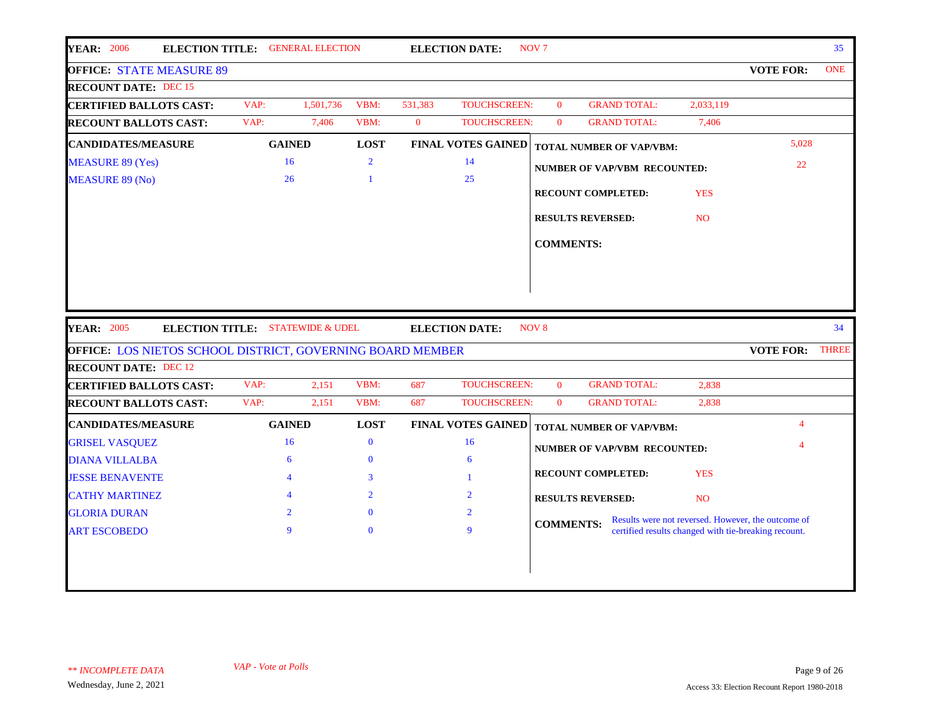| <b>YEAR: 2006</b><br><b>ELECTION TITLE: GENERAL ELECTION</b>                                     |                          |           |                |              | <b>ELECTION DATE:</b>       | NOV <sub>7</sub> |                                     |                 |                                                                                                            | 35 <sup>5</sup> |
|--------------------------------------------------------------------------------------------------|--------------------------|-----------|----------------|--------------|-----------------------------|------------------|-------------------------------------|-----------------|------------------------------------------------------------------------------------------------------------|-----------------|
| <b>OFFICE: STATE MEASURE 89</b>                                                                  |                          |           |                |              |                             |                  |                                     |                 | <b>VOTE FOR:</b>                                                                                           | <b>ONE</b>      |
| <b>RECOUNT DATE: DEC 15</b>                                                                      |                          |           |                |              |                             |                  |                                     |                 |                                                                                                            |                 |
| <b>CERTIFIED BALLOTS CAST:</b>                                                                   | VAP:                     | 1,501,736 | VBM:           | 531,383      | <b>TOUCHSCREEN:</b>         | $\mathbf{0}$     | <b>GRAND TOTAL:</b>                 | 2,033,119       |                                                                                                            |                 |
| <b>RECOUNT BALLOTS CAST:</b>                                                                     | VAP:                     | 7,406     | VBM:           | $\mathbf{0}$ | <b>TOUCHSCREEN:</b>         | $\overline{0}$   | <b>GRAND TOTAL:</b>                 | 7,406           |                                                                                                            |                 |
| <b>CANDIDATES/MEASURE</b>                                                                        | <b>GAINED</b>            |           | <b>LOST</b>    |              | <b>FINAL VOTES GAINED</b>   |                  | <b>TOTAL NUMBER OF VAP/VBM:</b>     |                 | 5,028                                                                                                      |                 |
| <b>MEASURE 89 (Yes)</b>                                                                          | 16                       |           | $\overline{2}$ |              | 14                          |                  | <b>NUMBER OF VAP/VBM RECOUNTED:</b> |                 | 22                                                                                                         |                 |
| <b>MEASURE 89 (No)</b>                                                                           | 26                       |           | 1              |              | 25                          |                  |                                     |                 |                                                                                                            |                 |
|                                                                                                  |                          |           |                |              |                             |                  | <b>RECOUNT COMPLETED:</b>           | <b>YES</b>      |                                                                                                            |                 |
|                                                                                                  |                          |           |                |              |                             |                  | <b>RESULTS REVERSED:</b>            | N <sub>O</sub>  |                                                                                                            |                 |
|                                                                                                  |                          |           |                |              |                             | <b>COMMENTS:</b> |                                     |                 |                                                                                                            |                 |
|                                                                                                  |                          |           |                |              |                             |                  |                                     |                 |                                                                                                            |                 |
|                                                                                                  |                          |           |                |              |                             |                  |                                     |                 |                                                                                                            |                 |
| <b>YEAR: 2005</b><br><b>ELECTION TITLE: STATEWIDE &amp; UDEL</b>                                 |                          |           |                |              | <b>ELECTION DATE:</b>       | NOV <sub>8</sub> |                                     |                 |                                                                                                            | 34              |
| <b>OFFICE: LOS NIETOS SCHOOL DISTRICT, GOVERNING BOARD MEMBER</b><br><b>RECOUNT DATE: DEC 12</b> |                          |           |                |              |                             |                  |                                     |                 | <b>VOTE FOR:</b>                                                                                           |                 |
| <b>CERTIFIED BALLOTS CAST:</b>                                                                   | VAP:                     | 2,151     | VBM:           | 687          | TOUCHSCREEN:                | $\mathbf{0}$     | <b>GRAND TOTAL:</b>                 | 2,838           |                                                                                                            |                 |
| <b>RECOUNT BALLOTS CAST:</b>                                                                     | VAP:                     | 2,151     | VBM:           | 687          | TOUCHSCREEN:                | $\mathbf{0}$     | <b>GRAND TOTAL:</b>                 | 2,838           |                                                                                                            |                 |
| <b>CANDIDATES/MEASURE</b>                                                                        | <b>GAINED</b>            |           | <b>LOST</b>    |              | <b>FINAL VOTES GAINED</b>   |                  | <b>TOTAL NUMBER OF VAP/VBM:</b>     |                 |                                                                                                            |                 |
| <b>GRISEL VASQUEZ</b>                                                                            | 16                       |           | $\mathbf{0}$   |              | 16                          |                  |                                     |                 |                                                                                                            |                 |
| <b>DIANA VILLALBA</b>                                                                            | 6                        |           | $\Omega$       |              | 6                           |                  | <b>NUMBER OF VAP/VBM RECOUNTED:</b> |                 |                                                                                                            |                 |
| <b>JESSE BENAVENTE</b>                                                                           | $\overline{\mathcal{A}}$ |           | 3              |              |                             |                  | <b>RECOUNT COMPLETED:</b>           | <b>YES</b>      |                                                                                                            |                 |
| <b>CATHY MARTINEZ</b>                                                                            |                          |           | $\overline{2}$ |              | $\mathcal{D}_{\mathcal{L}}$ |                  | <b>RESULTS REVERSED:</b>            | NO <sub>1</sub> |                                                                                                            |                 |
| <b>GLORIA DURAN</b>                                                                              | $\overline{2}$           |           | $\mathbf{0}$   |              | 2                           |                  |                                     |                 |                                                                                                            | <b>THREE</b>    |
| <b>ART ESCOBEDO</b>                                                                              | 9                        |           | $\Omega$       |              | 9                           | <b>COMMENTS:</b> |                                     |                 | Results were not reversed. However, the outcome of<br>certified results changed with tie-breaking recount. |                 |
|                                                                                                  |                          |           |                |              |                             |                  |                                     |                 |                                                                                                            |                 |
|                                                                                                  |                          |           |                |              |                             |                  |                                     |                 |                                                                                                            |                 |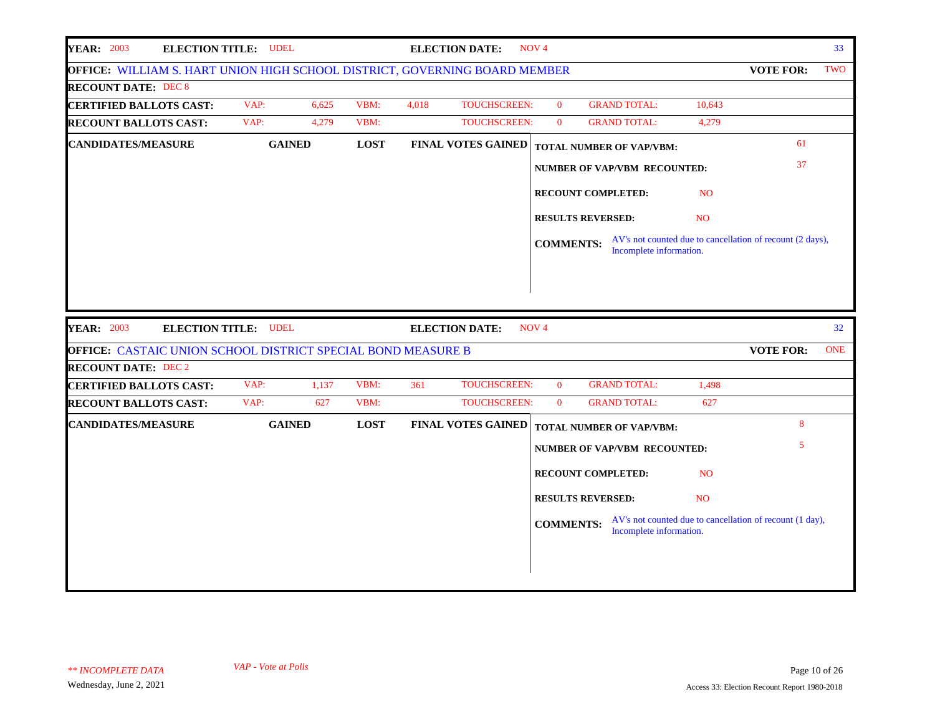| <b>YEAR: 2003</b>                                                          | <b>ELECTION TITLE: UDEL</b> |             | <b>ELECTION DATE:</b> |                           | NOV <sub>4</sub> |                                 |                 |                                                           | 33 <sup>°</sup> |
|----------------------------------------------------------------------------|-----------------------------|-------------|-----------------------|---------------------------|------------------|---------------------------------|-----------------|-----------------------------------------------------------|-----------------|
| OFFICE: WILLIAM S. HART UNION HIGH SCHOOL DISTRICT, GOVERNING BOARD MEMBER |                             |             |                       |                           |                  |                                 |                 | <b>VOTE FOR:</b>                                          | TWO             |
| <b>RECOUNT DATE: DEC 8</b>                                                 |                             |             |                       |                           |                  |                                 |                 |                                                           |                 |
| <b>CERTIFIED BALLOTS CAST:</b>                                             | VAP:<br>6,625               | VBM:        | 4,018                 | <b>TOUCHSCREEN:</b>       | $\overline{0}$   | <b>GRAND TOTAL:</b>             | 10,643          |                                                           |                 |
| <b>RECOUNT BALLOTS CAST:</b>                                               | VAP:<br>4,279               | VBM:        |                       | <b>TOUCHSCREEN:</b>       | $\overline{0}$   | <b>GRAND TOTAL:</b>             | 4,279           |                                                           |                 |
| <b>CANDIDATES/MEASURE</b>                                                  | <b>GAINED</b>               | <b>LOST</b> |                       | <b>FINAL VOTES GAINED</b> |                  | <b>TOTAL NUMBER OF VAP/VBM:</b> |                 | 61                                                        |                 |
|                                                                            |                             |             |                       |                           |                  | NUMBER OF VAP/VBM RECOUNTED:    |                 | 37                                                        |                 |
|                                                                            |                             |             |                       |                           |                  | RECOUNT COMPLETED:              | N <sub>O</sub>  |                                                           |                 |
|                                                                            |                             |             |                       |                           |                  | <b>RESULTS REVERSED:</b>        | N <sub>O</sub>  |                                                           |                 |
|                                                                            |                             |             |                       |                           | <b>COMMENTS:</b> | Incomplete information.         |                 | AV's not counted due to cancellation of recount (2 days), |                 |
|                                                                            |                             |             |                       |                           |                  |                                 |                 |                                                           |                 |
|                                                                            |                             |             |                       |                           |                  |                                 |                 |                                                           |                 |
| <b>YEAR: 2003</b>                                                          | <b>ELECTION TITLE: UDEL</b> |             | <b>ELECTION DATE:</b> |                           | NOV <sub>4</sub> |                                 |                 |                                                           | 32              |
| <b>OFFICE: CASTAIC UNION SCHOOL DISTRICT SPECIAL BOND MEASURE B</b>        |                             |             |                       |                           |                  |                                 |                 | <b>VOTE FOR:</b>                                          | <b>ONE</b>      |
| <b>RECOUNT DATE: DEC 2</b>                                                 |                             |             |                       |                           |                  |                                 |                 |                                                           |                 |
| <b>CERTIFIED BALLOTS CAST:</b>                                             | VAP:<br>1,137               | VBM:        | 361                   | TOUCHSCREEN:              | $\mathbf{0}$     | <b>GRAND TOTAL:</b>             | 1,498           |                                                           |                 |
| <b>RECOUNT BALLOTS CAST:</b>                                               | VAP:<br>627                 | VBM:        |                       | TOUCHSCREEN:              | $\overline{0}$   | <b>GRAND TOTAL:</b>             | 627             |                                                           |                 |
| <b>CANDIDATES/MEASURE</b>                                                  | <b>GAINED</b>               | <b>LOST</b> |                       | <b>FINAL VOTES GAINED</b> |                  | <b>TOTAL NUMBER OF VAP/VBM:</b> |                 | 8                                                         |                 |
|                                                                            |                             |             |                       |                           |                  | NUMBER OF VAP/VBM RECOUNTED:    |                 | 5                                                         |                 |
|                                                                            |                             |             |                       |                           |                  | <b>RECOUNT COMPLETED:</b>       | N <sub>O</sub>  |                                                           |                 |
|                                                                            |                             |             |                       |                           |                  | <b>RESULTS REVERSED:</b>        | NO <sub>1</sub> |                                                           |                 |
|                                                                            |                             |             |                       |                           | <b>COMMENTS:</b> | Incomplete information.         |                 | AV's not counted due to cancellation of recount (1 day),  |                 |
|                                                                            |                             |             |                       |                           |                  |                                 |                 |                                                           |                 |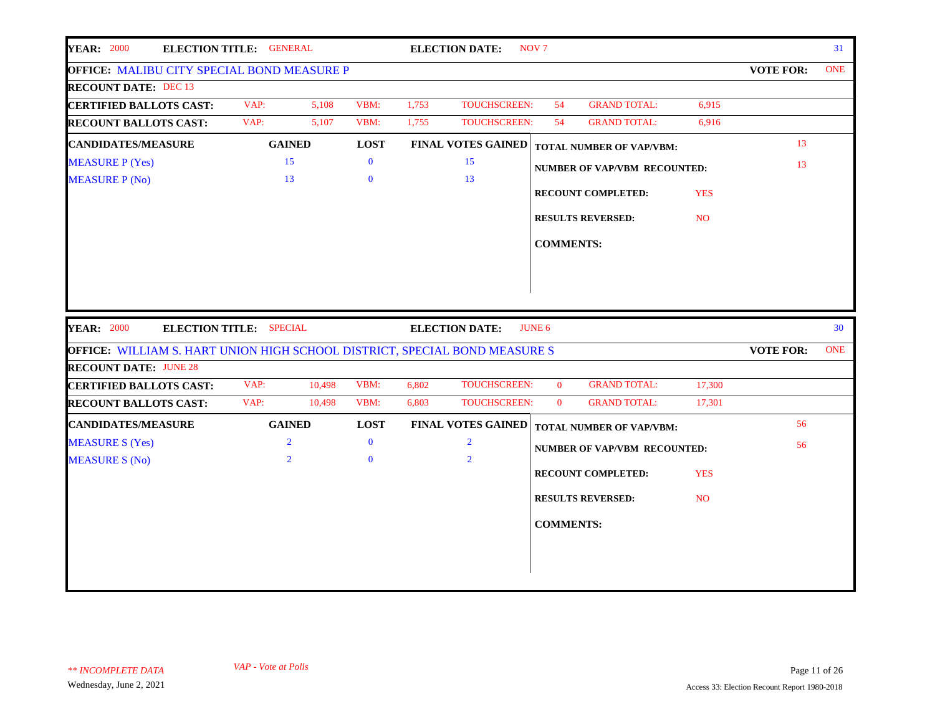| <b>YEAR: 2000</b>                                                          | ELECTION TITLE: GENERAL        |              |       | <b>ELECTION DATE:</b>     | NOV <sub>7</sub> |                                     |            |                  | 31         |
|----------------------------------------------------------------------------|--------------------------------|--------------|-------|---------------------------|------------------|-------------------------------------|------------|------------------|------------|
| OFFICE: MALIBU CITY SPECIAL BOND MEASURE P                                 |                                |              |       |                           |                  |                                     |            | <b>VOTE FOR:</b> | <b>ONE</b> |
| <b>RECOUNT DATE: DEC 13</b>                                                |                                |              |       |                           |                  |                                     |            |                  |            |
| <b>CERTIFIED BALLOTS CAST:</b>                                             | VAP:<br>5,108                  | VBM:         | 1,753 | TOUCHSCREEN:              | 54               | <b>GRAND TOTAL:</b>                 | 6,915      |                  |            |
| <b>RECOUNT BALLOTS CAST:</b>                                               | VAP:<br>5,107                  | VBM:         | 1,755 | TOUCHSCREEN:              | 54               | <b>GRAND TOTAL:</b>                 | 6,916      |                  |            |
| <b>CANDIDATES/MEASURE</b>                                                  | <b>GAINED</b>                  | <b>LOST</b>  |       | <b>FINAL VOTES GAINED</b> |                  | <b>TOTAL NUMBER OF VAP/VBM:</b>     |            | 13               |            |
| <b>MEASURE P (Yes)</b>                                                     | 15                             | $\bf{0}$     |       | 15                        |                  | <b>NUMBER OF VAP/VBM RECOUNTED:</b> |            | 13               |            |
| <b>MEASURE P (No)</b>                                                      | 13                             | $\mathbf{0}$ |       | 13                        |                  |                                     |            |                  |            |
|                                                                            |                                |              |       |                           |                  | <b>RECOUNT COMPLETED:</b>           | <b>YES</b> |                  |            |
|                                                                            |                                |              |       |                           |                  | <b>RESULTS REVERSED:</b>            | NO.        |                  |            |
|                                                                            |                                |              |       |                           | <b>COMMENTS:</b> |                                     |            |                  |            |
|                                                                            |                                |              |       |                           |                  |                                     |            |                  |            |
|                                                                            |                                |              |       |                           |                  |                                     |            |                  |            |
| <b>YEAR: 2000</b>                                                          | <b>ELECTION TITLE: SPECIAL</b> |              |       | <b>ELECTION DATE:</b>     | <b>JUNE 6</b>    |                                     |            |                  | 30         |
| OFFICE: WILLIAM S. HART UNION HIGH SCHOOL DISTRICT, SPECIAL BOND MEASURE S |                                |              |       |                           |                  |                                     |            | <b>VOTE FOR:</b> | <b>ONE</b> |
| <b>RECOUNT DATE: JUNE 28</b>                                               |                                |              |       |                           |                  |                                     |            |                  |            |
| <b>CERTIFIED BALLOTS CAST:</b>                                             | VAP:<br>10,498                 | VBM:         | 6,802 | TOUCHSCREEN:              | $\mathbf{0}$     | <b>GRAND TOTAL:</b>                 | 17,300     |                  |            |
| <b>RECOUNT BALLOTS CAST:</b>                                               | VAP:<br>10,498                 | VBM:         | 6,803 | TOUCHSCREEN:              | $\mathbf{0}$     | <b>GRAND TOTAL:</b>                 | 17,301     |                  |            |
| <b>CANDIDATES/MEASURE</b>                                                  | <b>GAINED</b>                  | <b>LOST</b>  |       | <b>FINAL VOTES GAINED</b> |                  | TOTAL NUMBER OF VAP/VBM:            |            | 56               |            |
| <b>MEASURE S (Yes)</b>                                                     | $\overline{2}$                 | $\bf{0}$     |       | $\overline{2}$            |                  | <b>NUMBER OF VAP/VBM RECOUNTED:</b> |            | 56               |            |
| <b>MEASURE S (No)</b>                                                      | $\overline{2}$                 | $\mathbf{0}$ |       | $\overline{2}$            |                  |                                     |            |                  |            |
|                                                                            |                                |              |       |                           |                  | <b>RECOUNT COMPLETED:</b>           | <b>YES</b> |                  |            |
|                                                                            |                                |              |       |                           |                  | <b>RESULTS REVERSED:</b>            | <b>NO</b>  |                  |            |
|                                                                            |                                |              |       |                           | <b>COMMENTS:</b> |                                     |            |                  |            |
|                                                                            |                                |              |       |                           |                  |                                     |            |                  |            |
|                                                                            |                                |              |       |                           |                  |                                     |            |                  |            |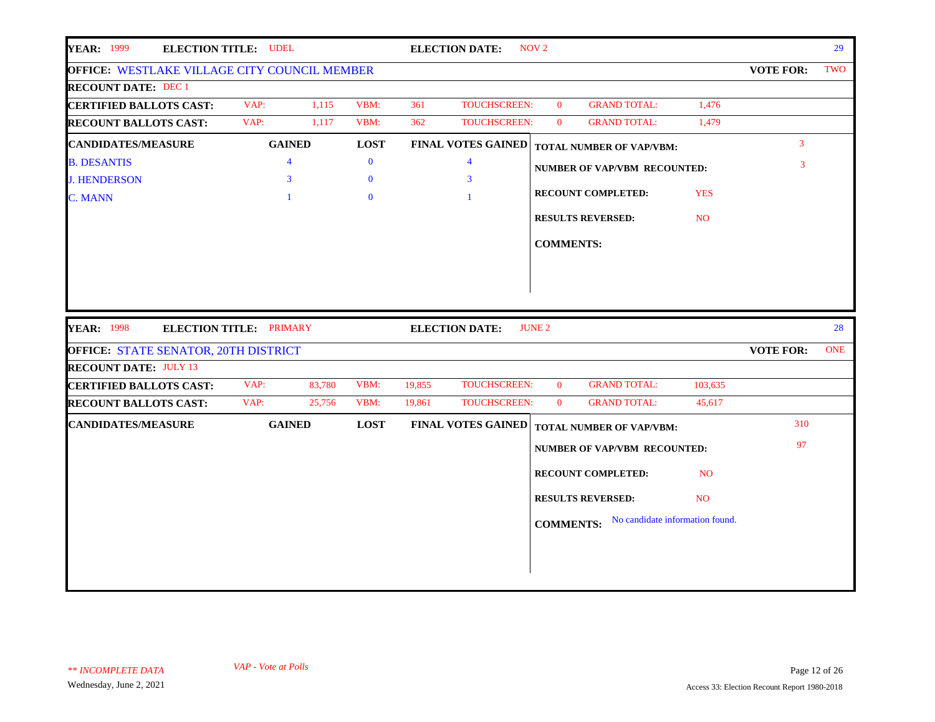| <b>YEAR: 1999</b><br><b>ELECTION TITLE: UDEL</b>    |                         |             |        | <b>ELECTION DATE:</b>     | NOV <sub>2</sub> |                                     |                |                  | 29         |
|-----------------------------------------------------|-------------------------|-------------|--------|---------------------------|------------------|-------------------------------------|----------------|------------------|------------|
| <b>OFFICE: WESTLAKE VILLAGE CITY COUNCIL MEMBER</b> |                         |             |        |                           |                  |                                     |                | <b>VOTE FOR:</b> | TWO        |
| <b>RECOUNT DATE: DEC 1</b>                          |                         |             |        |                           |                  |                                     |                |                  |            |
| <b>CERTIFIED BALLOTS CAST:</b>                      | VAP:<br>1,115           | VBM:        | 361    | <b>TOUCHSCREEN:</b>       | $\mathbf{0}$     | <b>GRAND TOTAL:</b>                 | 1,476          |                  |            |
| <b>RECOUNT BALLOTS CAST:</b>                        | VAP:<br>1,117           | VBM:        | 362    | TOUCHSCREEN:              | $\mathbf{0}$     | <b>GRAND TOTAL:</b>                 | 1,479          |                  |            |
| <b>CANDIDATES/MEASURE</b>                           | <b>GAINED</b>           | <b>LOST</b> |        | <b>FINAL VOTES GAINED</b> |                  | <b>TOTAL NUMBER OF VAP/VBM:</b>     |                | $\overline{3}$   |            |
| <b>B. DESANTIS</b>                                  | $\overline{4}$          | $\bf{0}$    |        | $\overline{4}$            |                  | NUMBER OF VAP/VBM RECOUNTED:        |                | 3                |            |
| <b>J. HENDERSON</b>                                 | 3                       | $\bf{0}$    |        | 3                         |                  |                                     |                |                  |            |
| <b>C. MANN</b>                                      |                         | $\bf{0}$    |        |                           |                  | <b>RECOUNT COMPLETED:</b>           | <b>YES</b>     |                  |            |
|                                                     |                         |             |        |                           |                  | <b>RESULTS REVERSED:</b>            | NO.            |                  |            |
|                                                     |                         |             |        |                           | <b>COMMENTS:</b> |                                     |                |                  |            |
|                                                     |                         |             |        |                           |                  |                                     |                |                  |            |
|                                                     |                         |             |        |                           |                  |                                     |                |                  |            |
|                                                     |                         |             |        |                           |                  |                                     |                |                  |            |
| <b>YEAR: 1998</b>                                   | ELECTION TITLE: PRIMARY |             |        | <b>ELECTION DATE:</b>     | <b>JUNE 2</b>    |                                     |                |                  | 28         |
| <b>OFFICE: STATE SENATOR, 20TH DISTRICT</b>         |                         |             |        |                           |                  |                                     |                | <b>VOTE FOR:</b> | <b>ONE</b> |
| <b>RECOUNT DATE: JULY 13</b>                        |                         |             |        |                           |                  |                                     |                |                  |            |
| <b>CERTIFIED BALLOTS CAST:</b>                      | VAP:<br>83,780          | VBM:        | 19,855 | <b>TOUCHSCREEN:</b>       | $\mathbf{0}$     | <b>GRAND TOTAL:</b>                 | 103,635        |                  |            |
| <b>RECOUNT BALLOTS CAST:</b>                        | 25,756<br>VAP:          | VBM:        | 19,861 | <b>TOUCHSCREEN:</b>       | $\overline{0}$   | <b>GRAND TOTAL:</b>                 | 45,617         |                  |            |
| <b>CANDIDATES/MEASURE</b>                           | <b>GAINED</b>           | <b>LOST</b> |        | <b>FINAL VOTES GAINED</b> |                  | <b>TOTAL NUMBER OF VAP/VBM:</b>     |                | 310              |            |
|                                                     |                         |             |        |                           |                  | <b>NUMBER OF VAP/VBM RECOUNTED:</b> |                | 97               |            |
|                                                     |                         |             |        |                           |                  | <b>RECOUNT COMPLETED:</b>           | <b>NO</b>      |                  |            |
|                                                     |                         |             |        |                           |                  |                                     | N <sub>O</sub> |                  |            |
|                                                     |                         |             |        |                           |                  | <b>RESULTS REVERSED:</b>            |                |                  |            |
|                                                     |                         |             |        |                           | <b>COMMENTS:</b> | No candidate information found.     |                |                  |            |
|                                                     |                         |             |        |                           |                  |                                     |                |                  |            |
|                                                     |                         |             |        |                           |                  |                                     |                |                  |            |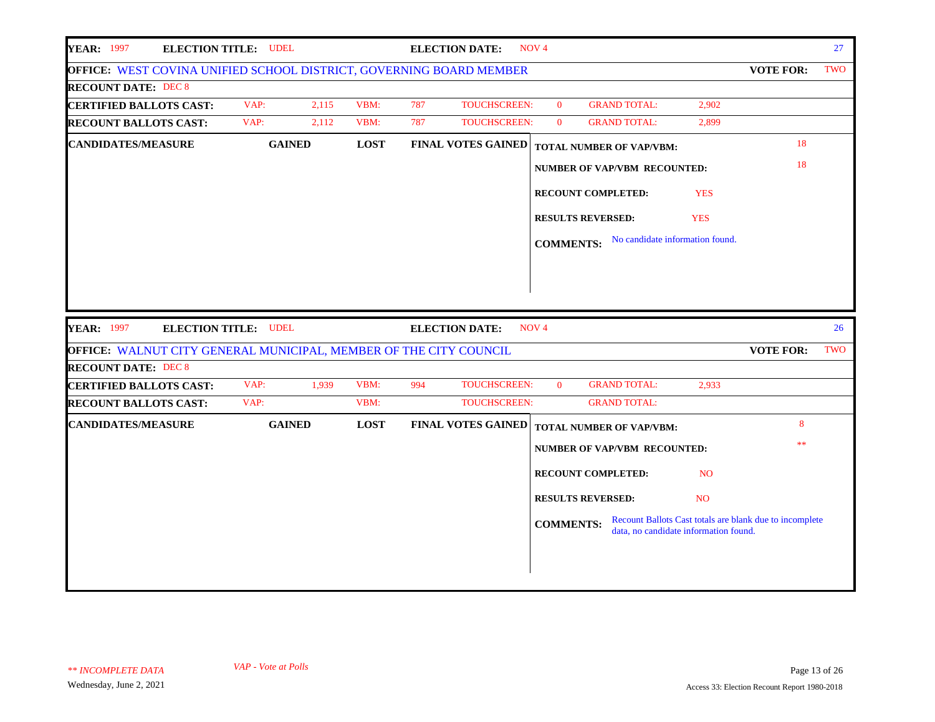| <b>YEAR: 1997</b><br><b>ELECTION TITLE: UDEL</b>                    |               |             |     | <b>ELECTION DATE:</b>     | NOV <sub>4</sub> |                                 |                                       |                                                         | 27  |
|---------------------------------------------------------------------|---------------|-------------|-----|---------------------------|------------------|---------------------------------|---------------------------------------|---------------------------------------------------------|-----|
| OFFICE: WEST COVINA UNIFIED SCHOOL DISTRICT, GOVERNING BOARD MEMBER |               |             |     |                           |                  |                                 |                                       | <b>VOTE FOR:</b>                                        | TWO |
| <b>RECOUNT DATE: DEC 8</b>                                          |               |             |     |                           |                  |                                 |                                       |                                                         |     |
| <b>CERTIFIED BALLOTS CAST:</b>                                      | VAP:<br>2,115 | VBM:        | 787 | <b>TOUCHSCREEN:</b>       | $\mathbf{0}$     | <b>GRAND TOTAL:</b>             | 2,902                                 |                                                         |     |
| <b>RECOUNT BALLOTS CAST:</b>                                        | VAP:<br>2,112 | VBM:        | 787 | <b>TOUCHSCREEN:</b>       | $\mathbf{0}$     | <b>GRAND TOTAL:</b>             | 2,899                                 |                                                         |     |
| <b>CANDIDATES/MEASURE</b>                                           | <b>GAINED</b> | <b>LOST</b> |     | <b>FINAL VOTES GAINED</b> |                  | <b>TOTAL NUMBER OF VAP/VBM:</b> |                                       | 18                                                      |     |
|                                                                     |               |             |     |                           |                  | NUMBER OF VAP/VBM RECOUNTED:    |                                       | 18                                                      |     |
|                                                                     |               |             |     |                           |                  | RECOUNT COMPLETED:              | <b>YES</b>                            |                                                         |     |
|                                                                     |               |             |     |                           |                  | <b>RESULTS REVERSED:</b>        | <b>YES</b>                            |                                                         |     |
|                                                                     |               |             |     |                           | <b>COMMENTS:</b> | No candidate information found. |                                       |                                                         |     |
|                                                                     |               |             |     |                           |                  |                                 |                                       |                                                         |     |
|                                                                     |               |             |     |                           |                  |                                 |                                       |                                                         |     |
|                                                                     |               |             |     |                           |                  |                                 |                                       |                                                         |     |
| <b>YEAR: 1997</b><br><b>ELECTION TITLE: UDEL</b>                    |               |             |     | <b>ELECTION DATE:</b>     | NOV <sub>4</sub> |                                 |                                       |                                                         | 26  |
| OFFICE: WALNUT CITY GENERAL MUNICIPAL, MEMBER OF THE CITY COUNCIL   |               |             |     |                           |                  |                                 |                                       | <b>VOTE FOR:</b>                                        | TWO |
| <b>RECOUNT DATE: DEC 8</b>                                          |               |             |     |                           |                  |                                 |                                       |                                                         |     |
| <b>CERTIFIED BALLOTS CAST:</b>                                      | VAP:<br>1,939 | VBM:        | 994 | TOUCHSCREEN:              | $\overline{0}$   | <b>GRAND TOTAL:</b>             | 2,933                                 |                                                         |     |
| <b>RECOUNT BALLOTS CAST:</b>                                        | VAP:          | VBM:        |     | TOUCHSCREEN:              |                  | <b>GRAND TOTAL:</b>             |                                       |                                                         |     |
| <b>CANDIDATES/MEASURE</b>                                           | <b>GAINED</b> | <b>LOST</b> |     | <b>FINAL VOTES GAINED</b> |                  | <b>TOTAL NUMBER OF VAP/VBM:</b> |                                       | 8                                                       |     |
|                                                                     |               |             |     |                           |                  | NUMBER OF VAP/VBM RECOUNTED:    |                                       | **                                                      |     |
|                                                                     |               |             |     |                           |                  | <b>RECOUNT COMPLETED:</b>       | N <sub>O</sub>                        |                                                         |     |
|                                                                     |               |             |     |                           |                  | <b>RESULTS REVERSED:</b>        | NO <sub>1</sub>                       |                                                         |     |
|                                                                     |               |             |     |                           | <b>COMMENTS:</b> |                                 | data, no candidate information found. | Recount Ballots Cast totals are blank due to incomplete |     |
|                                                                     |               |             |     |                           |                  |                                 |                                       |                                                         |     |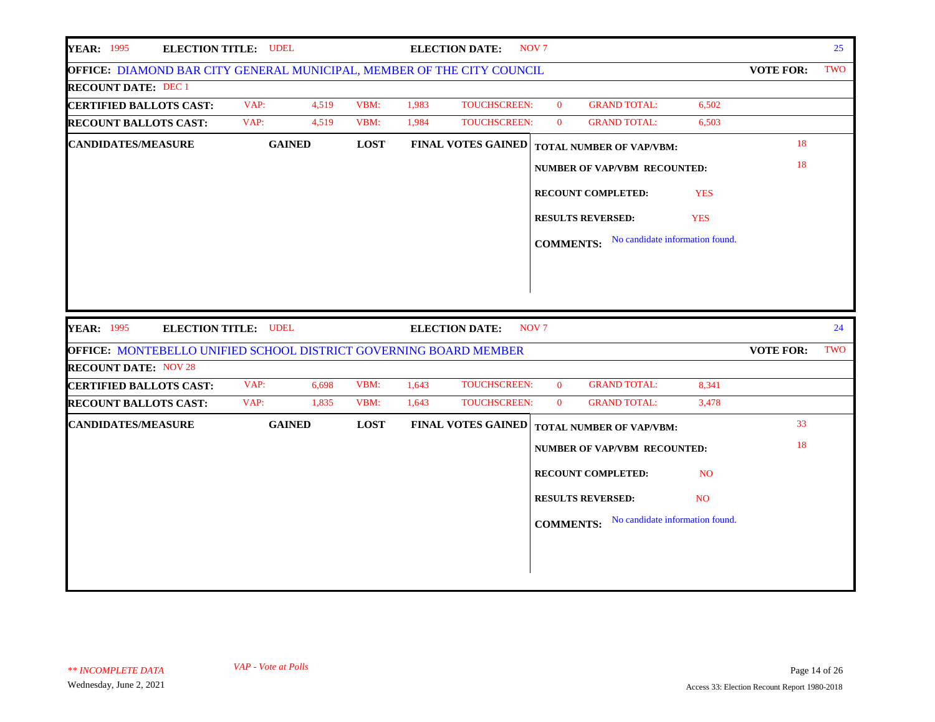| <b>YEAR: 1995</b><br><b>ELECTION TITLE: UDEL</b>                       |               |             |       | <b>ELECTION DATE:</b>     | NOV <sub>7</sub> |                                     |                |                  | 25  |
|------------------------------------------------------------------------|---------------|-------------|-------|---------------------------|------------------|-------------------------------------|----------------|------------------|-----|
| OFFICE: DIAMOND BAR CITY GENERAL MUNICIPAL, MEMBER OF THE CITY COUNCIL |               |             |       |                           |                  |                                     |                | <b>VOTE FOR:</b> | TWO |
| <b>RECOUNT DATE: DEC 1</b>                                             |               |             |       |                           |                  |                                     |                |                  |     |
| <b>CERTIFIED BALLOTS CAST:</b>                                         | VAP:<br>4,519 | VBM:        | 1,983 | TOUCHSCREEN:              | $\mathbf{0}$     | <b>GRAND TOTAL:</b>                 | 6,502          |                  |     |
| <b>RECOUNT BALLOTS CAST:</b>                                           | VAP:<br>4,519 | VBM:        | 1,984 | TOUCHSCREEN:              | $\mathbf{0}$     | <b>GRAND TOTAL:</b>                 | 6,503          |                  |     |
| <b>CANDIDATES/MEASURE</b>                                              | <b>GAINED</b> | <b>LOST</b> |       | <b>FINAL VOTES GAINED</b> |                  | <b>TOTAL NUMBER OF VAP/VBM:</b>     |                | 18               |     |
|                                                                        |               |             |       |                           |                  | <b>NUMBER OF VAP/VBM RECOUNTED:</b> |                | 18               |     |
|                                                                        |               |             |       |                           |                  | <b>RECOUNT COMPLETED:</b>           | <b>YES</b>     |                  |     |
|                                                                        |               |             |       |                           |                  | <b>RESULTS REVERSED:</b>            | <b>YES</b>     |                  |     |
|                                                                        |               |             |       |                           | <b>COMMENTS:</b> | No candidate information found.     |                |                  |     |
|                                                                        |               |             |       |                           |                  |                                     |                |                  |     |
|                                                                        |               |             |       |                           |                  |                                     |                |                  |     |
|                                                                        |               |             |       |                           |                  |                                     |                |                  |     |
|                                                                        |               |             |       |                           |                  |                                     |                |                  |     |
| <b>YEAR: 1995</b><br><b>ELECTION TITLE: UDEL</b>                       |               |             |       | <b>ELECTION DATE:</b>     | NOV <sub>7</sub> |                                     |                |                  | 24  |
| OFFICE: MONTEBELLO UNIFIED SCHOOL DISTRICT GOVERNING BOARD MEMBER      |               |             |       |                           |                  |                                     |                | <b>VOTE FOR:</b> | TWO |
| <b>RECOUNT DATE: NOV 28</b>                                            |               |             |       |                           |                  |                                     |                |                  |     |
| <b>CERTIFIED BALLOTS CAST:</b>                                         | VAP:<br>6,698 | VBM:        | 1,643 | TOUCHSCREEN:              | $\mathbf{0}$     | <b>GRAND TOTAL:</b>                 | 8,341          |                  |     |
| <b>RECOUNT BALLOTS CAST:</b>                                           | 1,835<br>VAP: | VBM:        | 1,643 | TOUCHSCREEN:              | $\overline{0}$   | <b>GRAND TOTAL:</b>                 | 3,478          |                  |     |
| <b>CANDIDATES/MEASURE</b>                                              | <b>GAINED</b> | <b>LOST</b> |       | <b>FINAL VOTES GAINED</b> |                  | TOTAL NUMBER OF VAP/VBM:            |                | 33               |     |
|                                                                        |               |             |       |                           |                  | <b>NUMBER OF VAP/VBM RECOUNTED:</b> |                | 18               |     |
|                                                                        |               |             |       |                           |                  | RECOUNT COMPLETED:                  | N <sub>O</sub> |                  |     |
|                                                                        |               |             |       |                           |                  | <b>RESULTS REVERSED:</b>            | NO.            |                  |     |
|                                                                        |               |             |       |                           | <b>COMMENTS:</b> | No candidate information found.     |                |                  |     |
|                                                                        |               |             |       |                           |                  |                                     |                |                  |     |
|                                                                        |               |             |       |                           |                  |                                     |                |                  |     |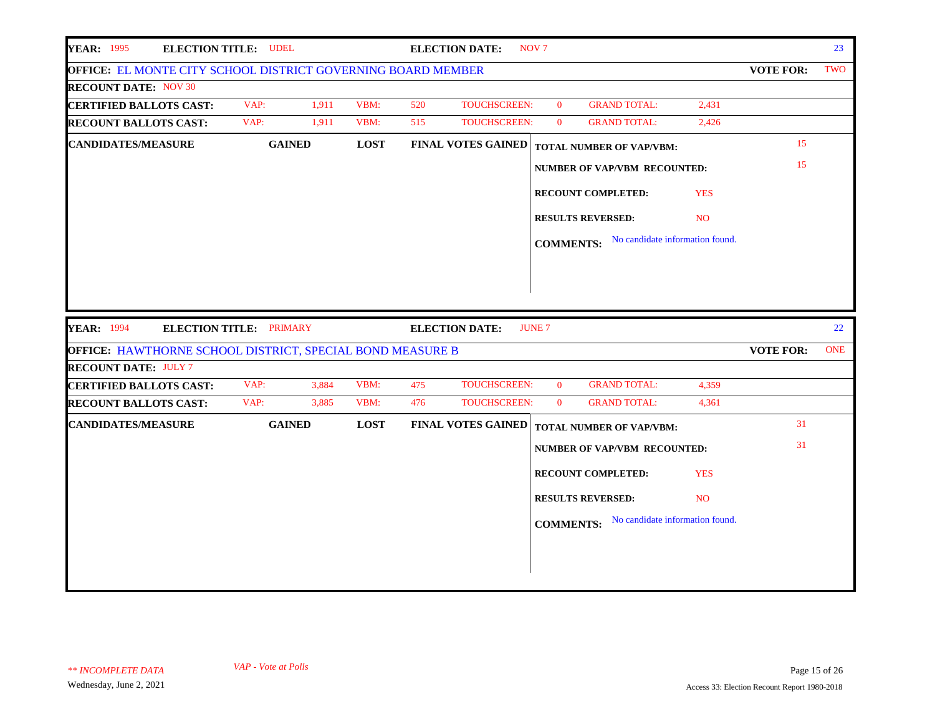|                                                                     | <b>ELECTION TITLE: UDEL</b> |       |             |     | <b>ELECTION DATE:</b>     | NOV <sub>7</sub> |                                     |                                 |                  | 23         |
|---------------------------------------------------------------------|-----------------------------|-------|-------------|-----|---------------------------|------------------|-------------------------------------|---------------------------------|------------------|------------|
| <b>OFFICE: EL MONTE CITY SCHOOL DISTRICT GOVERNING BOARD MEMBER</b> |                             |       |             |     |                           |                  |                                     |                                 | <b>VOTE FOR:</b> | TWO        |
| <b>RECOUNT DATE: NOV 30</b>                                         |                             |       |             |     |                           |                  |                                     |                                 |                  |            |
| <b>CERTIFIED BALLOTS CAST:</b>                                      | VAP:                        | 1,911 | VBM:        | 520 | TOUCHSCREEN:              | $\overline{0}$   | <b>GRAND TOTAL:</b>                 | 2,431                           |                  |            |
| <b>RECOUNT BALLOTS CAST:</b>                                        | VAP:                        | 1,911 | VBM:        | 515 | <b>TOUCHSCREEN:</b>       | $\overline{0}$   | <b>GRAND TOTAL:</b>                 | 2,426                           |                  |            |
| <b>CANDIDATES/MEASURE</b>                                           | <b>GAINED</b>               |       | <b>LOST</b> |     | <b>FINAL VOTES GAINED</b> |                  | <b>TOTAL NUMBER OF VAP/VBM:</b>     |                                 | 15               |            |
|                                                                     |                             |       |             |     |                           |                  | <b>NUMBER OF VAP/VBM RECOUNTED:</b> |                                 | 15               |            |
|                                                                     |                             |       |             |     |                           |                  | <b>RECOUNT COMPLETED:</b>           | <b>YES</b>                      |                  |            |
|                                                                     |                             |       |             |     |                           |                  | <b>RESULTS REVERSED:</b>            | N <sub>O</sub>                  |                  |            |
|                                                                     |                             |       |             |     |                           | <b>COMMENTS:</b> |                                     | No candidate information found. |                  |            |
|                                                                     |                             |       |             |     |                           |                  |                                     |                                 |                  |            |
|                                                                     |                             |       |             |     |                           |                  |                                     |                                 |                  |            |
|                                                                     |                             |       |             |     |                           |                  |                                     |                                 |                  |            |
|                                                                     |                             |       |             |     |                           |                  |                                     |                                 |                  |            |
|                                                                     |                             |       |             |     |                           |                  |                                     |                                 |                  |            |
| <b>YEAR: 1994</b>                                                   | ELECTION TITLE: PRIMARY     |       |             |     | <b>ELECTION DATE:</b>     | <b>JUNE 7</b>    |                                     |                                 |                  | 22         |
| OFFICE: HAWTHORNE SCHOOL DISTRICT, SPECIAL BOND MEASURE B           |                             |       |             |     |                           |                  |                                     |                                 | <b>VOTE FOR:</b> | <b>ONE</b> |
| <b>RECOUNT DATE: JULY 7</b>                                         |                             |       |             |     |                           |                  |                                     |                                 |                  |            |
| <b>CERTIFIED BALLOTS CAST:</b>                                      | VAP:                        | 3,884 | VBM:        | 475 | <b>TOUCHSCREEN:</b>       | $\overline{0}$   | <b>GRAND TOTAL:</b>                 | 4,359                           |                  |            |
| <b>RECOUNT BALLOTS CAST:</b>                                        | VAP:                        | 3,885 | VBM:        | 476 | TOUCHSCREEN:              | $\overline{0}$   | <b>GRAND TOTAL:</b>                 | 4,361                           | 31               |            |
| <b>CANDIDATES/MEASURE</b>                                           | <b>GAINED</b>               |       | <b>LOST</b> |     | <b>FINAL VOTES GAINED</b> |                  | <b>TOTAL NUMBER OF VAP/VBM:</b>     |                                 |                  |            |
|                                                                     |                             |       |             |     |                           |                  | <b>NUMBER OF VAP/VBM RECOUNTED:</b> |                                 | 31               |            |
|                                                                     |                             |       |             |     |                           |                  | <b>RECOUNT COMPLETED:</b>           | <b>YES</b>                      |                  |            |
|                                                                     |                             |       |             |     |                           |                  | <b>RESULTS REVERSED:</b>            | NO.                             |                  |            |
|                                                                     |                             |       |             |     |                           | <b>COMMENTS:</b> |                                     | No candidate information found. |                  |            |
|                                                                     |                             |       |             |     |                           |                  |                                     |                                 |                  |            |
|                                                                     |                             |       |             |     |                           |                  |                                     |                                 |                  |            |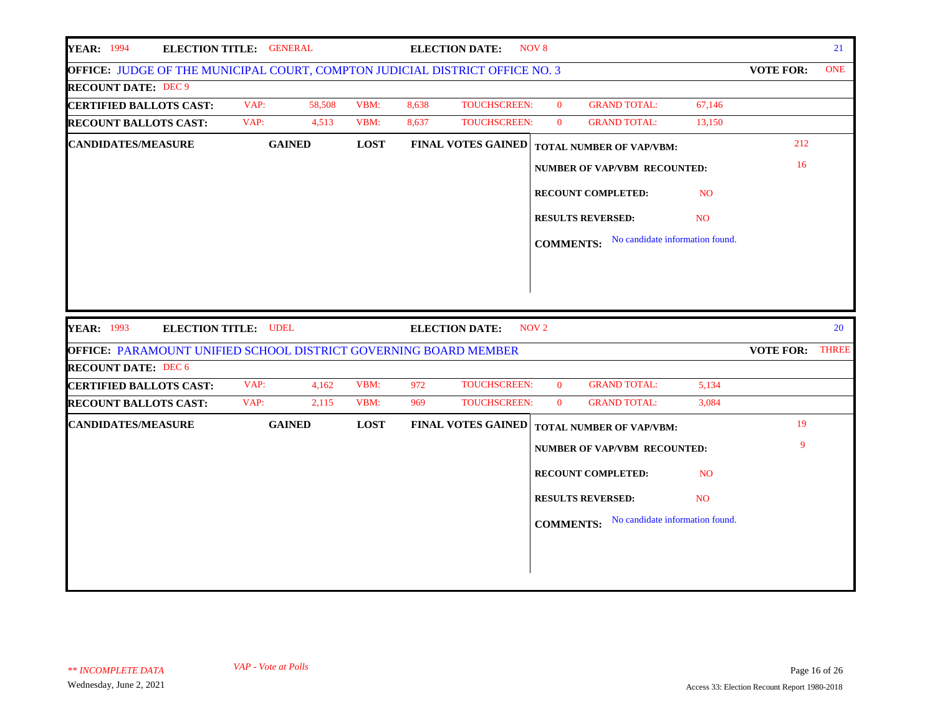| <b>YEAR: 1994</b><br>ELECTION TITLE: GENERAL                                 |               |        |             |       | <b>ELECTION DATE:</b>     | NOV <sub>8</sub> |                                                  |                |                        | 21         |
|------------------------------------------------------------------------------|---------------|--------|-------------|-------|---------------------------|------------------|--------------------------------------------------|----------------|------------------------|------------|
| OFFICE: JUDGE OF THE MUNICIPAL COURT, COMPTON JUDICIAL DISTRICT OFFICE NO. 3 |               |        |             |       |                           |                  |                                                  |                | <b>VOTE FOR:</b>       | <b>ONE</b> |
| <b>RECOUNT DATE: DEC 9</b>                                                   |               |        |             |       |                           |                  |                                                  |                |                        |            |
| <b>CERTIFIED BALLOTS CAST:</b>                                               | VAP:          | 58,508 | VBM:        | 8,638 | <b>TOUCHSCREEN:</b>       | $\mathbf{0}$     | <b>GRAND TOTAL:</b>                              | 67,146         |                        |            |
| <b>RECOUNT BALLOTS CAST:</b>                                                 | VAP:          | 4,513  | VBM:        | 8,637 | <b>TOUCHSCREEN:</b>       | $\mathbf{0}$     | <b>GRAND TOTAL:</b>                              | 13,150         |                        |            |
| <b>CANDIDATES/MEASURE</b>                                                    | <b>GAINED</b> |        | <b>LOST</b> |       | <b>FINAL VOTES GAINED</b> |                  | <b>TOTAL NUMBER OF VAP/VBM:</b>                  |                | 212                    |            |
|                                                                              |               |        |             |       |                           |                  | <b>NUMBER OF VAP/VBM RECOUNTED:</b>              |                | 16                     |            |
|                                                                              |               |        |             |       |                           |                  | RECOUNT COMPLETED:                               | <b>NO</b>      |                        |            |
|                                                                              |               |        |             |       |                           |                  | <b>RESULTS REVERSED:</b>                         | N <sub>O</sub> |                        |            |
|                                                                              |               |        |             |       |                           |                  | <b>COMMENTS:</b> No candidate information found. |                |                        |            |
|                                                                              |               |        |             |       |                           |                  |                                                  |                |                        |            |
|                                                                              |               |        |             |       |                           |                  |                                                  |                |                        |            |
| <b>YEAR: 1993</b><br><b>ELECTION TITLE: UDEL</b>                             |               |        |             |       | <b>ELECTION DATE:</b>     | NOV <sub>2</sub> |                                                  |                |                        | 20         |
| OFFICE: PARAMOUNT UNIFIED SCHOOL DISTRICT GOVERNING BOARD MEMBER             |               |        |             |       |                           |                  |                                                  |                | <b>VOTE FOR: THREE</b> |            |
| <b>RECOUNT DATE: DEC 6</b>                                                   |               |        |             |       |                           |                  |                                                  |                |                        |            |
| <b>CERTIFIED BALLOTS CAST:</b>                                               | VAP:          | 4,162  | VBM:        | 972   | <b>TOUCHSCREEN:</b>       | $\mathbf{0}$     | <b>GRAND TOTAL:</b>                              | 5,134          |                        |            |
| <b>RECOUNT BALLOTS CAST:</b>                                                 | VAP:          | 2,115  | VBM:        | 969   | TOUCHSCREEN:              | $\mathbf{0}$     | <b>GRAND TOTAL:</b>                              | 3,084          |                        |            |
| <b>CANDIDATES/MEASURE</b>                                                    | <b>GAINED</b> |        | <b>LOST</b> |       | <b>FINAL VOTES GAINED</b> |                  | <b>TOTAL NUMBER OF VAP/VBM:</b>                  |                | 19                     |            |
|                                                                              |               |        |             |       |                           |                  | <b>NUMBER OF VAP/VBM RECOUNTED:</b>              |                | 9                      |            |
|                                                                              |               |        |             |       |                           |                  | RECOUNT COMPLETED:                               | <b>NO</b>      |                        |            |
|                                                                              |               |        |             |       |                           |                  | <b>RESULTS REVERSED:</b>                         | N <sub>O</sub> |                        |            |
|                                                                              |               |        |             |       |                           |                  | <b>COMMENTS:</b> No candidate information found. |                |                        |            |
|                                                                              |               |        |             |       |                           |                  |                                                  |                |                        |            |
|                                                                              |               |        |             |       |                           |                  |                                                  |                |                        |            |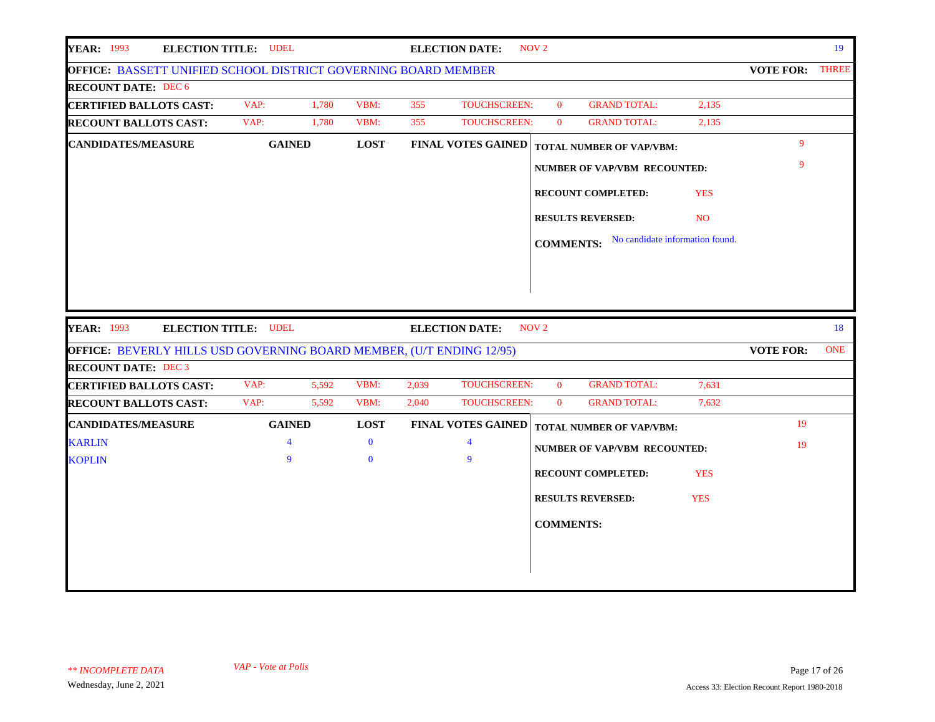| <b>YEAR: 1993</b><br><b>ELECTION TITLE: UDEL</b>                      |                |               |       | <b>ELECTION DATE:</b>     | NOV <sub>2</sub> |                                                  |            |                  | 19         |
|-----------------------------------------------------------------------|----------------|---------------|-------|---------------------------|------------------|--------------------------------------------------|------------|------------------|------------|
| <b>OFFICE: BASSETT UNIFIED SCHOOL DISTRICT GOVERNING BOARD MEMBER</b> |                |               |       |                           |                  |                                                  |            | VOTE FOR: THREE  |            |
| <b>RECOUNT DATE: DEC 6</b>                                            |                |               |       |                           |                  |                                                  |            |                  |            |
| <b>CERTIFIED BALLOTS CAST:</b>                                        | VAP:           | 1,780<br>VBM: | 355   | <b>TOUCHSCREEN:</b>       | $\Omega$         | <b>GRAND TOTAL:</b>                              | 2,135      |                  |            |
| <b>RECOUNT BALLOTS CAST:</b>                                          | VAP:           | VBM:<br>1,780 | 355   | TOUCHSCREEN:              | $\mathbf{0}$     | <b>GRAND TOTAL:</b>                              | 2,135      |                  |            |
| <b>CANDIDATES/MEASURE</b>                                             | <b>GAINED</b>  | <b>LOST</b>   |       | <b>FINAL VOTES GAINED</b> |                  | <b>TOTAL NUMBER OF VAP/VBM:</b>                  |            | $\mathbf{Q}$     |            |
|                                                                       |                |               |       |                           |                  | <b>NUMBER OF VAP/VBM RECOUNTED:</b>              |            | 9                |            |
|                                                                       |                |               |       |                           |                  | <b>RECOUNT COMPLETED:</b>                        | <b>YES</b> |                  |            |
|                                                                       |                |               |       |                           |                  | <b>RESULTS REVERSED:</b>                         | <b>NO</b>  |                  |            |
|                                                                       |                |               |       |                           |                  | <b>COMMENTS:</b> No candidate information found. |            |                  |            |
|                                                                       |                |               |       |                           |                  |                                                  |            |                  |            |
|                                                                       |                |               |       |                           |                  |                                                  |            |                  |            |
|                                                                       |                |               |       |                           |                  |                                                  |            |                  |            |
|                                                                       |                |               |       |                           |                  |                                                  |            |                  |            |
|                                                                       |                |               |       |                           |                  |                                                  |            |                  |            |
| <b>YEAR: 1993</b><br><b>ELECTION TITLE: UDEL</b>                      |                |               |       | <b>ELECTION DATE:</b>     | NOV <sub>2</sub> |                                                  |            |                  | 18         |
| OFFICE: BEVERLY HILLS USD GOVERNING BOARD MEMBER, (U/T ENDING 12/95)  |                |               |       |                           |                  |                                                  |            | <b>VOTE FOR:</b> | <b>ONE</b> |
| <b>RECOUNT DATE: DEC 3</b>                                            |                |               |       |                           |                  |                                                  |            |                  |            |
| <b>CERTIFIED BALLOTS CAST:</b>                                        | VAP:           | 5,592<br>VBM: | 2,039 | TOUCHSCREEN:              | $\mathbf{0}$     | <b>GRAND TOTAL:</b>                              | 7,631      |                  |            |
| <b>RECOUNT BALLOTS CAST:</b>                                          | VAP:           | 5,592<br>VBM: | 2,040 | <b>TOUCHSCREEN:</b>       | $\mathbf{0}$     | <b>GRAND TOTAL:</b>                              | 7,632      |                  |            |
| <b>CANDIDATES/MEASURE</b>                                             | <b>GAINED</b>  | <b>LOST</b>   |       | <b>FINAL VOTES GAINED</b> |                  | <b>TOTAL NUMBER OF VAP/VBM:</b>                  |            | 19               |            |
| <b>KARLIN</b>                                                         | $\overline{4}$ | $\mathbf{0}$  |       | $\overline{4}$            |                  |                                                  |            | 19               |            |
| <b>KOPLIN</b>                                                         | 9              | $\mathbf{0}$  |       | 9                         |                  | <b>NUMBER OF VAP/VBM RECOUNTED:</b>              |            |                  |            |
|                                                                       |                |               |       |                           |                  | <b>RECOUNT COMPLETED:</b>                        | <b>YES</b> |                  |            |
|                                                                       |                |               |       |                           |                  | <b>RESULTS REVERSED:</b>                         | <b>YES</b> |                  |            |
|                                                                       |                |               |       |                           | <b>COMMENTS:</b> |                                                  |            |                  |            |
|                                                                       |                |               |       |                           |                  |                                                  |            |                  |            |
|                                                                       |                |               |       |                           |                  |                                                  |            |                  |            |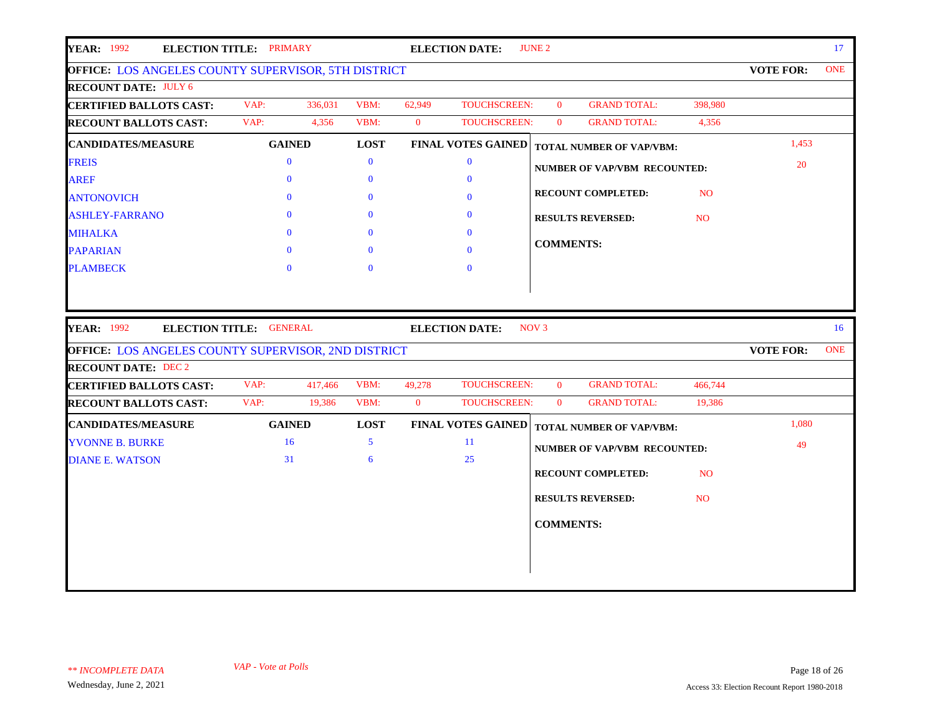| <b>ONE</b>                    |
|-------------------------------|
|                               |
|                               |
|                               |
|                               |
|                               |
|                               |
|                               |
|                               |
|                               |
|                               |
|                               |
|                               |
| 16 <sup>1</sup><br><b>ONE</b> |
|                               |
|                               |
|                               |
|                               |
|                               |
|                               |
|                               |
|                               |
|                               |
|                               |
|                               |
|                               |
| 20<br><b>VOTE FOR:</b>        |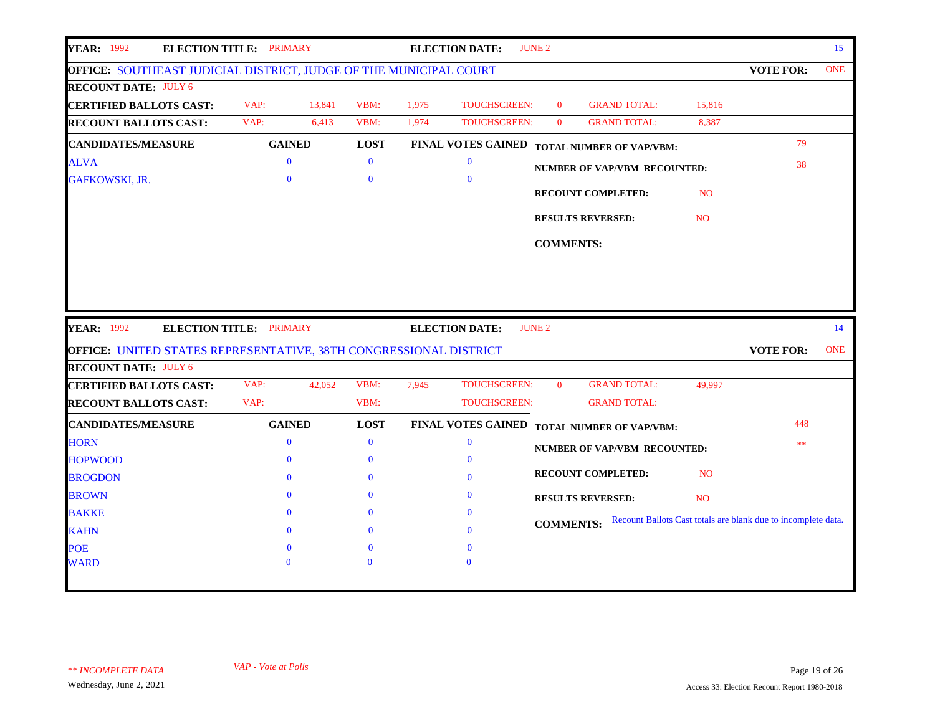| <b>YEAR: 1992</b>                                                                                                                                                                                                                                                       | ELECTION TITLE: PRIMARY |        |              |       | <b>ELECTION DATE:</b>     | <b>JUNE 2</b>    |                                     |                |                                                               | 15         |
|-------------------------------------------------------------------------------------------------------------------------------------------------------------------------------------------------------------------------------------------------------------------------|-------------------------|--------|--------------|-------|---------------------------|------------------|-------------------------------------|----------------|---------------------------------------------------------------|------------|
| OFFICE: SOUTHEAST JUDICIAL DISTRICT, JUDGE OF THE MUNICIPAL COURT                                                                                                                                                                                                       |                         |        |              |       |                           |                  |                                     |                | <b>VOTE FOR:</b>                                              | <b>ONE</b> |
| <b>RECOUNT DATE: JULY 6</b>                                                                                                                                                                                                                                             |                         |        |              |       |                           |                  |                                     |                |                                                               |            |
| <b>CERTIFIED BALLOTS CAST:</b>                                                                                                                                                                                                                                          | VAP:                    | 13,841 | VBM:         | 1,975 | <b>TOUCHSCREEN:</b>       | $\mathbf{0}$     | <b>GRAND TOTAL:</b>                 | 15,816         |                                                               |            |
| <b>RECOUNT BALLOTS CAST:</b>                                                                                                                                                                                                                                            | VAP:                    | 6,413  | VBM:         | 1,974 | TOUCHSCREEN:              | $\overline{0}$   | <b>GRAND TOTAL:</b>                 | 8,387          |                                                               |            |
| <b>CANDIDATES/MEASURE</b>                                                                                                                                                                                                                                               | <b>GAINED</b>           |        | <b>LOST</b>  |       | <b>FINAL VOTES GAINED</b> |                  | <b>TOTAL NUMBER OF VAP/VBM:</b>     |                | 79                                                            |            |
| <b>ALVA</b>                                                                                                                                                                                                                                                             | $\mathbf{0}$            |        | $\mathbf{0}$ |       | $\mathbf{0}$              |                  | <b>NUMBER OF VAP/VBM RECOUNTED:</b> |                | 38                                                            |            |
| <b>GAFKOWSKI, JR.</b>                                                                                                                                                                                                                                                   | $\mathbf{0}$            |        | $\mathbf{0}$ |       | $\bf{0}$                  |                  |                                     |                |                                                               |            |
|                                                                                                                                                                                                                                                                         |                         |        |              |       |                           |                  | <b>RECOUNT COMPLETED:</b>           | <b>NO</b>      |                                                               |            |
|                                                                                                                                                                                                                                                                         |                         |        |              |       |                           |                  | <b>RESULTS REVERSED:</b>            | N <sub>O</sub> |                                                               |            |
|                                                                                                                                                                                                                                                                         |                         |        |              |       |                           |                  |                                     |                |                                                               |            |
|                                                                                                                                                                                                                                                                         |                         |        |              |       |                           | <b>COMMENTS:</b> |                                     |                |                                                               |            |
|                                                                                                                                                                                                                                                                         |                         |        |              |       |                           |                  |                                     |                |                                                               |            |
|                                                                                                                                                                                                                                                                         |                         |        |              |       |                           |                  |                                     |                |                                                               |            |
|                                                                                                                                                                                                                                                                         | ELECTION TITLE: PRIMARY |        |              |       | <b>ELECTION DATE:</b>     | <b>JUNE 2</b>    |                                     |                |                                                               | 14         |
|                                                                                                                                                                                                                                                                         |                         |        |              |       |                           |                  |                                     |                | <b>VOTE FOR:</b>                                              | <b>ONE</b> |
|                                                                                                                                                                                                                                                                         |                         |        |              |       |                           |                  |                                     |                |                                                               |            |
|                                                                                                                                                                                                                                                                         | VAP:                    | 42,052 | VBM:         | 7,945 | <b>TOUCHSCREEN:</b>       | $\mathbf{0}$     | <b>GRAND TOTAL:</b>                 | 49,997         |                                                               |            |
|                                                                                                                                                                                                                                                                         | VAP:                    |        | VBM:         |       | <b>TOUCHSCREEN:</b>       |                  | <b>GRAND TOTAL:</b>                 |                |                                                               |            |
| <b>CANDIDATES/MEASURE</b>                                                                                                                                                                                                                                               | <b>GAINED</b>           |        | <b>LOST</b>  |       | <b>FINAL VOTES GAINED</b> |                  | <b>TOTAL NUMBER OF VAP/VBM:</b>     |                | 448                                                           |            |
|                                                                                                                                                                                                                                                                         | $\mathbf{0}$            |        | $\mathbf{0}$ |       | $\mathbf{0}$              |                  |                                     |                | **                                                            |            |
|                                                                                                                                                                                                                                                                         | $\mathbf{0}$            |        | $\mathbf{0}$ |       | $\bf{0}$                  |                  | <b>NUMBER OF VAP/VBM RECOUNTED:</b> |                |                                                               |            |
|                                                                                                                                                                                                                                                                         | $\mathbf{0}$            |        | $\bf{0}$     |       | $\bf{0}$                  |                  | <b>RECOUNT COMPLETED:</b>           | N <sub>O</sub> |                                                               |            |
| <b>BROGDON</b>                                                                                                                                                                                                                                                          | $\mathbf{0}$            |        | $\mathbf{0}$ |       | $\mathbf{0}$              |                  | <b>RESULTS REVERSED:</b>            | N <sub>O</sub> |                                                               |            |
|                                                                                                                                                                                                                                                                         | $\mathbf{0}$            |        | $\bf{0}$     |       | $\bf{0}$                  |                  |                                     |                |                                                               |            |
| <b>YEAR:</b> 1992<br>OFFICE: UNITED STATES REPRESENTATIVE, 38TH CONGRESSIONAL DISTRICT<br><b>RECOUNT DATE: JULY 6</b><br><b>CERTIFIED BALLOTS CAST:</b><br><b>RECOUNT BALLOTS CAST:</b><br><b>HORN</b><br><b>HOPWOOD</b><br><b>BROWN</b><br><b>BAKKE</b><br><b>KAHN</b> | $\Omega$                |        | $\Omega$     |       | $\Omega$                  | <b>COMMENTS:</b> |                                     |                | Recount Ballots Cast totals are blank due to incomplete data. |            |
| <b>POE</b>                                                                                                                                                                                                                                                              | $\mathbf{0}$            |        | $\Omega$     |       | $\bf{0}$                  |                  |                                     |                |                                                               |            |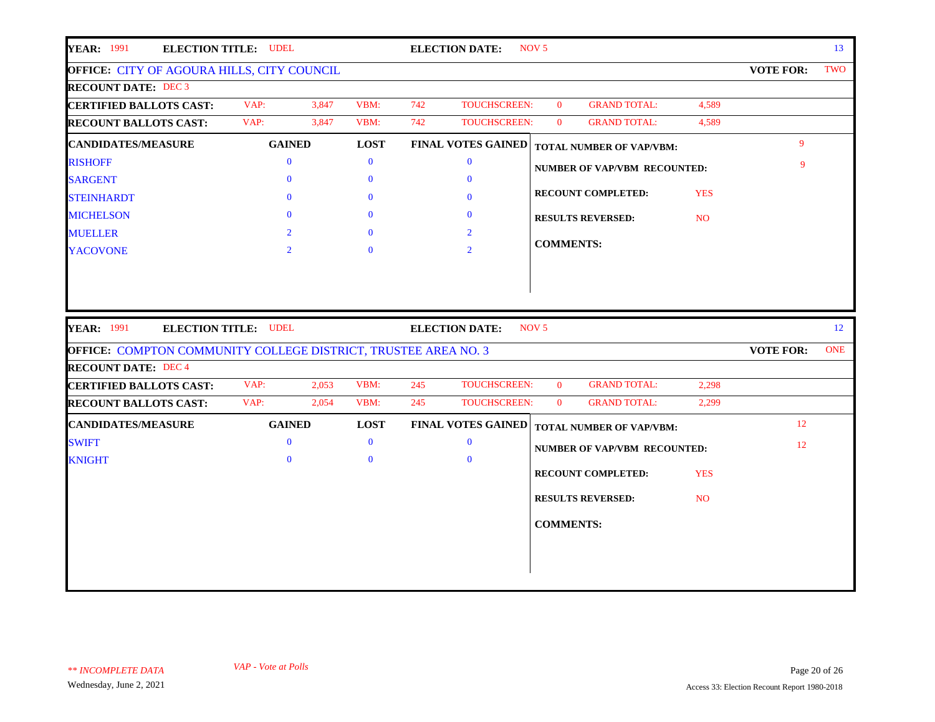| <b>ELECTION TITLE: UDEL</b>                                                                   |              |                                                                     | <b>ELECTION DATE:</b>     | NOV <sub>5</sub> |                                                                  |                                                                           |                                                                 | 13         |
|-----------------------------------------------------------------------------------------------|--------------|---------------------------------------------------------------------|---------------------------|------------------|------------------------------------------------------------------|---------------------------------------------------------------------------|-----------------------------------------------------------------|------------|
|                                                                                               |              |                                                                     |                           |                  |                                                                  |                                                                           | <b>VOTE FOR:</b>                                                | TWO        |
|                                                                                               |              |                                                                     |                           |                  |                                                                  |                                                                           |                                                                 |            |
| VAP:                                                                                          | VBM:         | 742                                                                 |                           | $\mathbf{0}$     | <b>GRAND TOTAL:</b>                                              | 4,589                                                                     |                                                                 |            |
| VAP:                                                                                          | VBM:         | 742                                                                 |                           | $\bf{0}$         | <b>GRAND TOTAL:</b>                                              | 4,589                                                                     |                                                                 |            |
| <b>GAINED</b>                                                                                 | <b>LOST</b>  |                                                                     |                           |                  |                                                                  |                                                                           | 9                                                               |            |
| $\bf{0}$                                                                                      | $\mathbf{0}$ |                                                                     | $\bf{0}$                  |                  |                                                                  |                                                                           | 9                                                               |            |
| $\mathbf{0}$                                                                                  | $\mathbf{0}$ |                                                                     | $\mathbf{0}$              |                  |                                                                  |                                                                           |                                                                 |            |
| $\theta$                                                                                      | $\mathbf{0}$ |                                                                     | $\bf{0}$                  |                  |                                                                  | <b>YES</b>                                                                |                                                                 |            |
| $\Omega$                                                                                      | $\mathbf{0}$ |                                                                     | $\mathbf{0}$              |                  |                                                                  | NO <sub>1</sub>                                                           |                                                                 |            |
| $\overline{2}$                                                                                | $\Omega$     |                                                                     | $\overline{2}$            |                  |                                                                  |                                                                           |                                                                 |            |
| $\overline{2}$                                                                                | $\Omega$     |                                                                     | $\overline{2}$            |                  |                                                                  |                                                                           |                                                                 |            |
|                                                                                               |              |                                                                     | <b>ELECTION DATE:</b>     | NOV <sub>5</sub> |                                                                  |                                                                           |                                                                 | 12         |
| <b>ELECTION TITLE: UDEL</b><br>OFFICE: COMPTON COMMUNITY COLLEGE DISTRICT, TRUSTEE AREA NO. 3 |              |                                                                     |                           |                  |                                                                  |                                                                           | <b>VOTE FOR:</b>                                                | <b>ONE</b> |
|                                                                                               |              |                                                                     |                           |                  |                                                                  |                                                                           |                                                                 |            |
| VAP:<br>2,053                                                                                 | VBM:         | 245                                                                 | TOUCHSCREEN:              | $\bf{0}$         | <b>GRAND TOTAL:</b>                                              | 2,298                                                                     |                                                                 |            |
| VAP:<br>2,054                                                                                 | VBM:         | 245                                                                 | TOUCHSCREEN:              | $\mathbf{0}$     | <b>GRAND TOTAL:</b>                                              | 2,299                                                                     |                                                                 |            |
| <b>GAINED</b>                                                                                 | <b>LOST</b>  |                                                                     | <b>FINAL VOTES GAINED</b> |                  | <b>TOTAL NUMBER OF VAP/VBM:</b>                                  |                                                                           | 12                                                              |            |
| $\bf{0}$                                                                                      | $\mathbf{0}$ |                                                                     | $\bf{0}$                  |                  |                                                                  |                                                                           | 12                                                              |            |
| $\theta$                                                                                      | $\mathbf{0}$ |                                                                     | $\mathbf{0}$              |                  | <b>NUMBER OF VAP/VBM RECOUNTED:</b>                              |                                                                           |                                                                 |            |
|                                                                                               |              |                                                                     |                           |                  | RECOUNT COMPLETED:                                               | <b>YES</b>                                                                |                                                                 |            |
|                                                                                               |              |                                                                     |                           |                  | <b>RESULTS REVERSED:</b>                                         | NO.                                                                       |                                                                 |            |
|                                                                                               |              |                                                                     |                           |                  |                                                                  |                                                                           |                                                                 |            |
|                                                                                               |              |                                                                     |                           | <b>COMMENTS:</b> |                                                                  |                                                                           |                                                                 |            |
|                                                                                               |              |                                                                     |                           |                  |                                                                  |                                                                           |                                                                 |            |
|                                                                                               |              | <b>OFFICE: CITY OF AGOURA HILLS, CITY COUNCIL</b><br>3,847<br>3,847 |                           |                  | <b>TOUCHSCREEN:</b><br>TOUCHSCREEN:<br><b>FINAL VOTES GAINED</b> | <b>RECOUNT COMPLETED:</b><br><b>RESULTS REVERSED:</b><br><b>COMMENTS:</b> | <b>TOTAL NUMBER OF VAP/VBM:</b><br>NUMBER OF VAP/VBM RECOUNTED: |            |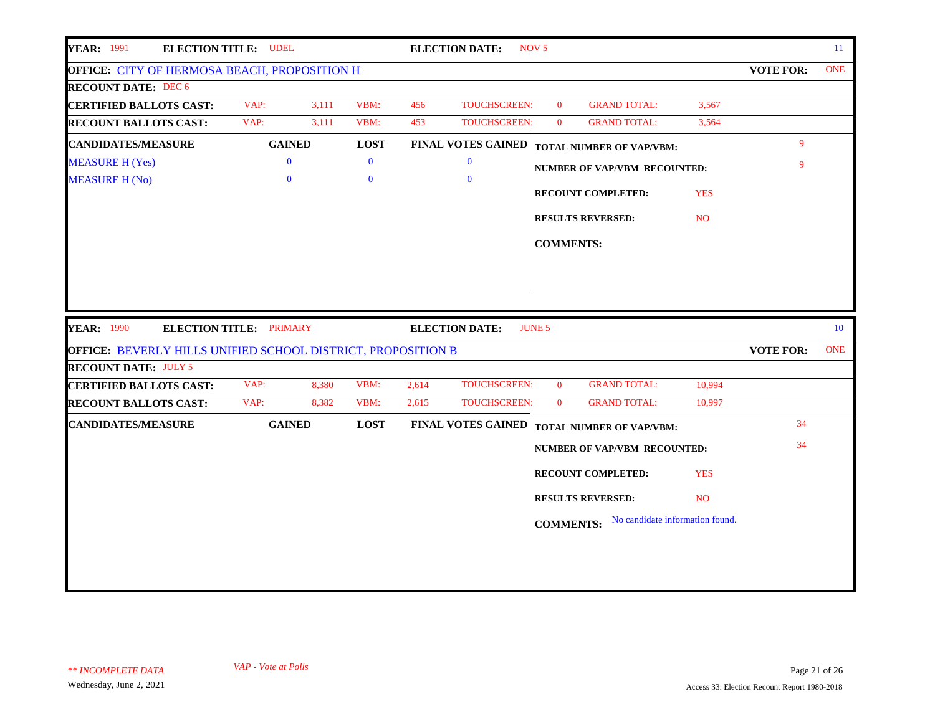| <b>YEAR: 1991</b><br><b>ELECTION TITLE: UDEL</b>                    |                                |       |              |       | <b>ELECTION DATE:</b>     | NOV <sub>5</sub> |                                     |                 |                  | 11         |
|---------------------------------------------------------------------|--------------------------------|-------|--------------|-------|---------------------------|------------------|-------------------------------------|-----------------|------------------|------------|
| OFFICE: CITY OF HERMOSA BEACH, PROPOSITION H                        |                                |       |              |       |                           |                  |                                     |                 | <b>VOTE FOR:</b> | <b>ONE</b> |
| <b>RECOUNT DATE: DEC 6</b>                                          |                                |       |              |       |                           |                  |                                     |                 |                  |            |
| <b>CERTIFIED BALLOTS CAST:</b>                                      | VAP:                           | 3,111 | VBM:         | 456   | TOUCHSCREEN:              | $\mathbf{0}$     | <b>GRAND TOTAL:</b>                 | 3,567           |                  |            |
| <b>RECOUNT BALLOTS CAST:</b>                                        | VAP:                           | 3,111 | VBM:         | 453   | TOUCHSCREEN:              | $\mathbf{0}$     | <b>GRAND TOTAL:</b>                 | 3,564           |                  |            |
| <b>CANDIDATES/MEASURE</b>                                           | <b>GAINED</b>                  |       | <b>LOST</b>  |       | <b>FINAL VOTES GAINED</b> |                  | <b>TOTAL NUMBER OF VAP/VBM:</b>     |                 | 9                |            |
| <b>MEASURE H (Yes)</b>                                              | $\mathbf{0}$                   |       | $\bf{0}$     |       | $\bf{0}$                  |                  | <b>NUMBER OF VAP/VBM RECOUNTED:</b> |                 | 9                |            |
| <b>MEASURE H (No)</b>                                               | $\mathbf{0}$                   |       | $\mathbf{0}$ |       | $\mathbf{0}$              |                  |                                     |                 |                  |            |
|                                                                     |                                |       |              |       |                           |                  | <b>RECOUNT COMPLETED:</b>           | <b>YES</b>      |                  |            |
|                                                                     |                                |       |              |       |                           |                  | <b>RESULTS REVERSED:</b>            | NO <sub>1</sub> |                  |            |
|                                                                     |                                |       |              |       |                           | <b>COMMENTS:</b> |                                     |                 |                  |            |
|                                                                     |                                |       |              |       |                           |                  |                                     |                 |                  |            |
|                                                                     |                                |       |              |       |                           |                  |                                     |                 |                  |            |
|                                                                     |                                |       |              |       |                           |                  |                                     |                 |                  |            |
|                                                                     |                                |       |              |       |                           |                  |                                     |                 |                  |            |
|                                                                     |                                |       |              |       |                           |                  |                                     |                 |                  |            |
| <b>YEAR: 1990</b>                                                   | <b>ELECTION TITLE: PRIMARY</b> |       |              |       | <b>ELECTION DATE:</b>     | <b>JUNE 5</b>    |                                     |                 |                  | 10         |
| <b>OFFICE: BEVERLY HILLS UNIFIED SCHOOL DISTRICT, PROPOSITION B</b> |                                |       |              |       |                           |                  |                                     |                 | <b>VOTE FOR:</b> | <b>ONE</b> |
| <b>RECOUNT DATE: JULY 5</b>                                         |                                |       |              |       |                           |                  |                                     |                 |                  |            |
| <b>CERTIFIED BALLOTS CAST:</b>                                      | VAP:                           | 8,380 | VBM:         | 2,614 | <b>TOUCHSCREEN:</b>       | $\mathbf{0}$     | <b>GRAND TOTAL:</b>                 | 10,994          |                  |            |
| <b>RECOUNT BALLOTS CAST:</b>                                        | VAP:                           | 8,382 | VBM:         | 2,615 | TOUCHSCREEN:              | $\mathbf{0}$     | <b>GRAND TOTAL:</b>                 | 10,997          |                  |            |
| <b>CANDIDATES/MEASURE</b>                                           | <b>GAINED</b>                  |       | <b>LOST</b>  |       | <b>FINAL VOTES GAINED</b> |                  | <b>TOTAL NUMBER OF VAP/VBM:</b>     |                 | 34               |            |
|                                                                     |                                |       |              |       |                           |                  | <b>NUMBER OF VAP/VBM RECOUNTED:</b> |                 | 34               |            |
|                                                                     |                                |       |              |       |                           |                  |                                     |                 |                  |            |
|                                                                     |                                |       |              |       |                           |                  | <b>RECOUNT COMPLETED:</b>           | <b>YES</b>      |                  |            |
|                                                                     |                                |       |              |       |                           |                  | <b>RESULTS REVERSED:</b>            | NO.             |                  |            |
|                                                                     |                                |       |              |       |                           |                  | No candidate information found.     |                 |                  |            |
|                                                                     |                                |       |              |       |                           | <b>COMMENTS:</b> |                                     |                 |                  |            |
|                                                                     |                                |       |              |       |                           |                  |                                     |                 |                  |            |
|                                                                     |                                |       |              |       |                           |                  |                                     |                 |                  |            |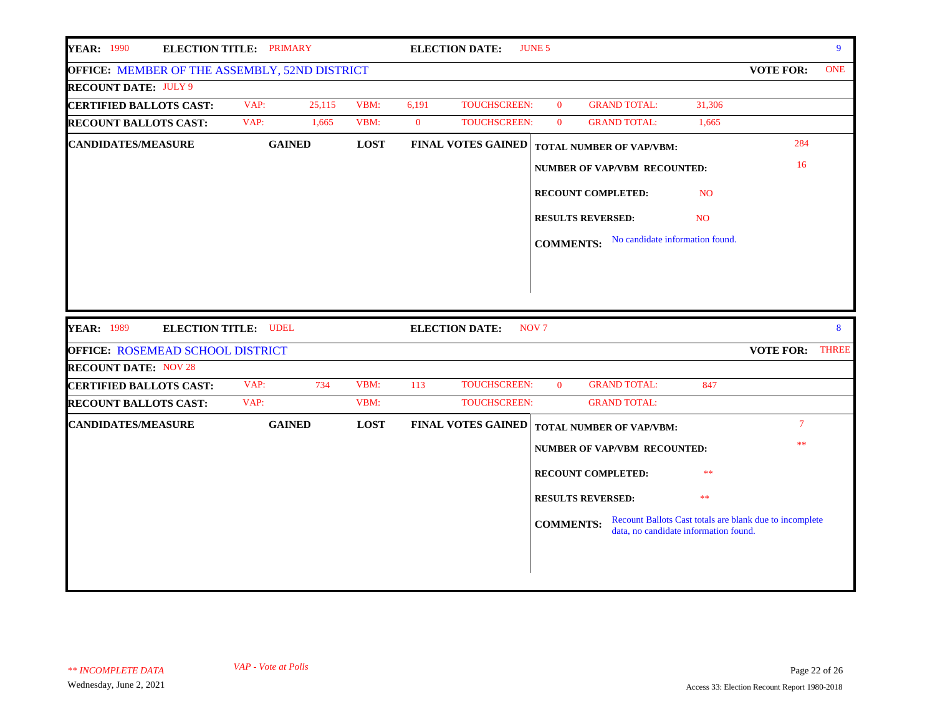| <b>YEAR: 1990</b>                                | <b>ELECTION TITLE: PRIMARY</b> |             |          | <b>ELECTION DATE:</b>     | <b>JUNE 5</b>    |                                       |                |                                                         | 9          |
|--------------------------------------------------|--------------------------------|-------------|----------|---------------------------|------------------|---------------------------------------|----------------|---------------------------------------------------------|------------|
| OFFICE: MEMBER OF THE ASSEMBLY, 52ND DISTRICT    |                                |             |          |                           |                  |                                       |                | <b>VOTE FOR:</b>                                        | <b>ONE</b> |
| <b>RECOUNT DATE: JULY 9</b>                      |                                |             |          |                           |                  |                                       |                |                                                         |            |
| <b>CERTIFIED BALLOTS CAST:</b>                   | VAP:<br>25,115                 | VBM:        | 6,191    | TOUCHSCREEN:              | $\mathbf{0}$     | <b>GRAND TOTAL:</b>                   | 31,306         |                                                         |            |
| <b>RECOUNT BALLOTS CAST:</b>                     | VAP:<br>1,665                  | VBM:        | $\bf{0}$ | TOUCHSCREEN:              | $\mathbf{0}$     | <b>GRAND TOTAL:</b>                   | 1,665          |                                                         |            |
| <b>CANDIDATES/MEASURE</b>                        | <b>GAINED</b>                  | <b>LOST</b> |          | <b>FINAL VOTES GAINED</b> |                  | TOTAL NUMBER OF VAP/VBM:              |                | 284                                                     |            |
|                                                  |                                |             |          |                           |                  | <b>NUMBER OF VAP/VBM RECOUNTED:</b>   |                | 16                                                      |            |
|                                                  |                                |             |          |                           |                  | <b>RECOUNT COMPLETED:</b>             | N <sub>O</sub> |                                                         |            |
|                                                  |                                |             |          |                           |                  | <b>RESULTS REVERSED:</b>              | N <sub>O</sub> |                                                         |            |
|                                                  |                                |             |          |                           | <b>COMMENTS:</b> | No candidate information found.       |                |                                                         |            |
|                                                  |                                |             |          |                           |                  |                                       |                |                                                         |            |
|                                                  |                                |             |          |                           |                  |                                       |                |                                                         |            |
|                                                  |                                |             |          |                           |                  |                                       |                |                                                         |            |
|                                                  |                                |             |          |                           |                  |                                       |                |                                                         |            |
|                                                  |                                |             |          |                           |                  |                                       |                |                                                         |            |
| <b>YEAR: 1989</b><br><b>ELECTION TITLE: UDEL</b> |                                |             |          | <b>ELECTION DATE:</b>     | NOV <sub>7</sub> |                                       |                |                                                         | 8          |
| <b>OFFICE: ROSEMEAD SCHOOL DISTRICT</b>          |                                |             |          |                           |                  |                                       |                | VOTE FOR: THREE                                         |            |
| <b>RECOUNT DATE: NOV 28</b>                      |                                |             |          |                           |                  |                                       |                |                                                         |            |
| <b>CERTIFIED BALLOTS CAST:</b>                   | VAP:<br>734                    | VBM:        | 113      | TOUCHSCREEN:              | $\bf{0}$         | <b>GRAND TOTAL:</b>                   | 847            |                                                         |            |
| <b>RECOUNT BALLOTS CAST:</b>                     | VAP:                           | VBM:        |          | TOUCHSCREEN:              |                  | <b>GRAND TOTAL:</b>                   |                |                                                         |            |
| <b>CANDIDATES/MEASURE</b>                        | <b>GAINED</b>                  | <b>LOST</b> |          | <b>FINAL VOTES GAINED</b> |                  | <b>TOTAL NUMBER OF VAP/VBM:</b>       |                | $\tau$                                                  |            |
|                                                  |                                |             |          |                           |                  | <b>NUMBER OF VAP/VBM RECOUNTED:</b>   |                | **                                                      |            |
|                                                  |                                |             |          |                           |                  | <b>RECOUNT COMPLETED:</b>             | **             |                                                         |            |
|                                                  |                                |             |          |                           |                  | <b>RESULTS REVERSED:</b>              | $**$           |                                                         |            |
|                                                  |                                |             |          |                           | <b>COMMENTS:</b> |                                       |                | Recount Ballots Cast totals are blank due to incomplete |            |
|                                                  |                                |             |          |                           |                  | data, no candidate information found. |                |                                                         |            |
|                                                  |                                |             |          |                           |                  |                                       |                |                                                         |            |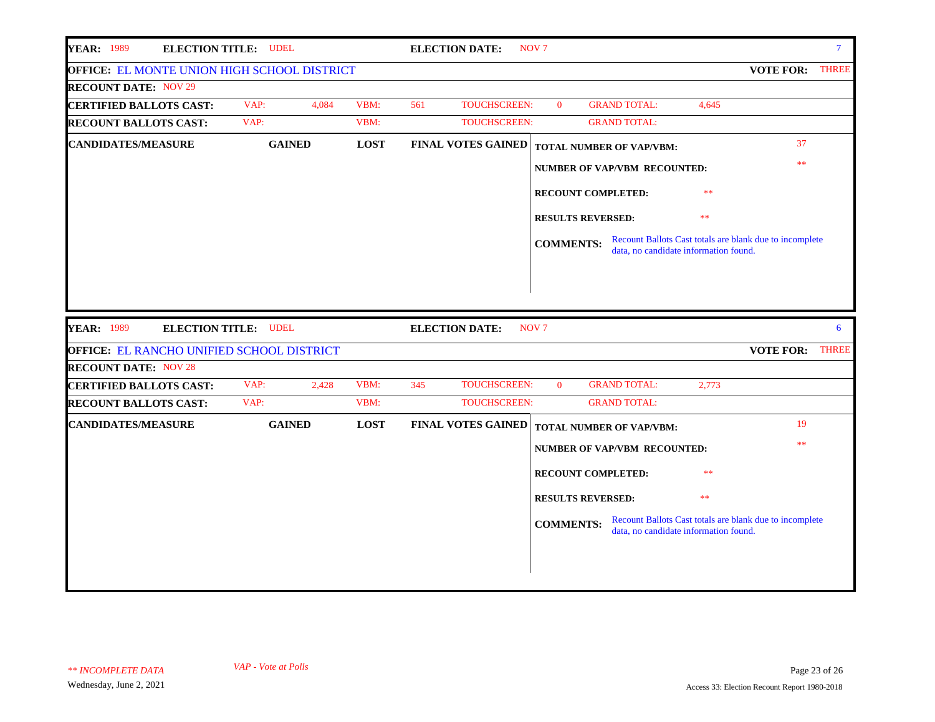| <b>YEAR: 1989</b><br><b>ELECTION TITLE: UDEL</b> |               |             | <b>ELECTION DATE:</b>      | NOV <sub>7</sub>                                          | $\overline{7}$                                          |
|--------------------------------------------------|---------------|-------------|----------------------------|-----------------------------------------------------------|---------------------------------------------------------|
| OFFICE: EL MONTE UNION HIGH SCHOOL DISTRICT      |               |             |                            |                                                           | <b>THREE</b><br><b>VOTE FOR:</b>                        |
| <b>RECOUNT DATE: NOV 29</b>                      |               |             |                            |                                                           |                                                         |
| <b>CERTIFIED BALLOTS CAST:</b>                   | VAP:<br>4,084 | VBM:        | TOUCHSCREEN:<br>561        | $\Omega$<br><b>GRAND TOTAL:</b>                           | 4,645                                                   |
| <b>RECOUNT BALLOTS CAST:</b>                     | VAP:          | VBM:        | TOUCHSCREEN:               | <b>GRAND TOTAL:</b>                                       |                                                         |
| <b>CANDIDATES/MEASURE</b>                        | <b>GAINED</b> | <b>LOST</b> | <b>FINAL VOTES GAINED</b>  | <b>TOTAL NUMBER OF VAP/VBM:</b>                           | 37                                                      |
|                                                  |               |             |                            | <b>NUMBER OF VAP/VBM RECOUNTED:</b>                       | $\ast$                                                  |
|                                                  |               |             |                            | RECOUNT COMPLETED:<br>**                                  |                                                         |
|                                                  |               |             |                            | <b>RESULTS REVERSED:</b><br>**                            |                                                         |
|                                                  |               |             |                            | <b>COMMENTS:</b><br>data, no candidate information found. | Recount Ballots Cast totals are blank due to incomplete |
|                                                  |               |             |                            |                                                           |                                                         |
| <b>YEAR: 1989</b><br><b>ELECTION TITLE: UDEL</b> |               |             | <b>ELECTION DATE:</b>      | NOV <sub>7</sub>                                          | 6                                                       |
| OFFICE: EL RANCHO UNIFIED SCHOOL DISTRICT        |               |             |                            |                                                           | <b>VOTE FOR:</b><br><b>THREE</b>                        |
| <b>RECOUNT DATE: NOV 28</b>                      |               |             |                            |                                                           |                                                         |
| <b>CERTIFIED BALLOTS CAST:</b>                   | VAP:<br>2,428 | VBM:        | 345<br><b>TOUCHSCREEN:</b> | <b>GRAND TOTAL:</b><br>$\overline{0}$<br>2,773            |                                                         |
| <b>RECOUNT BALLOTS CAST:</b>                     | VAP:          | VBM:        | <b>TOUCHSCREEN:</b>        | <b>GRAND TOTAL:</b>                                       |                                                         |
| <b>CANDIDATES/MEASURE</b>                        | <b>GAINED</b> | <b>LOST</b> | <b>FINAL VOTES GAINED</b>  | TOTAL NUMBER OF VAP/VBM:                                  | 19                                                      |
|                                                  |               |             |                            | <b>NUMBER OF VAP/VBM RECOUNTED:</b>                       | **                                                      |
|                                                  |               |             |                            | **<br>RECOUNT COMPLETED:                                  |                                                         |
|                                                  |               |             |                            | <b>RESULTS REVERSED:</b><br>**                            |                                                         |
|                                                  |               |             |                            | <b>COMMENTS:</b><br>data, no candidate information found. | Recount Ballots Cast totals are blank due to incomplete |
|                                                  |               |             |                            |                                                           |                                                         |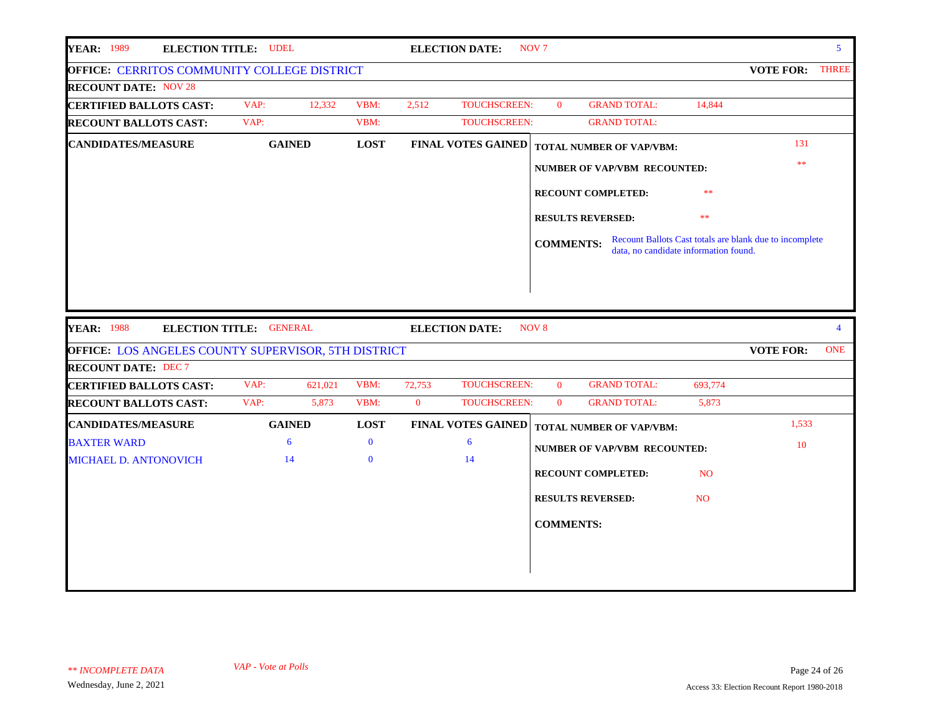| <b>YEAR: 1989</b><br><b>ELECTION TITLE: UDEL</b>    |                         |              | <b>ELECTION DATE:</b>         | NOV <sub>7</sub> |                                       |                |                                                         | $5^{\circ}$    |
|-----------------------------------------------------|-------------------------|--------------|-------------------------------|------------------|---------------------------------------|----------------|---------------------------------------------------------|----------------|
| OFFICE: CERRITOS COMMUNITY COLLEGE DISTRICT         |                         |              |                               |                  |                                       |                | <b>VOTE FOR:</b>                                        | <b>THREE</b>   |
| <b>RECOUNT DATE: NOV 28</b>                         |                         |              |                               |                  |                                       |                |                                                         |                |
| <b>CERTIFIED BALLOTS CAST:</b>                      | VAP:<br>12,332          | VBM:         | 2,512<br><b>TOUCHSCREEN:</b>  | $\theta$         | <b>GRAND TOTAL:</b>                   | 14,844         |                                                         |                |
| <b>RECOUNT BALLOTS CAST:</b>                        | VAP:                    | VBM:         | <b>TOUCHSCREEN:</b>           |                  | <b>GRAND TOTAL:</b>                   |                |                                                         |                |
| <b>CANDIDATES/MEASURE</b>                           | <b>GAINED</b>           | <b>LOST</b>  | <b>FINAL VOTES GAINED</b>     |                  | <b>TOTAL NUMBER OF VAP/VBM:</b>       |                | 131                                                     |                |
|                                                     |                         |              |                               |                  | <b>NUMBER OF VAP/VBM RECOUNTED:</b>   |                | **                                                      |                |
|                                                     |                         |              |                               |                  |                                       |                |                                                         |                |
|                                                     |                         |              |                               |                  | RECOUNT COMPLETED:                    | **             |                                                         |                |
|                                                     |                         |              |                               |                  | <b>RESULTS REVERSED:</b>              | **             |                                                         |                |
|                                                     |                         |              |                               | <b>COMMENTS:</b> |                                       |                | Recount Ballots Cast totals are blank due to incomplete |                |
|                                                     |                         |              |                               |                  | data, no candidate information found. |                |                                                         |                |
|                                                     |                         |              |                               |                  |                                       |                |                                                         |                |
|                                                     |                         |              |                               |                  |                                       |                |                                                         |                |
|                                                     |                         |              |                               |                  |                                       |                |                                                         |                |
|                                                     |                         |              |                               |                  |                                       |                |                                                         |                |
| <b>YEAR: 1988</b>                                   | ELECTION TITLE: GENERAL |              | <b>ELECTION DATE:</b>         | NOV <sub>8</sub> |                                       |                |                                                         | $\overline{4}$ |
| OFFICE: LOS ANGELES COUNTY SUPERVISOR, 5TH DISTRICT |                         |              |                               |                  |                                       |                | <b>VOTE FOR:</b>                                        | <b>ONE</b>     |
| <b>RECOUNT DATE: DEC 7</b>                          |                         |              |                               |                  |                                       |                |                                                         |                |
| <b>CERTIFIED BALLOTS CAST:</b>                      | VAP:<br>621,021         | VBM:         | 72,753<br><b>TOUCHSCREEN:</b> | $\mathbf{0}$     | <b>GRAND TOTAL:</b>                   | 693,774        |                                                         |                |
| <b>RECOUNT BALLOTS CAST:</b>                        | VAP:<br>5,873           | VBM:         | TOUCHSCREEN:<br>$\mathbf{0}$  | $\mathbf{0}$     | <b>GRAND TOTAL:</b>                   | 5,873          |                                                         |                |
| <b>CANDIDATES/MEASURE</b>                           | <b>GAINED</b>           | <b>LOST</b>  | <b>FINAL VOTES GAINED</b>     |                  | TOTAL NUMBER OF VAP/VBM:              |                | 1,533                                                   |                |
| <b>BAXTER WARD</b>                                  | 6                       | $\mathbf{0}$ | 6                             |                  | <b>NUMBER OF VAP/VBM RECOUNTED:</b>   |                | 10                                                      |                |
| <b>MICHAEL D. ANTONOVICH</b>                        | 14                      | $\mathbf{0}$ | 14                            |                  |                                       |                |                                                         |                |
|                                                     |                         |              |                               |                  | <b>RECOUNT COMPLETED:</b>             | N <sub>O</sub> |                                                         |                |
|                                                     |                         |              |                               |                  | <b>RESULTS REVERSED:</b>              | <b>NO</b>      |                                                         |                |
|                                                     |                         |              |                               |                  |                                       |                |                                                         |                |
|                                                     |                         |              |                               | <b>COMMENTS:</b> |                                       |                |                                                         |                |
|                                                     |                         |              |                               |                  |                                       |                |                                                         |                |
|                                                     |                         |              |                               |                  |                                       |                |                                                         |                |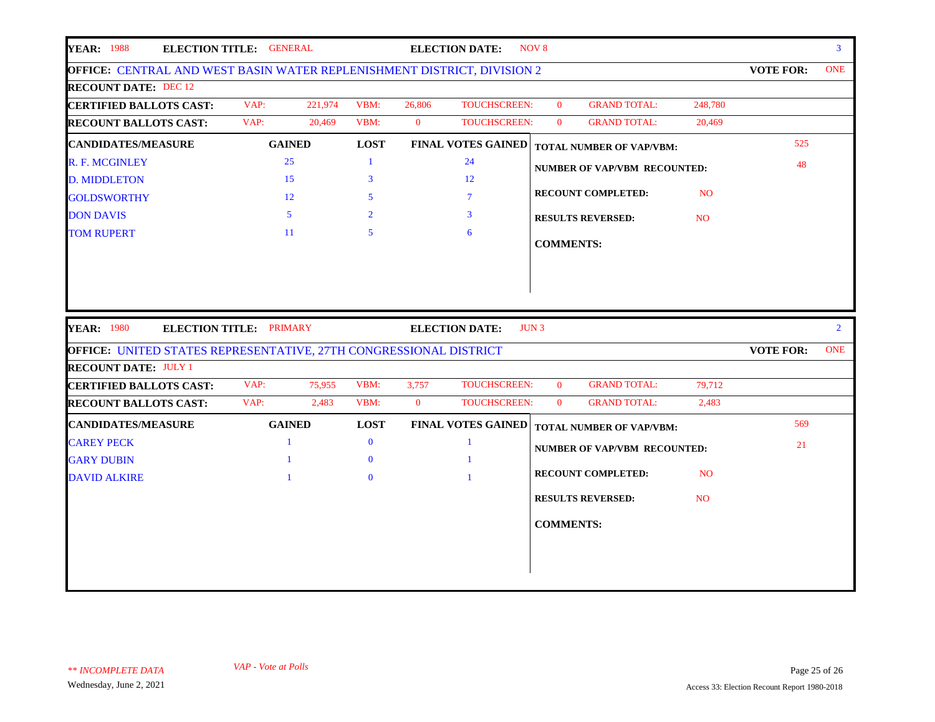| <b>YEAR: 1988</b>                                                                                | ELECTION TITLE: GENERAL        |         |                |              | <b>ELECTION DATE:</b>     | NOV <sub>8</sub> |                                     |                |                  | 3 <sup>1</sup> |
|--------------------------------------------------------------------------------------------------|--------------------------------|---------|----------------|--------------|---------------------------|------------------|-------------------------------------|----------------|------------------|----------------|
| OFFICE: CENTRAL AND WEST BASIN WATER REPLENISHMENT DISTRICT, DIVISION 2                          |                                |         |                |              |                           |                  |                                     |                | <b>VOTE FOR:</b> | <b>ONE</b>     |
| <b>RECOUNT DATE: DEC 12</b>                                                                      |                                |         |                |              |                           |                  |                                     |                |                  |                |
| <b>CERTIFIED BALLOTS CAST:</b>                                                                   | VAP:                           | 221,974 | VBM:           | 26,806       | <b>TOUCHSCREEN:</b>       | $\mathbf{0}$     | <b>GRAND TOTAL:</b>                 | 248,780        |                  |                |
| <b>RECOUNT BALLOTS CAST:</b>                                                                     | VAP:                           | 20,469  | VBM:           | $\mathbf{0}$ | TOUCHSCREEN:              | $\overline{0}$   | <b>GRAND TOTAL:</b>                 | 20,469         |                  |                |
| <b>CANDIDATES/MEASURE</b>                                                                        | <b>GAINED</b>                  |         | <b>LOST</b>    |              | <b>FINAL VOTES GAINED</b> |                  | <b>TOTAL NUMBER OF VAP/VBM:</b>     |                | 525              |                |
| R. F. MCGINLEY                                                                                   | 25                             |         | -1             |              | 24                        |                  | NUMBER OF VAP/VBM RECOUNTED:        |                | 48               |                |
| <b>D. MIDDLETON</b>                                                                              | 15                             |         | 3              |              | 12                        |                  |                                     |                |                  |                |
| <b>GOLDSWORTHY</b>                                                                               | 12                             |         | 5              |              | $\tau$                    |                  | <b>RECOUNT COMPLETED:</b>           | <b>NO</b>      |                  |                |
| <b>DON DAVIS</b>                                                                                 | $5^{\circ}$                    |         | $\overline{2}$ |              | $\mathbf{3}$              |                  | <b>RESULTS REVERSED:</b>            | <b>NO</b>      |                  |                |
| <b>TOM RUPERT</b>                                                                                | 11                             |         | $5^{\circ}$    |              | 6                         |                  |                                     |                |                  |                |
|                                                                                                  |                                |         |                |              |                           | <b>COMMENTS:</b> |                                     |                |                  |                |
| <b>YEAR: 1980</b>                                                                                | <b>ELECTION TITLE: PRIMARY</b> |         |                |              | <b>ELECTION DATE:</b>     | JUN <sub>3</sub> |                                     |                |                  | $2^{\circ}$    |
|                                                                                                  |                                |         |                |              |                           |                  |                                     |                | <b>VOTE FOR:</b> | <b>ONE</b>     |
| OFFICE: UNITED STATES REPRESENTATIVE, 27TH CONGRESSIONAL DISTRICT<br><b>RECOUNT DATE: JULY 1</b> |                                |         |                |              |                           |                  |                                     |                |                  |                |
| <b>CERTIFIED BALLOTS CAST:</b>                                                                   | VAP:                           | 75,955  | VBM:           | 3,757        | TOUCHSCREEN:              | $\mathbf{0}$     | <b>GRAND TOTAL:</b>                 | 79,712         |                  |                |
| <b>RECOUNT BALLOTS CAST:</b>                                                                     | VAP:                           | 2,483   | VBM:           | $\mathbf{0}$ | <b>TOUCHSCREEN:</b>       | $\mathbf{0}$     | <b>GRAND TOTAL:</b>                 | 2,483          |                  |                |
| <b>CANDIDATES/MEASURE</b>                                                                        | <b>GAINED</b>                  |         | <b>LOST</b>    |              | <b>FINAL VOTES GAINED</b> |                  | <b>TOTAL NUMBER OF VAP/VBM:</b>     |                | 569              |                |
| <b>CAREY PECK</b>                                                                                | $\mathbf{1}$                   |         | $\mathbf{0}$   |              | $\mathbf{1}$              |                  |                                     |                | 21               |                |
| <b>GARY DUBIN</b>                                                                                |                                |         | $\bf{0}$       |              |                           |                  | <b>NUMBER OF VAP/VBM RECOUNTED:</b> |                |                  |                |
| <b>DAVID ALKIRE</b>                                                                              |                                |         | $\Omega$       |              |                           |                  | <b>RECOUNT COMPLETED:</b>           | <b>NO</b>      |                  |                |
|                                                                                                  |                                |         |                |              |                           |                  | <b>RESULTS REVERSED:</b>            | N <sub>O</sub> |                  |                |
|                                                                                                  |                                |         |                |              |                           |                  |                                     |                |                  |                |
|                                                                                                  |                                |         |                |              |                           | <b>COMMENTS:</b> |                                     |                |                  |                |
|                                                                                                  |                                |         |                |              |                           |                  |                                     |                |                  |                |
|                                                                                                  |                                |         |                |              |                           |                  |                                     |                |                  |                |